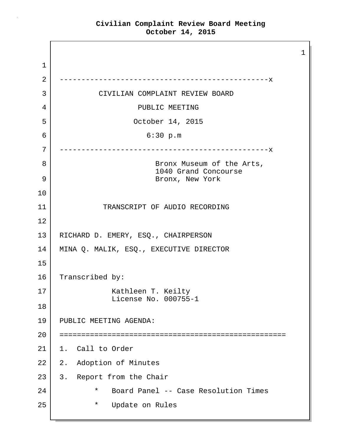1 1 2 ------------------------------------------------x 3 CIVILIAN COMPLAINT REVIEW BOARD 4 PUBLIC MEETING 5 October 14, 2015 6 6:30 p.m 7 ------------------------------------------------x 8 Bronx Museum of the Arts, 1040 Grand Concourse 9 Bronx, New York 10 11 TRANSCRIPT OF AUDIO RECORDING 12 13 RICHARD D. EMERY, ESQ., CHAIRPERSON 14 MINA Q. MALIK, ESQ., EXECUTIVE DIRECTOR 15 16 Transcribed by: 17 | Kathleen T. Keilty License No. 000755-1 18 19 PUBLIC MEETING AGENDA: 20 ==================================================== 21 | 1. Call to Order 22 2. Adoption of Minutes 23 3. Report from the Chair 24 \* Board Panel -- Case Resolution Times 25 \* Update on Rules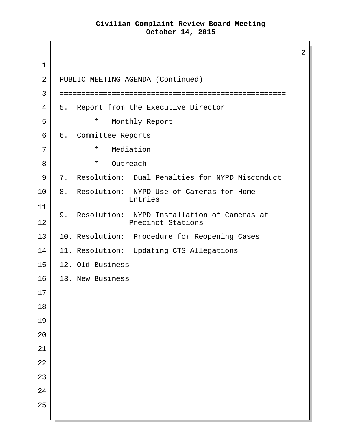|             |    |                      |                                                                  | $\overline{2}$ |
|-------------|----|----------------------|------------------------------------------------------------------|----------------|
| $\mathbf 1$ |    |                      |                                                                  |                |
| 2           |    |                      | PUBLIC MEETING AGENDA (Continued)                                |                |
| 3           |    |                      |                                                                  |                |
| 4           | 5. |                      | Report from the Executive Director                               |                |
| 5           |    | $\star$              | Monthly Report                                                   |                |
| 6           |    | 6. Committee Reports |                                                                  |                |
| 7           |    | $\star$              | Mediation                                                        |                |
| 8           |    | $\star$<br>Outreach  |                                                                  |                |
| 9           |    |                      | 7. Resolution: Dual Penalties for NYPD Misconduct                |                |
| 10          |    |                      | 8. Resolution: NYPD Use of Cameras for Home<br>Entries           |                |
| 11          |    |                      |                                                                  |                |
| 12          | 9. |                      | Resolution: NYPD Installation of Cameras at<br>Precinct Stations |                |
| 13          |    |                      | 10. Resolution: Procedure for Reopening Cases                    |                |
| 14          |    |                      | 11. Resolution: Updating CTS Allegations                         |                |
| 15          |    | 12. Old Business     |                                                                  |                |
| 16          |    | 13. New Business     |                                                                  |                |
| 17          |    |                      |                                                                  |                |
| $18\,$      |    |                      |                                                                  |                |
| 19          |    |                      |                                                                  |                |
| 20          |    |                      |                                                                  |                |
| 21          |    |                      |                                                                  |                |
| 22          |    |                      |                                                                  |                |
| 23          |    |                      |                                                                  |                |
| 24          |    |                      |                                                                  |                |
| 25          |    |                      |                                                                  |                |
|             |    |                      |                                                                  |                |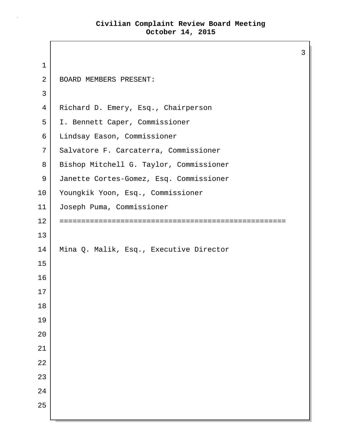| $\mathbf 1$    |                                         |
|----------------|-----------------------------------------|
| $\overline{2}$ | BOARD MEMBERS PRESENT:                  |
| 3              |                                         |
| 4              | Richard D. Emery, Esq., Chairperson     |
| 5              | I. Bennett Caper, Commissioner          |
| 6              | Lindsay Eason, Commissioner             |
| 7              | Salvatore F. Carcaterra, Commissioner   |
| 8              | Bishop Mitchell G. Taylor, Commissioner |
| 9              | Janette Cortes-Gomez, Esq. Commissioner |
| 10             | Youngkik Yoon, Esq., Commissioner       |
| 11             | Joseph Puma, Commissioner               |
| 12             |                                         |
| 13             |                                         |
| 14             | Mina Q. Malik, Esq., Executive Director |
| 15             |                                         |
| 16             |                                         |
| 17             |                                         |
| 18             |                                         |
| 19             |                                         |
| $20$           |                                         |
| 21             |                                         |
| 22             |                                         |
| 23             |                                         |
| 24             |                                         |
| 25             |                                         |
|                |                                         |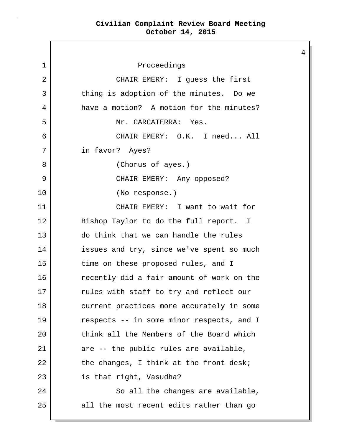4 1 Proceedings 2 CHAIR EMERY: I guess the first 3 thing is adoption of the minutes. Do we 4 have a motion? A motion for the minutes? 5 Mr. CARCATERRA: Yes. 6 CHAIR EMERY: O.K. I need... All 7 in favor? Ayes? 8 (Chorus of ayes.) 9 CHAIR EMERY: Any opposed? 10 (No response.) 11 CHAIR EMERY: I want to wait for 12 Bishop Taylor to do the full report. I 13 do think that we can handle the rules 14 issues and try, since we've spent so much 15 time on these proposed rules, and I 16 recently did a fair amount of work on the 17 | Tules with staff to try and reflect our 18 current practices more accurately in some 19 respects -- in some minor respects, and I 20 think all the Members of the Board which 21 are -- the public rules are available,  $22$  the changes, I think at the front desk; 23 is that right, Vasudha? 24 So all the changes are available, 25 all the most recent edits rather than go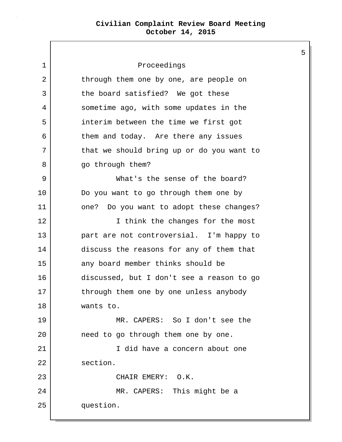5

1 Proceedings 2 through them one by one, are people on 3 the board satisfied? We got these 4 sometime ago, with some updates in the 5 interim between the time we first got 6 them and today. Are there any issues 7 that we should bring up or do you want to 8 | go through them? 9 What's the sense of the board? 10 Do you want to go through them one by 11 one? Do you want to adopt these changes? 12 I think the changes for the most 13 part are not controversial. I'm happy to 14 discuss the reasons for any of them that 15 any board member thinks should be 16 discussed, but I don't see a reason to go 17 through them one by one unless anybody 18 wants to. 19 MR. CAPERS: So I don't see the 20 | need to go through them one by one. 21 I did have a concern about one 22 section. 23 CHAIR EMERY: O.K. 24 MR. CAPERS: This might be a 25 question.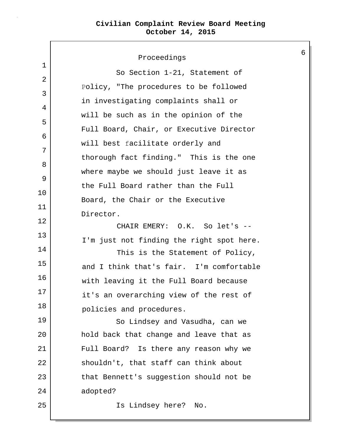1 Proceedings 2 3 4 5 6 7 8 9 10 11 So Section 1-21, Statement of Policy, "The procedures to be followed in investigating complaints shall or will be such as in the opinion of the Full Board, Chair, or Executive Director will best facilitate orderly and thorough fact finding." This is the one where maybe we should just leave it as the Full Board rather than the Full Board, the Chair or the Executive Director. 12 CHAIR EMERY: O.K. So let's -- 13 I'm just not finding the right spot here. 14 This is the Statement of Policy,  $15$  and I think that's fair. I'm comfortable 16 with leaving it the Full Board because  $17$  it's an overarching view of the rest of 18 policies and procedures. 19 So Lindsey and Vasudha, can we 20 hold back that change and leave that as 21 Full Board? Is there any reason why we 22 shouldn't, that staff can think about 23 that Bennett's suggestion should not be 24 adopted? 25 Is Lindsey here? No.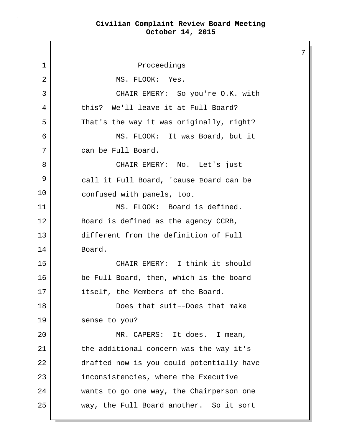7 1 Proceedings 2 MS. FLOOK: Yes. 3 CHAIR EMERY: So you're O.K. with 4 this? We'll leave it at Full Board? 5 That's the way it was originally, right? 6 MS. FLOOK: It was Board, but it 7 can be Full Board. 8 CHAIR EMERY: No. Let's just 9 10 call it Full Board, 'cause Board can be confused with panels, too. 11 MS. FLOOK: Board is defined. 12 Board is defined as the agency CCRB, 13 different from the definition of Full 14 Board. 15 CHAIR EMERY: I think it should 16 be Full Board, then, which is the board 17 itself, the Members of the Board. 18 19 Does that suit--Does that make sense to you? 20 MR. CAPERS: It does. I mean, 21 the additional concern was the way it's 22 drafted now is you could potentially have 23 inconsistencies, where the Executive 24 wants to go one way, the Chairperson one 25 way, the Full Board another. So it sort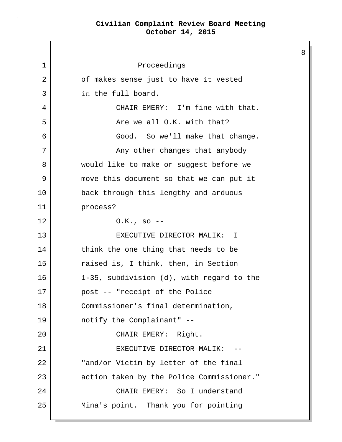1 2 3 Proceedings of makes sense just to have it vested in the full board. 4 CHAIR EMERY: I'm fine with that. 5 S are we all O.K. with that? 6 Good. So we'll make that change. 7 | The Changes that anybody 8 would like to make or suggest before we 9 move this document so that we can put it 10 back through this lengthy and arduous 11 process?  $12$  0.K., so  $-$ 13 EXECUTIVE DIRECTOR MALIK: I 14 think the one thing that needs to be 15 raised is, I think, then, in Section 16 1-35, subdivision (d), with regard to the 17 post -- "receipt of the Police 18 | Commissioner's final determination, 19 notify the Complainant" -- 20 CHAIR EMERY: Right. 21 EXECUTIVE DIRECTOR MALIK: --22 | Tand/or Victim by letter of the final 23 action taken by the Police Commissioner." 24 CHAIR EMERY: So I understand 25 Mina's point. Thank you for pointing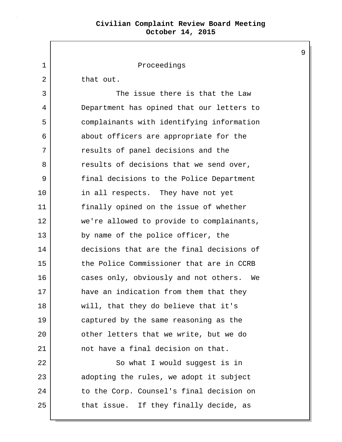9

1 Proceedings 2 that out. 3 The issue there is that the Law 4 Department has opined that our letters to 5 complainants with identifying information 6 about officers are appropriate for the 7 The results of panel decisions and the 8 eresults of decisions that we send over, 9 final decisions to the Police Department 10 in all respects. They have not yet 11 finally opined on the issue of whether 12 we're allowed to provide to complainants, 13 by name of the police officer, the 14 decisions that are the final decisions of 15 the Police Commissioner that are in CCRB 16 cases only, obviously and not others. We 17 have an indication from them that they 18 will, that they do believe that it's 19 captured by the same reasoning as the 20 other letters that we write, but we do 21 not have a final decision on that. 22 So what I would suggest is in 23 adopting the rules, we adopt it subject 24 to the Corp. Counsel's final decision on 25 that issue. If they finally decide, as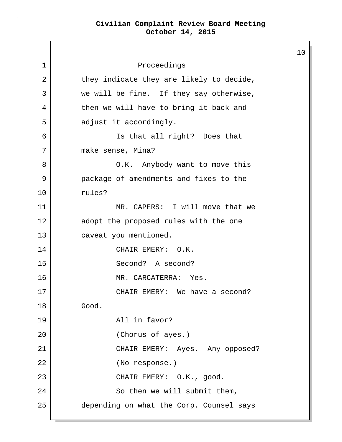10 1 Proceedings 2 they indicate they are likely to decide, 3 we will be fine. If they say otherwise, 4 then we will have to bring it back and 5 adjust it accordingly. 6 Is that all right? Does that 7 make sense, Mina? 8 | C.K. Anybody want to move this 9 package of amendments and fixes to the 10 rules? 11 MR. CAPERS: I will move that we 12 adopt the proposed rules with the one 13 caveat you mentioned. 14 CHAIR EMERY: O.K. 15 Second? A second? 16 MR. CARCATERRA: Yes. 17 | CHAIR EMERY: We have a second? 18 Good. 19 All in favor? 20 (Chorus of ayes.) 21 | CHAIR EMERY: Ayes. Any opposed? 22 (No response.) 23 CHAIR EMERY: O.K., good. 24 | So then we will submit them, 25 depending on what the Corp. Counsel says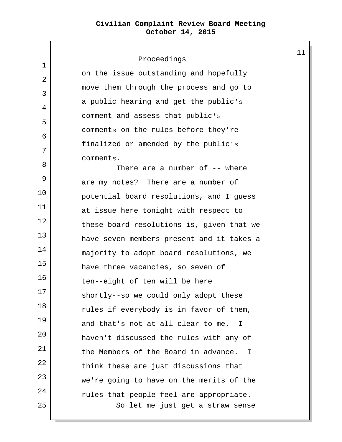| 1  | Proceedings                                    |
|----|------------------------------------------------|
| 2  | on the issue outstanding and hopefully         |
| 3  | move them through the process and go to        |
| 4  | a public hearing and get the public's          |
| 5  | comment and assess that public's               |
| 6  | comments on the rules before they're           |
| 7  | finalized or amended by the public's           |
| 8  | comments.<br>There are a number of $-$ - where |
| 9  | are my notes? There are a number of            |
| 10 | potential board resolutions, and I guess       |
| 11 | at issue here tonight with respect to          |
| 12 | these board resolutions is, given that we      |
| 13 | have seven members present and it takes a      |
| 14 | majority to adopt board resolutions, we        |
| 15 | have three vacancies, so seven of              |
| 16 | ten--eight of ten will be here                 |
| 17 | shortly--so we could only adopt these          |
| 18 | rules if everybody is in favor of them,        |
| 19 | and that's not at all clear to me. I           |
| 20 | haven't discussed the rules with any of        |
| 21 | the Members of the Board in advance.<br>I      |
| 22 | think these are just discussions that          |
| 23 | we're going to have on the merits of the       |
| 24 | rules that people feel are appropriate.        |
| 25 | So let me just get a straw sense               |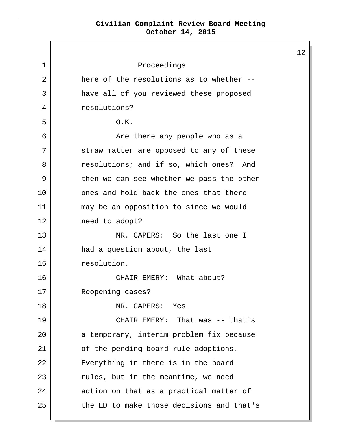$\mathbf{I}$ 

|    |                                           | $1$ : |
|----|-------------------------------------------|-------|
| 1  | Proceedings                               |       |
| 2  | here of the resolutions as to whether --  |       |
| 3  | have all of you reviewed these proposed   |       |
| 4  | resolutions?                              |       |
| 5  | 0.K.                                      |       |
| 6  | Are there any people who as a             |       |
| 7  | straw matter are opposed to any of these  |       |
| 8  | resolutions; and if so, which ones? And   |       |
| 9  | then we can see whether we pass the other |       |
| 10 | ones and hold back the ones that there    |       |
| 11 | may be an opposition to since we would    |       |
| 12 | need to adopt?                            |       |
| 13 | MR. CAPERS: So the last one I             |       |
| 14 | had a question about, the last            |       |
| 15 | resolution.                               |       |
| 16 | CHAIR EMERY: What about?                  |       |
| 17 | Reopening cases?                          |       |
| 18 | MR. CAPERS: Yes.                          |       |
| 19 | CHAIR EMERY: That was -- that's           |       |
| 20 | a temporary, interim problem fix because  |       |
| 21 | of the pending board rule adoptions.      |       |
| 22 | Everything in there is in the board       |       |
| 23 | rules, but in the meantime, we need       |       |
| 24 | action on that as a practical matter of   |       |
| 25 | the ED to make those decisions and that's |       |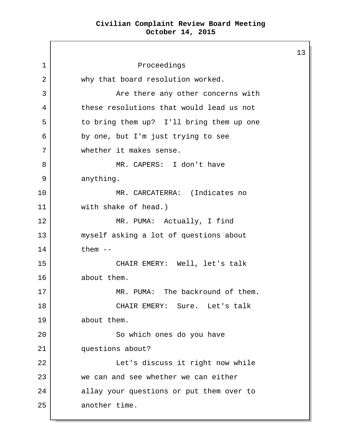13 1 Proceedings 2 why that board resolution worked. 3 | The there any other concerns with 4 these resolutions that would lead us not 5 | to bring them up? I'll bring them up one 6 by one, but I'm just trying to see 7 whether it makes sense. 8 MR. CAPERS: I don't have 9 anything. 10 MR. CARCATERRA: (Indicates no 11 with shake of head.) 12 MR. PUMA: Actually, I find 13 myself asking a lot of questions about 14 them --15 CHAIR EMERY: Well, let's talk 16 about them. 17 MR. PUMA: The backround of them. 18 CHAIR EMERY: Sure. Let's talk 19 about them. 20 | So which ones do you have 21 questions about? 22 | Kat's discuss it right now while 23 we can and see whether we can either 24 allay your questions or put them over to 25 another time.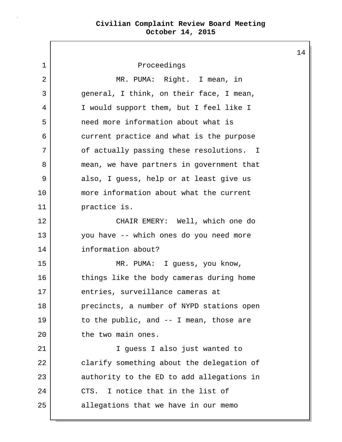1 Proceedings 2 | MR. PUMA: Right. I mean, in 3 general, I think, on their face, I mean, 4 I would support them, but I feel like I 5 need more information about what is 6 current practice and what is the purpose 7 of actually passing these resolutions. I 8 mean, we have partners in government that 9 also, I guess, help or at least give us 10 more information about what the current 11 practice is. 12 CHAIR EMERY: Well, which one do 13 you have -- which ones do you need more 14 information about? 15 MR. PUMA: I guess, you know, 16 things like the body cameras during home 17 entries, surveillance cameras at 18 precincts, a number of NYPD stations open 19 to the public, and -- I mean, those are 20 the two main ones. 21 I guess I also just wanted to 22 clarify something about the delegation of 23 authority to the ED to add allegations in 24 CTS. I notice that in the list of 25 allegations that we have in our memo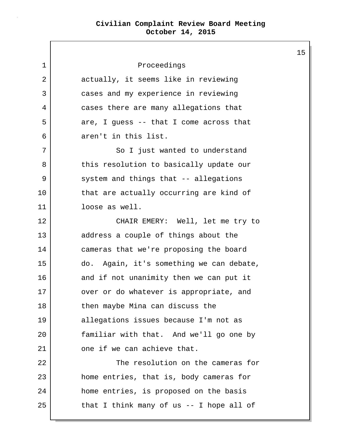| Proceedings                              |
|------------------------------------------|
| actually, it seems like in reviewing     |
| cases and my experience in reviewing     |
| cases there are many allegations that    |
| are, I guess $-$ that I come across that |
| aren't in this list.                     |
| So I just wanted to understand           |
| this resolution to basically update our  |
| system and things that -- allegations    |
| that are actually occurring are kind of  |
| loose as well.                           |
| CHAIR EMERY: Well, let me try to         |
| address a couple of things about the     |
| cameras that we're proposing the board   |
| do. Again, it's something we can debate, |
| and if not unanimity then we can put it  |
| over or do whatever is appropriate, and  |
| then maybe Mina can discuss the          |
| allegations issues because I'm not as    |
| familiar with that. And we'll go one by  |
| one if we can achieve that.              |
| The resolution on the cameras for        |
| home entries, that is, body cameras for  |
|                                          |
| home entries, is proposed on the basis   |
|                                          |

L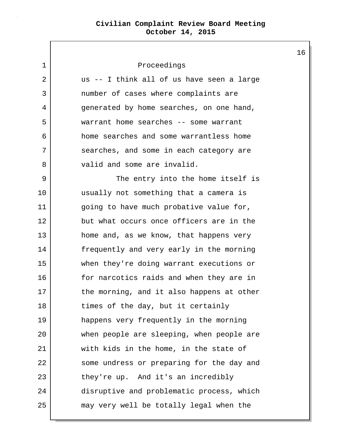1 Proceedings 2 | us -- I think all of us have seen a large 3 number of cases where complaints are 4 generated by home searches, on one hand, 5 warrant home searches -- some warrant 6 home searches and some warrantless home 7 searches, and some in each category are 8 valid and some are invalid. 9 The entry into the home itself is 10 usually not something that a camera is 11 | going to have much probative value for, 12 but what occurs once officers are in the 13 home and, as we know, that happens very 14 frequently and very early in the morning 15 when they're doing warrant executions or 16 for narcotics raids and when they are in 17 the morning, and it also happens at other 18 times of the day, but it certainly 19 happens very frequently in the morning 20 when people are sleeping, when people are 21 with kids in the home, in the state of 22 some undress or preparing for the day and 23 they're up. And it's an incredibly 24 disruptive and problematic process, which 25 may very well be totally legal when the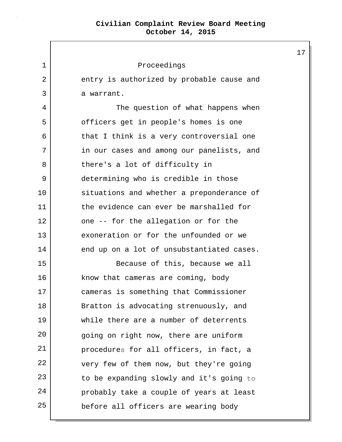$\mathbf{I}$ 

| 1  | Proceedings                               |  |
|----|-------------------------------------------|--|
| 2  | entry is authorized by probable cause and |  |
| 3  | a warrant.                                |  |
| 4  | The question of what happens when         |  |
| 5  | officers get in people's homes is one     |  |
| 6  | that I think is a very controversial one  |  |
| 7  | in our cases and among our panelists, and |  |
| 8  | there's a lot of difficulty in            |  |
| 9  | determining who is credible in those      |  |
| 10 | situations and whether a preponderance of |  |
| 11 | the evidence can ever be marshalled for   |  |
| 12 | one -- for the allegation or for the      |  |
| 13 | exoneration or for the unfounded or we    |  |
| 14 | end up on a lot of unsubstantiated cases. |  |
| 15 | Because of this, because we all           |  |
| 16 | know that cameras are coming, body        |  |
| 17 | cameras is something that Commissioner    |  |
| 18 | Bratton is advocating strenuously, and    |  |
| 19 | while there are a number of deterrents    |  |
| 20 | going on right now, there are uniform     |  |
| 21 | procedures for all officers, in fact, a   |  |
| 22 | very few of them now, but they're going   |  |
| 23 | to be expanding slowly and it's going to  |  |
| 24 | probably take a couple of years at least  |  |
| 25 | before all officers are wearing body      |  |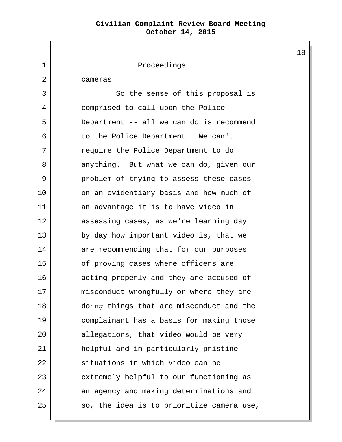1 Proceedings 2 cameras. 3 4 5 6 7 8 9 10 11 12 13 14 15 16 17 18 19 20 21 22 23 24 25 So the sense of this proposal is comprised to call upon the Police Department -- all we can do is recommend to the Police Department. We can't require the Police Department to do anything. But what we can do, given our problem of trying to assess these cases on an evidentiary basis and how much of an advantage it is to have video in assessing cases, as we're learning day by day how important video is, that we are recommending that for our purposes of proving cases where officers are acting properly and they are accused of misconduct wrongfully or where they are doing things that are misconduct and the complainant has a basis for making those allegations, that video would be very helpful and in particularly pristine situations in which video can be extremely helpful to our functioning as an agency and making determinations and so, the idea is to prioritize camera use,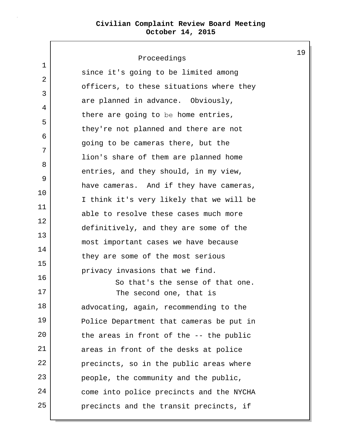1 2 3 4 5 6 7 8 9 10 11 12 13 14 15 Proceedings since it's going to be limited among officers, to these situations where they are planned in advance. Obviously, there are going to be home entries, they're not planned and there are not going to be cameras there, but the lion's share of them are planned home entries, and they should, in my view, have cameras. And if they have cameras, I think it's very likely that we will be able to resolve these cases much more definitively, and they are some of the most important cases we have because they are some of the most serious privacy invasions that we find. 16 So that's the sense of that one. 17 The second one, that is 18 advocating, again, recommending to the 19 Police Department that cameras be put in  $20$  the areas in front of the  $-$ - the public 21 areas in front of the desks at police 22 **precincts**, so in the public areas where 23 people, the community and the public, 24 come into police precincts and the NYCHA 25 precincts and the transit precincts, if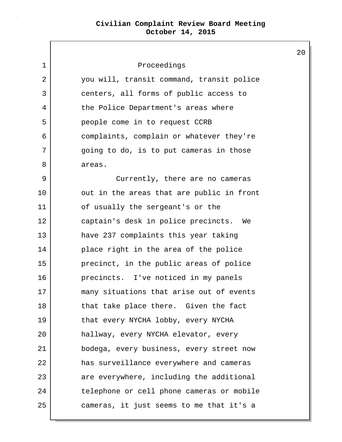$\mathsf{I}$ 

| $\mathbf 1$ | Proceedings                               |
|-------------|-------------------------------------------|
| 2           | you will, transit command, transit police |
| 3           | centers, all forms of public access to    |
| 4           | the Police Department's areas where       |
| 5           | people come in to request CCRB            |
| 6           | complaints, complain or whatever they're  |
| 7           | going to do, is to put cameras in those   |
| 8           | areas.                                    |
| 9           | Currently, there are no cameras           |
| 10          | out in the areas that are public in front |
| 11          | of usually the sergeant's or the          |
| 12          | captain's desk in police precincts. We    |
| 13          | have 237 complaints this year taking      |
| 14          | place right in the area of the police     |
| 15          | precinct, in the public areas of police   |
| 16          | precincts. I've noticed in my panels      |
| 17          | many situations that arise out of events  |
| 18          | that take place there. Given the fact     |
| 19          | that every NYCHA lobby, every NYCHA       |
| 20          | hallway, every NYCHA elevator, every      |
| 21          | bodega, every business, every street now  |
| 22          | has surveillance everywhere and cameras   |
| 23          | are everywhere, including the additional  |
| 24          | telephone or cell phone cameras or mobile |
| 25          | cameras, it just seems to me that it's a  |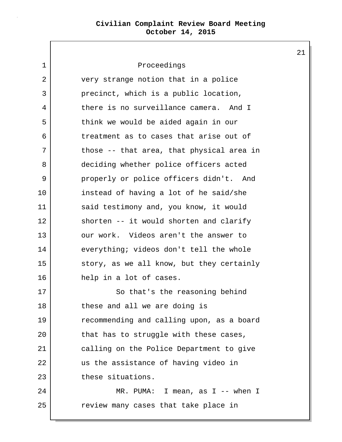1 Proceedings 2 very strange notion that in a police 3 precinct, which is a public location, 4 there is no surveillance camera. And I 5 think we would be aided again in our 6 treatment as to cases that arise out of 7 those -- that area, that physical area in 8 deciding whether police officers acted 9 properly or police officers didn't. And 10 instead of having a lot of he said/she 11 said testimony and, you know, it would 12 shorten -- it would shorten and clarify 13 our work. Videos aren't the answer to 14 everything; videos don't tell the whole 15 story, as we all know, but they certainly 16 help in a lot of cases. 17 So that's the reasoning behind 18 these and all we are doing is 19 recommending and calling upon, as a board 20 that has to struggle with these cases, 21 calling on the Police Department to give 22 us the assistance of having video in 23 these situations. 24 MR. PUMA: I mean, as I -- when I 25 | review many cases that take place in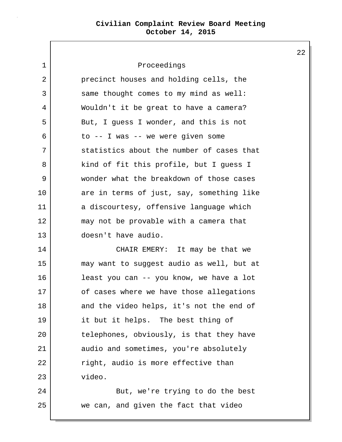$\mathsf{I}$ 

| $\mathbf 1$ | Proceedings                               |
|-------------|-------------------------------------------|
| 2           | precinct houses and holding cells, the    |
| 3           | same thought comes to my mind as well:    |
| 4           | Wouldn't it be great to have a camera?    |
| 5           | But, I guess I wonder, and this is not    |
| 6           | to $--$ I was $--$ we were given some     |
| 7           | statistics about the number of cases that |
| 8           | kind of fit this profile, but I quess I   |
| 9           | wonder what the breakdown of those cases  |
| 10          | are in terms of just, say, something like |
| 11          | a discourtesy, offensive language which   |
| 12          | may not be provable with a camera that    |
| 13          | doesn't have audio.                       |
| 14          | CHAIR EMERY: It may be that we            |
| 15          | may want to suggest audio as well, but at |
| 16          | least you can -- you know, we have a lot  |
| 17          | of cases where we have those allegations  |
| 18          | and the video helps, it's not the end of  |
| 19          | it but it helps. The best thing of        |
| 20          | telephones, obviously, is that they have  |
| 21          | audio and sometimes, you're absolutely    |
| 22          | right, audio is more effective than       |
| 23          | video.                                    |
| 24          | But, we're trying to do the best          |
| 25          | we can, and given the fact that video     |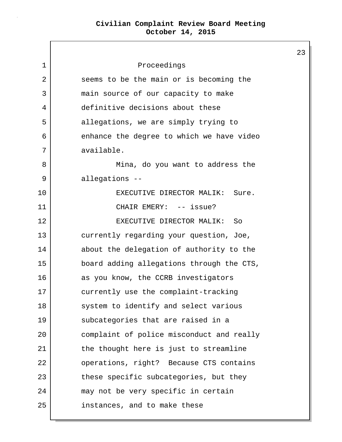$\mathsf{L}$ 

|    |                                           | 23 |
|----|-------------------------------------------|----|
| 1  | Proceedings                               |    |
| 2  | seems to be the main or is becoming the   |    |
| 3  | main source of our capacity to make       |    |
| 4  | definitive decisions about these          |    |
| 5  | allegations, we are simply trying to      |    |
| 6  | enhance the degree to which we have video |    |
| 7  | available.                                |    |
| 8  | Mina, do you want to address the          |    |
| 9  | allegations --                            |    |
| 10 | EXECUTIVE DIRECTOR MALIK: Sure.           |    |
| 11 | CHAIR EMERY: -- issue?                    |    |
| 12 | EXECUTIVE DIRECTOR MALIK:<br>So           |    |
| 13 | currently regarding your question, Joe,   |    |
| 14 | about the delegation of authority to the  |    |
| 15 | board adding allegations through the CTS, |    |
| 16 | as you know, the CCRB investigators       |    |
| 17 | currently use the complaint-tracking      |    |
| 18 | system to identify and select various     |    |
| 19 | subcategories that are raised in a        |    |
| 20 | complaint of police misconduct and really |    |
| 21 | the thought here is just to streamline    |    |
| 22 | operations, right? Because CTS contains   |    |
| 23 | these specific subcategories, but they    |    |
| 24 | may not be very specific in certain       |    |
| 25 | instances, and to make these              |    |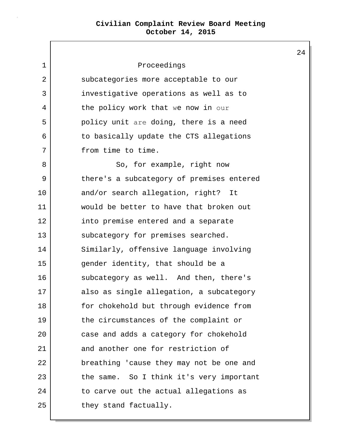| 1  | Proceedings                               |
|----|-------------------------------------------|
| 2  | subcategories more acceptable to our      |
| 3  | investigative operations as well as to    |
| 4  | the policy work that we now in our        |
| 5  | policy unit are doing, there is a need    |
| 6  | to basically update the CTS allegations   |
| 7  | from time to time.                        |
| 8  | So, for example, right now                |
| 9  | there's a subcategory of premises entered |
| 10 | and/or search allegation, right? It       |
| 11 | would be better to have that broken out   |
| 12 | into premise entered and a separate       |
| 13 | subcategory for premises searched.        |
| 14 | Similarly, offensive language involving   |
| 15 | gender identity, that should be a         |
| 16 | subcategory as well. And then, there's    |
| 17 | also as single allegation, a subcategory  |
| 18 | for chokehold but through evidence from   |
| 19 | the circumstances of the complaint or     |
| 20 | case and adds a category for chokehold    |
| 21 | and another one for restriction of        |
| 22 | breathing 'cause they may not be one and  |
| 23 | the same. So I think it's very important  |
| 24 | to carve out the actual allegations as    |
| 25 | they stand factually.                     |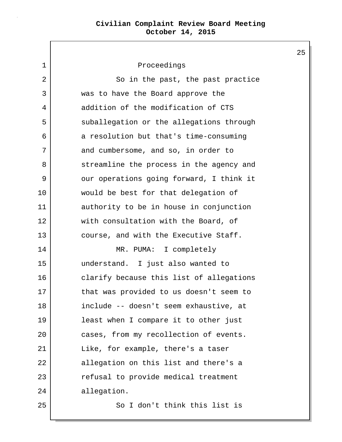25

1 Proceedings 2 | So in the past, the past practice 3 was to have the Board approve the 4 addition of the modification of CTS 5 suballegation or the allegations through 6 a resolution but that's time-consuming 7 and cumbersome, and so, in order to 8 Streamline the process in the agency and 9 | our operations going forward, I think it 10 would be best for that delegation of 11 authority to be in house in conjunction 12 with consultation with the Board, of 13 course, and with the Executive Staff. 14 MR. PUMA: I completely 15 understand. I just also wanted to 16 clarify because this list of allegations 17 that was provided to us doesn't seem to 18 include -- doesn't seem exhaustive, at 19 least when I compare it to other just 20 cases, from my recollection of events. 21 Like, for example, there's a taser 22 allegation on this list and there's a 23 | refusal to provide medical treatment 24 allegation. 25 | So I don't think this list is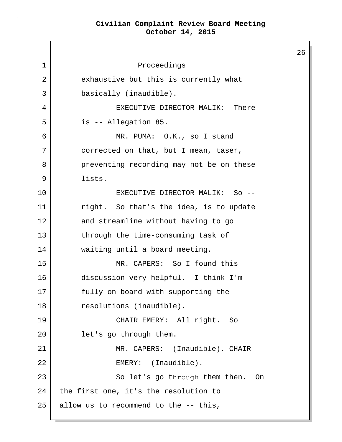26 1 Proceedings 2 exhaustive but this is currently what 3 basically (inaudible). 4 EXECUTIVE DIRECTOR MALIK: There 5 is -- Allegation 85. 6 MR. PUMA: O.K., so I stand 7 corrected on that, but I mean, taser, 8 preventing recording may not be on these 9 lists. 10 EXECUTIVE DIRECTOR MALIK: So -- 11 right. So that's the idea, is to update 12 and streamline without having to go 13 through the time-consuming task of 14 waiting until a board meeting. 15 MR. CAPERS: So I found this 16 discussion very helpful. I think I'm 17 fully on board with supporting the 18 resolutions (inaudible). 19 CHAIR EMERY: All right. So 20 let's go through them. 21 22 23 MR. CAPERS: (Inaudible). CHAIR EMERY: (Inaudible). 24 25 So let's go through them then. On the first one, it's the resolution to allow us to recommend to the -- this,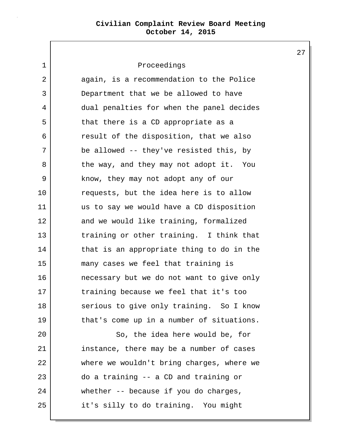| 1  | Proceedings                               |
|----|-------------------------------------------|
| 2  | again, is a recommendation to the Police  |
| 3  | Department that we be allowed to have     |
| 4  | dual penalties for when the panel decides |
| 5  | that there is a CD appropriate as a       |
| 6  | result of the disposition, that we also   |
| 7  | be allowed -- they've resisted this, by   |
| 8  | the way, and they may not adopt it. You   |
| 9  | know, they may not adopt any of our       |
| 10 | requests, but the idea here is to allow   |
| 11 | us to say we would have a CD disposition  |
| 12 | and we would like training, formalized    |
| 13 | training or other training. I think that  |
| 14 | that is an appropriate thing to do in the |
| 15 | many cases we feel that training is       |
| 16 | necessary but we do not want to give only |
| 17 | training because we feel that it's too    |
| 18 | serious to give only training. So I know  |
| 19 | that's come up in a number of situations. |
| 20 | So, the idea here would be, for           |
| 21 | instance, there may be a number of cases  |
| 22 | where we wouldn't bring charges, where we |
| 23 | do a training -- a CD and training or     |
| 24 | whether -- because if you do charges,     |
| 25 | it's silly to do training. You might      |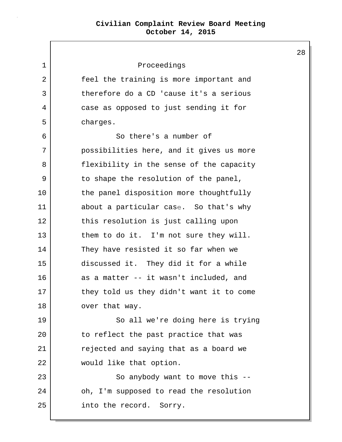| 1  | Proceedings                              |
|----|------------------------------------------|
| 2  | feel the training is more important and  |
| 3  | therefore do a CD 'cause it's a serious  |
| 4  | case as opposed to just sending it for   |
| 5  | charges.                                 |
| 6  | So there's a number of                   |
| 7  | possibilities here, and it gives us more |
| 8  | flexibility in the sense of the capacity |
| 9  | to shape the resolution of the panel,    |
| 10 | the panel disposition more thoughtfully  |
| 11 | about a particular case. So that's why   |
| 12 | this resolution is just calling upon     |
| 13 | them to do it. I'm not sure they will.   |
| 14 | They have resisted it so far when we     |
| 15 | discussed it. They did it for a while    |
| 16 | as a matter -- it wasn't included, and   |
| 17 | they told us they didn't want it to come |
| 18 | over that way.                           |
| 19 | So all we're doing here is trying        |
| 20 | to reflect the past practice that was    |
| 21 | rejected and saying that as a board we   |
| 22 | would like that option.                  |
| 23 | So anybody want to move this --          |
| 24 | oh, I'm supposed to read the resolution  |
| 25 | into the record. Sorry.                  |
|    |                                          |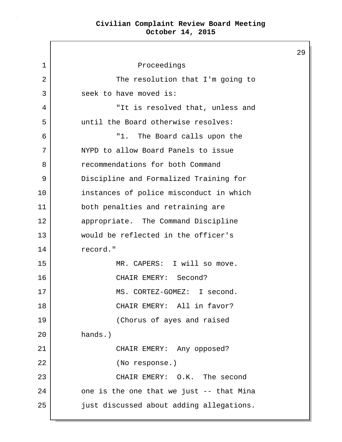$\mathsf{I}$ 

|                |                                          | 2 |
|----------------|------------------------------------------|---|
| $\mathbf 1$    | Proceedings                              |   |
| $\overline{2}$ | The resolution that I'm going to         |   |
| 3              | seek to have moved is:                   |   |
| 4              | "It is resolved that, unless and         |   |
| 5              | until the Board otherwise resolves:      |   |
| 6              | "1. The Board calls upon the             |   |
| 7              | NYPD to allow Board Panels to issue      |   |
| 8              | recommendations for both Command         |   |
| 9              | Discipline and Formalized Training for   |   |
| 10             | instances of police misconduct in which  |   |
| 11             | both penalties and retraining are        |   |
| 12             | appropriate. The Command Discipline      |   |
| 13             | would be reflected in the officer's      |   |
| 14             | record."                                 |   |
| 15             | MR. CAPERS: I will so move.              |   |
| 16             | CHAIR EMERY: Second?                     |   |
| 17             | MS. CORTEZ-GOMEZ: I second.              |   |
| 18             | CHAIR EMERY: All in favor?               |   |
| 19             | (Chorus of ayes and raised               |   |
| 20             | hands.)                                  |   |
| 21             | CHAIR EMERY: Any opposed?                |   |
| 22             | (No response.)                           |   |
| 23             | CHAIR EMERY: O.K. The second             |   |
| 24             | one is the one that we just -- that Mina |   |
| 25             | just discussed about adding allegations. |   |
|                |                                          |   |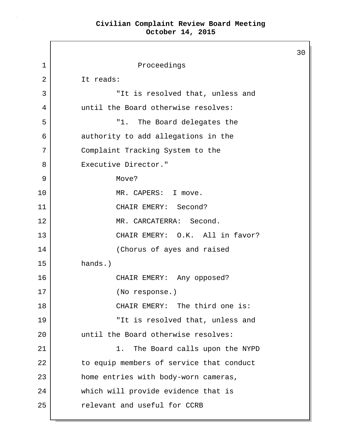30 1 Proceedings 2 It reads: 3 "It is resolved that, unless and 4 until the Board otherwise resolves: 5 | The Board delegates the 6 authority to add allegations in the 7 Complaint Tracking System to the 8 Executive Director." 9 Move? 10 MR. CAPERS: I move. 11 CHAIR EMERY: Second? 12 | MR. CARCATERRA: Second. 13 CHAIR EMERY: O.K. All in favor? 14 (Chorus of ayes and raised 15 hands.) 16 CHAIR EMERY: Any opposed? 17 (No response.) 18 CHAIR EMERY: The third one is: 19 "It is resolved that, unless and 20 until the Board otherwise resolves: 21 | 21 | 21 | 1. The Board calls upon the NYPD 22 to equip members of service that conduct 23 home entries with body-worn cameras, 24 which will provide evidence that is 25 relevant and useful for CCRB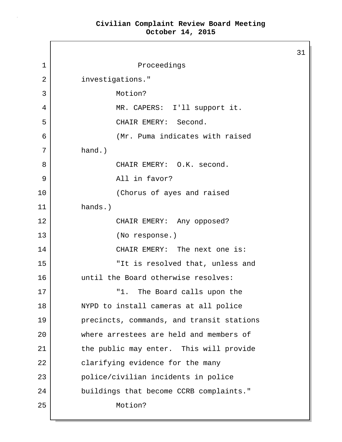31 1 Proceedings 2 | investigations." 3 Motion? 4 MR. CAPERS: I'll support it. 5 CHAIR EMERY: Second. 6 (Mr. Puma indicates with raised 7 hand.) 8 CHAIR EMERY: O.K. second. 9 All in favor? 10 (Chorus of ayes and raised 11 hands.) 12 CHAIR EMERY: Any opposed? 13 (No response.) 14 CHAIR EMERY: The next one is: 15 "It is resolved that, unless and 16 until the Board otherwise resolves: 17 | The Board calls upon the 18 NYPD to install cameras at all police 19 precincts, commands, and transit stations 20 where arrestees are held and members of 21 the public may enter. This will provide 22 clarifying evidence for the many 23 police/civilian incidents in police 24 buildings that become CCRB complaints." 25 Motion?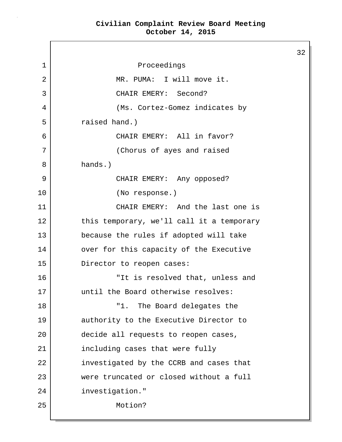32 1 Proceedings 2 | MR. PUMA: I will move it. 3 CHAIR EMERY: Second? 4 (Ms. Cortez-Gomez indicates by 5 raised hand.) 6 CHAIR EMERY: All in favor? 7 (Chorus of ayes and raised 8 hands.) 9 CHAIR EMERY: Any opposed? 10 (No response.) 11 CHAIR EMERY: And the last one is 12 this temporary, we'll call it a temporary 13 because the rules if adopted will take 14 over for this capacity of the Executive 15 Director to reopen cases: 16 "It is resolved that, unless and 17 until the Board otherwise resolves: 18 | The Board delegates the 19 authority to the Executive Director to 20 decide all requests to reopen cases, 21 including cases that were fully 22 investigated by the CCRB and cases that 23 were truncated or closed without a full 24 investigation." 25 Motion?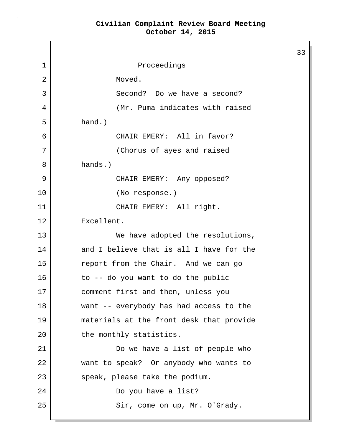33 1 Proceedings 2 Moved. 3 Second? Do we have a second? 4 (Mr. Puma indicates with raised 5 hand.) 6 CHAIR EMERY: All in favor? 7 (Chorus of ayes and raised 8 hands.) 9 CHAIR EMERY: Any opposed? 10 (No response.) 11 CHAIR EMERY: All right. 12 Excellent. 13 We have adopted the resolutions, 14 and I believe that is all I have for the 15 report from the Chair. And we can go 16 to -- do you want to do the public 17 comment first and then, unless you 18 want -- everybody has had access to the 19 materials at the front desk that provide 20 the monthly statistics. 21 Do we have a list of people who 22 want to speak? Or anybody who wants to 23 speak, please take the podium. 24 Do you have a list? 25 Sir, come on up, Mr. O'Grady.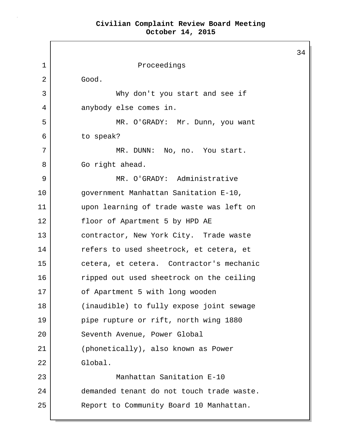34 1 Proceedings 2 Good. 3 Why don't you start and see if 4 anybody else comes in. 5 MR. O'GRADY: Mr. Dunn, you want 6 to speak? 7 MR. DUNN: No, no. You start. 8 Go right ahead. 9 MR. O'GRADY: Administrative 10 government Manhattan Sanitation E-10, 11 upon learning of trade waste was left on 12 floor of Apartment 5 by HPD AE 13 contractor, New York City. Trade waste 14 refers to used sheetrock, et cetera, et 15 cetera, et cetera. Contractor's mechanic 16 ripped out used sheetrock on the ceiling 17 of Apartment 5 with long wooden 18 (inaudible) to fully expose joint sewage 19 pipe rupture or rift, north wing 1880 20 Seventh Avenue, Power Global 21 (phonetically), also known as Power 22 Global. 23 Manhattan Sanitation E-10 24 demanded tenant do not touch trade waste. 25 Report to Community Board 10 Manhattan.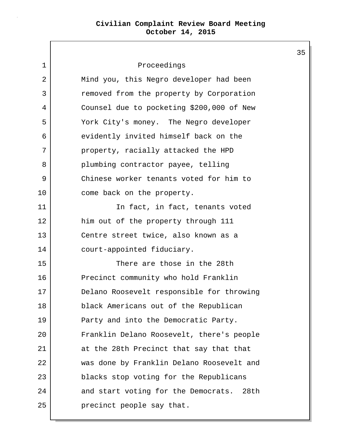1 Proceedings 2 Mind you, this Negro developer had been 3 The removed from the property by Corporation 4 Counsel due to pocketing \$200,000 of New 5 York City's money. The Negro developer 6 evidently invited himself back on the 7 property, racially attacked the HPD 8 plumbing contractor payee, telling 9 Chinese worker tenants voted for him to 10 come back on the property. 11 | The fact, in fact, tenants voted 12 him out of the property through 111 13 Centre street twice, also known as a 14 court-appointed fiduciary. 15 There are those in the 28th 16 Precinct community who hold Franklin 17 Delano Roosevelt responsible for throwing 18 black Americans out of the Republican 19 Party and into the Democratic Party. 20 Franklin Delano Roosevelt, there's people 21 at the 28th Precinct that say that that 22 was done by Franklin Delano Roosevelt and 23 blacks stop voting for the Republicans 24 and start voting for the Democrats. 28th 25 precinct people say that.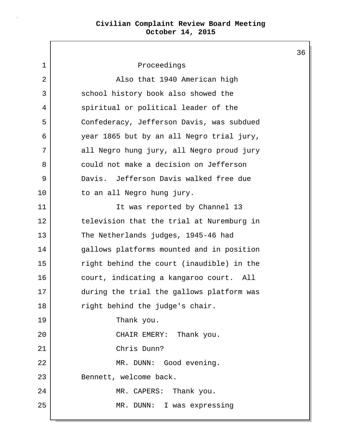1 Proceedings 2 | Also that 1940 American high 3 School history book also showed the 4 spiritual or political leader of the 5 Confederacy, Jefferson Davis, was subdued 6 year 1865 but by an all Negro trial jury, 7 all Negro hung jury, all Negro proud jury 8 could not make a decision on Jefferson 9 Davis. Jefferson Davis walked free due 10 to an all Negro hung jury. 11 | The Was reported by Channel 13 12 television that the trial at Nuremburg in 13 The Netherlands judges, 1945-46 had 14 gallows platforms mounted and in position 15 | Tight behind the court (inaudible) in the 16 court, indicating a kangaroo court. All 17 during the trial the gallows platform was 18 right behind the judge's chair. 19 Thank you. 20 CHAIR EMERY: Thank you. 21 Chris Dunn? 22 MR. DUNN: Good evening. 23 Bennett, welcome back. 24 MR. CAPERS: Thank you. 25 MR. DUNN: I was expressing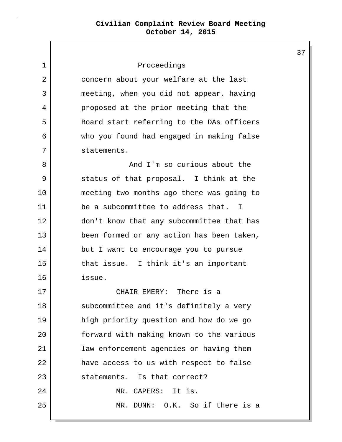$\mathsf{I}$ 

| 1  | Proceedings                               |
|----|-------------------------------------------|
| 2  | concern about your welfare at the last    |
| 3  | meeting, when you did not appear, having  |
| 4  | proposed at the prior meeting that the    |
| 5  | Board start referring to the DAs officers |
| 6  | who you found had engaged in making false |
| 7  | statements.                               |
| 8  | And I'm so curious about the              |
| 9  | status of that proposal. I think at the   |
| 10 | meeting two months ago there was going to |
| 11 | be a subcommittee to address that. I      |
| 12 | don't know that any subcommittee that has |
| 13 | been formed or any action has been taken, |
| 14 | but I want to encourage you to pursue     |
| 15 | that issue. I think it's an important     |
| 16 | issue.                                    |
| 17 | CHAIR EMERY: There is a                   |
| 18 | subcommittee and it's definitely a very   |
| 19 | high priority question and how do we go   |
| 20 | forward with making known to the various  |
| 21 | law enforcement agencies or having them   |
| 22 | have access to us with respect to false   |
| 23 | statements. Is that correct?              |
| 24 | MR. CAPERS: It is.                        |
| 25 | MR. DUNN: O.K. So if there is a           |
|    |                                           |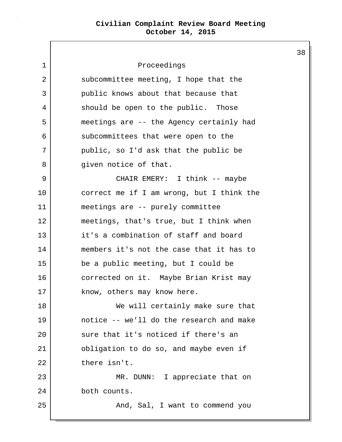$\mathbf{I}$ 

|    |                                           | 3 |
|----|-------------------------------------------|---|
| 1  | Proceedings                               |   |
| 2  | subcommittee meeting, I hope that the     |   |
| 3  | public knows about that because that      |   |
| 4  | should be open to the public. Those       |   |
| 5  | meetings are -- the Agency certainly had  |   |
| 6  | subcommittees that were open to the       |   |
| 7  | public, so I'd ask that the public be     |   |
| 8  | given notice of that.                     |   |
| 9  | CHAIR EMERY: I think -- maybe             |   |
| 10 | correct me if I am wrong, but I think the |   |
| 11 | meetings are -- purely committee          |   |
| 12 | meetings, that's true, but I think when   |   |
| 13 | it's a combination of staff and board     |   |
| 14 | members it's not the case that it has to  |   |
| 15 | be a public meeting, but I could be       |   |
| 16 | corrected on it. Maybe Brian Krist may    |   |
| 17 | know, others may know here.               |   |
| 18 | We will certainly make sure that          |   |
| 19 | notice -- we'll do the research and make  |   |
| 20 | sure that it's noticed if there's an      |   |
| 21 | obligation to do so, and maybe even if    |   |
| 22 | there isn't.                              |   |
| 23 | MR. DUNN: I appreciate that on            |   |
| 24 | both counts.                              |   |
| 25 | And, Sal, I want to commend you           |   |
|    |                                           |   |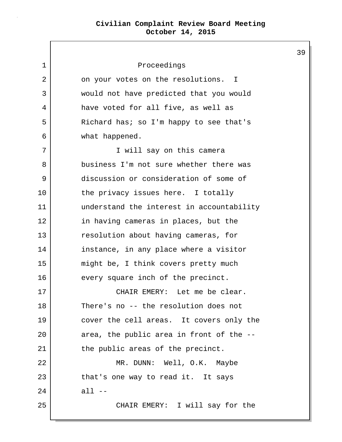|    |                                           | 3 |
|----|-------------------------------------------|---|
| 1  | Proceedings                               |   |
| 2  | on your votes on the resolutions. I       |   |
| 3  | would not have predicted that you would   |   |
| 4  | have voted for all five, as well as       |   |
| 5  | Richard has; so I'm happy to see that's   |   |
| 6  | what happened.                            |   |
| 7  | I will say on this camera                 |   |
| 8  | business I'm not sure whether there was   |   |
| 9  | discussion or consideration of some of    |   |
| 10 | the privacy issues here. I totally        |   |
| 11 | understand the interest in accountability |   |
| 12 | in having cameras in places, but the      |   |
| 13 | resolution about having cameras, for      |   |
| 14 | instance, in any place where a visitor    |   |
| 15 | might be, I think covers pretty much      |   |
| 16 | every square inch of the precinct.        |   |
| 17 | CHAIR EMERY: Let me be clear.             |   |
| 18 | There's no -- the resolution does not     |   |
| 19 | cover the cell areas. It covers only the  |   |
| 20 | area, the public area in front of the --  |   |
| 21 | the public areas of the precinct.         |   |
| 22 | MR. DUNN: Well, O.K. Maybe                |   |
| 23 | that's one way to read it. It says        |   |
| 24 | all $--$                                  |   |
| 25 | CHAIR EMERY: I will say for the           |   |
|    |                                           |   |

 $9<sup>°</sup>$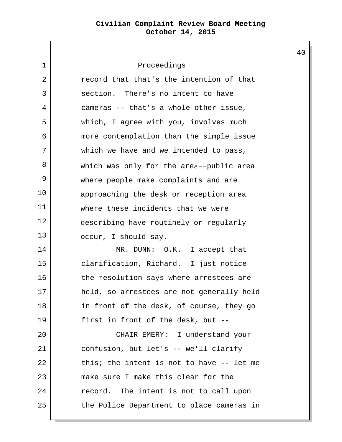1 Proceedings 2 record that that's the intention of that 3 section. There's no intent to have 4 cameras -- that's a whole other issue, 5 which, I agree with you, involves much 6 more contemplation than the simple issue 7 which we have and we intended to pass, 8 9 10 11 12 13 which was only for the area--public area where people make complaints and are approaching the desk or reception area where these incidents that we were describing have routinely or regularly occur, I should say. 14 MR. DUNN: O.K. I accept that 15 clarification, Richard. I just notice 16 the resolution says where arrestees are 17 held, so arrestees are not generally held 18 in front of the desk, of course, they go 19 first in front of the desk, but --20 CHAIR EMERY: I understand your 21 confusion, but let's -- we'll clarify  $22$  this; the intent is not to have  $-$  let me 23 make sure I make this clear for the 24 record. The intent is not to call upon 25 the Police Department to place cameras in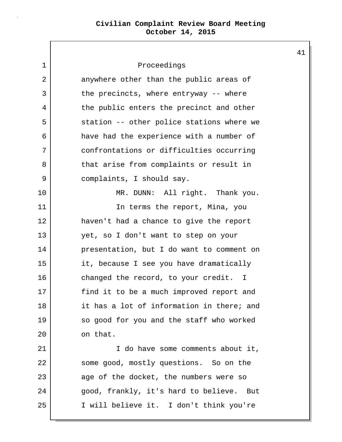1 Proceedings 2 anywhere other than the public areas of 3 the precincts, where entryway -- where 4 the public enters the precinct and other 5 station -- other police stations where we 6 have had the experience with a number of 7 confrontations or difficulties occurring 8 that arise from complaints or result in 9 complaints, I should say. 10 MR. DUNN: All right. Thank you. 11 | The terms the report, Mina, you 12 haven't had a chance to give the report 13 yet, so I don't want to step on your 14 presentation, but I do want to comment on 15 it, because I see you have dramatically 16 changed the record, to your credit. I 17 find it to be a much improved report and 18 it has a lot of information in there; and 19 so good for you and the staff who worked 20 on that. 21 I do have some comments about it, 22 some good, mostly questions. So on the 23 age of the docket, the numbers were so 24 good, frankly, it's hard to believe. But 25 I will believe it. I don't think you're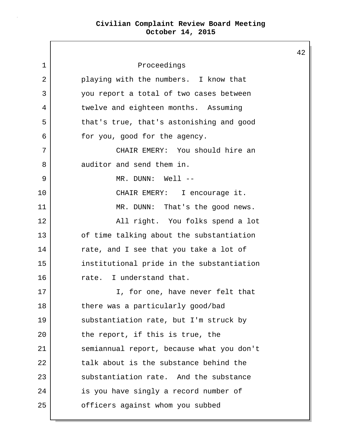1 Proceedings 2 playing with the numbers. I know that 3 you report a total of two cases between 4 twelve and eighteen months. Assuming 5 that's true, that's astonishing and good 6 for you, good for the agency. 7 CHAIR EMERY: You should hire an 8 auditor and send them in. 9 MR. DUNN: Well -- 10 CHAIR EMERY: I encourage it. 11 MR. DUNN: That's the good news. 12 all right. You folks spend a lot 13 of time talking about the substantiation 14 rate, and I see that you take a lot of 15 institutional pride in the substantiation 16 **1** rate. I understand that. 17 | T, for one, have never felt that 18 there was a particularly good/bad 19 substantiation rate, but I'm struck by 20 the report, if this is true, the 21 semiannual report, because what you don't  $22$  talk about is the substance behind the 23 substantiation rate. And the substance 24 is you have singly a record number of 25 officers against whom you subbed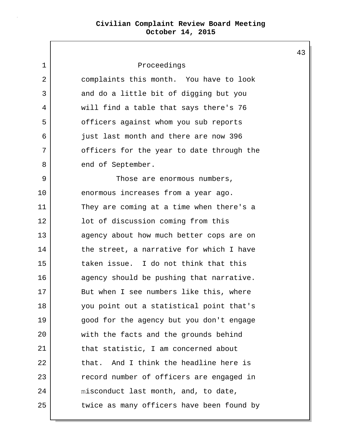$\Gamma$ 

| 1  | Proceedings                               |
|----|-------------------------------------------|
| 2  | complaints this month. You have to look   |
| 3  | and do a little bit of digging but you    |
| 4  | will find a table that says there's 76    |
| 5  | officers against whom you sub reports     |
| 6  | just last month and there are now 396     |
| 7  | officers for the year to date through the |
| 8  | end of September.                         |
| 9  | Those are enormous numbers,               |
| 10 | enormous increases from a year ago.       |
| 11 | They are coming at a time when there's a  |
| 12 | lot of discussion coming from this        |
| 13 | agency about how much better cops are on  |
| 14 | the street, a narrative for which I have  |
| 15 | taken issue. I do not think that this     |
| 16 | agency should be pushing that narrative.  |
| 17 | But when I see numbers like this, where   |
| 18 | you point out a statistical point that's  |
| 19 | good for the agency but you don't engage  |
| 20 | with the facts and the grounds behind     |
| 21 | that statistic, I am concerned about      |
| 22 | that. And I think the headline here is    |
| 23 | record number of officers are engaged in  |
| 24 | misconduct last month, and, to date,      |
| 25 | twice as many officers have been found by |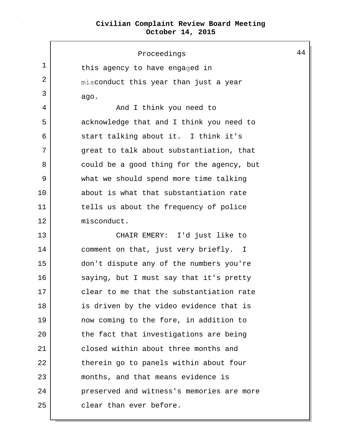|             | Proceedings                               |
|-------------|-------------------------------------------|
| 1           | this agency to have engaged in            |
| 2           | misconduct this year than just a year     |
| 3           | ago.                                      |
| 4           | And I think you need to                   |
| 5           | acknowledge that and I think you need to  |
| 6           | start talking about it. I think it's      |
| 7           | great to talk about substantiation, that  |
| 8           | could be a good thing for the agency, but |
| $\mathsf 9$ | what we should spend more time talking    |
| 10          | about is what that substantiation rate    |
| 11          | tells us about the frequency of police    |
| 12          | misconduct.                               |
| 13          | CHAIR EMERY: I'd just like to             |
| 14          | comment on that, just very briefly. I     |
| 15          | don't dispute any of the numbers you're   |
| 16          | saying, but I must say that it's pretty   |
| 17          | clear to me that the substantiation rate  |
| 18          | is driven by the video evidence that is   |
| 19          | now coming to the fore, in addition to    |
| 20          | the fact that investigations are being    |
| 21          | closed within about three months and      |
| 22          | therein go to panels within about four    |
| 23          | months, and that means evidence is        |
| 24          | preserved and witness's memories are more |
| 25          | clear than ever before.                   |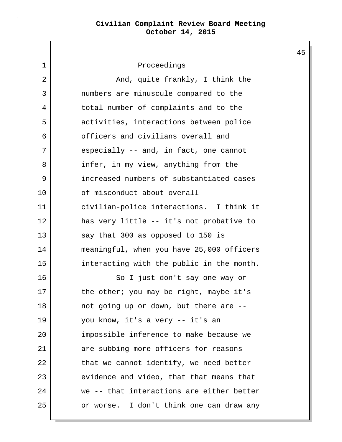1 Proceedings 2 | The Mond, quite frankly, I think the 3 numbers are minuscule compared to the 4 total number of complaints and to the 5 activities, interactions between police 6 officers and civilians overall and 7 especially -- and, in fact, one cannot 8 | infer, in my view, anything from the 9 increased numbers of substantiated cases 10 of misconduct about overall 11 civilian-police interactions. I think it 12 has very little -- it's not probative to 13 say that 300 as opposed to 150 is 14 meaningful, when you have 25,000 officers 15 interacting with the public in the month. 16 So I just don't say one way or 17 the other; you may be right, maybe it's 18 not going up or down, but there are --19 you know, it's a very -- it's an 20 | impossible inference to make because we 21 are subbing more officers for reasons 22 that we cannot identify, we need better 23 evidence and video, that that means that 24 we -- that interactions are either better 25 or worse. I don't think one can draw any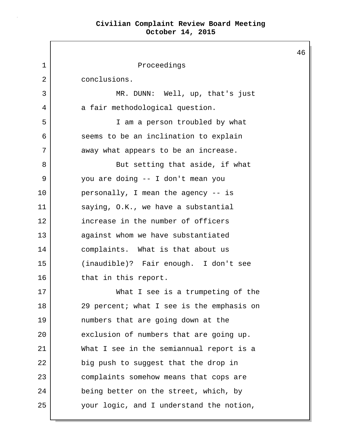46 1 Proceedings 2 conclusions. 3 MR. DUNN: Well, up, that's just 4 a fair methodological question. 5 I am a person troubled by what 6 seems to be an inclination to explain 7 away what appears to be an increase. 8 But setting that aside, if what 9 you are doing -- I don't mean you 10 personally, I mean the agency -- is 11 saying, O.K., we have a substantial 12 increase in the number of officers 13 against whom we have substantiated 14 complaints. What is that about us 15 (inaudible)? Fair enough. I don't see 16 that in this report. 17 What I see is a trumpeting of the 18 29 percent; what I see is the emphasis on 19 numbers that are going down at the 20 exclusion of numbers that are going up. 21 What I see in the semiannual report is a 22 big push to suggest that the drop in 23 complaints somehow means that cops are 24 being better on the street, which, by 25 your logic, and I understand the notion,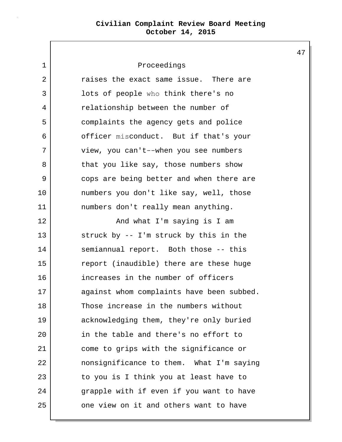1 2 3 4 5 6 7 8 9 10 11 Proceedings raises the exact same issue. There are lots of people who think there's no relationship between the number of complaints the agency gets and police officer misconduct. But if that's your view, you can't--when you see numbers that you like say, those numbers show cops are being better and when there are numbers you don't like say, well, those numbers don't really mean anything. 12 and what I'm saying is I am 13 struck by -- I'm struck by this in the 14 semiannual report. Both those -- this 15 | Teport (inaudible) there are these huge 16 increases in the number of officers 17 against whom complaints have been subbed. 18 Those increase in the numbers without 19 acknowledging them, they're only buried 20 in the table and there's no effort to 21 come to grips with the significance or 22 nonsignificance to them. What I'm saying 23 to you is I think you at least have to 24 grapple with if even if you want to have 25 one view on it and others want to have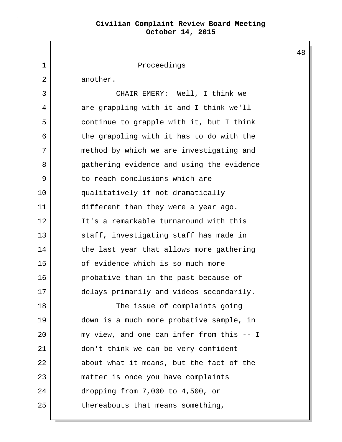|    |                                           | 48 |
|----|-------------------------------------------|----|
| 1  | Proceedings                               |    |
| 2  | another.                                  |    |
| 3  | CHAIR EMERY: Well, I think we             |    |
| 4  | are grappling with it and I think we'll   |    |
| 5  | continue to grapple with it, but I think  |    |
| 6  | the grappling with it has to do with the  |    |
| 7  | method by which we are investigating and  |    |
| 8  | gathering evidence and using the evidence |    |
| 9  | to reach conclusions which are            |    |
| 10 | qualitatively if not dramatically         |    |
| 11 | different than they were a year ago.      |    |
| 12 | It's a remarkable turnaround with this    |    |
| 13 | staff, investigating staff has made in    |    |
| 14 | the last year that allows more gathering  |    |
| 15 | of evidence which is so much more         |    |
| 16 | probative than in the past because of     |    |
| 17 | delays primarily and videos secondarily.  |    |
| 18 | The issue of complaints going             |    |
| 19 | down is a much more probative sample, in  |    |
| 20 | my view, and one can infer from this -- I |    |
| 21 | don't think we can be very confident      |    |
| 22 | about what it means, but the fact of the  |    |
| 23 | matter is once you have complaints        |    |
| 24 | dropping from 7,000 to 4,500, or          |    |
| 25 | thereabouts that means something,         |    |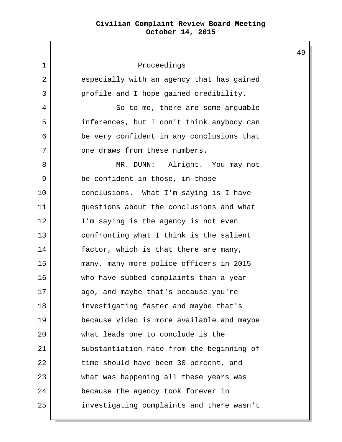1 Proceedings 2 especially with an agency that has gained 3 profile and I hope gained credibility. 4 So to me, there are some arguable 5 inferences, but I don't think anybody can 6 be very confident in any conclusions that 7 one draws from these numbers. 8 | KR. DUNN: Alright. You may not 9 be confident in those, in those 10 conclusions. What I'm saying is I have 11 questions about the conclusions and what 12 I'm saying is the agency is not even 13 | confronting what I think is the salient 14 factor, which is that there are many, 15 many, many more police officers in 2015 16 who have subbed complaints than a year 17 ago, and maybe that's because you're 18 investigating faster and maybe that's 19 because video is more available and maybe 20 what leads one to conclude is the 21 substantiation rate from the beginning of 22 time should have been 30 percent, and 23 what was happening all these years was 24 because the agency took forever in 25 investigating complaints and there wasn't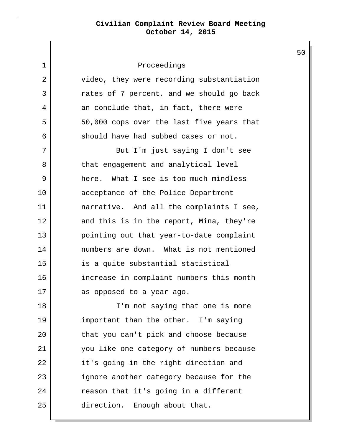| 1  | Proceedings                               |
|----|-------------------------------------------|
| 2  | video, they were recording substantiation |
| 3  | rates of 7 percent, and we should go back |
| 4  | an conclude that, in fact, there were     |
| 5  | 50,000 cops over the last five years that |
| 6  | should have had subbed cases or not.      |
| 7  | But I'm just saying I don't see           |
| 8  | that engagement and analytical level      |
| 9  | here. What I see is too much mindless     |
| 10 | acceptance of the Police Department       |
| 11 | narrative. And all the complaints I see,  |
| 12 | and this is in the report, Mina, they're  |
| 13 | pointing out that year-to-date complaint  |
| 14 | numbers are down. What is not mentioned   |
| 15 | is a quite substantial statistical        |
| 16 | increase in complaint numbers this month  |
| 17 | as opposed to a year ago.                 |
| 18 | I'm not saying that one is more           |
| 19 | important than the other. I'm saying      |
| 20 | that you can't pick and choose because    |
| 21 | you like one category of numbers because  |
| 22 | it's going in the right direction and     |
| 23 | ignore another category because for the   |
| 24 | reason that it's going in a different     |
| 25 | direction. Enough about that.             |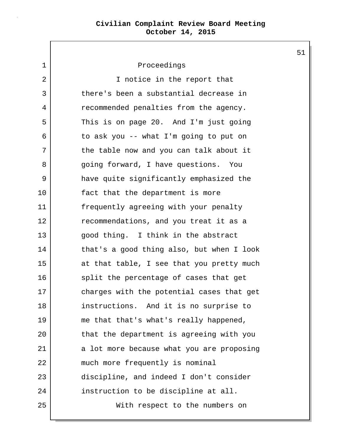1 Proceedings 2 I notice in the report that 3 there's been a substantial decrease in 4 recommended penalties from the agency. 5 This is on page 20. And I'm just going  $6$  to ask you -- what I'm going to put on 7 the table now and you can talk about it 8 | going forward, I have questions. You 9 have quite significantly emphasized the 10 fact that the department is more 11 frequently agreeing with your penalty 12 recommendations, and you treat it as a 13 good thing. I think in the abstract 14 that's a good thing also, but when I look 15 at that table, I see that you pretty much 16 split the percentage of cases that get 17 charges with the potential cases that get 18 instructions. And it is no surprise to 19 me that that's what's really happened, 20 | that the department is agreeing with you 21 a lot more because what you are proposing 22 much more frequently is nominal 23 discipline, and indeed I don't consider 24 instruction to be discipline at all. 25 | With respect to the numbers on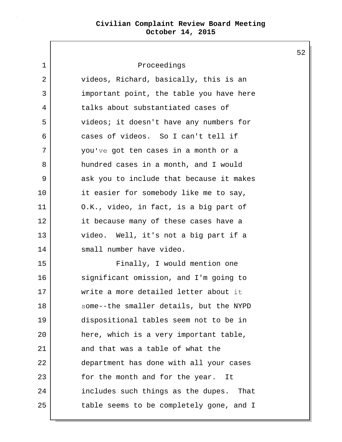1 2 3 4 5 6 7 8 9 10 11 12 13 14 Proceedings videos, Richard, basically, this is an important point, the table you have here talks about substantiated cases of videos; it doesn't have any numbers for cases of videos. So I can't tell if you've got ten cases in a month or a hundred cases in a month, and I would ask you to include that because it makes it easier for somebody like me to say, O.K., video, in fact, is a big part of it because many of these cases have a video. Well, it's not a big part if a small number have video. 15 16 17 18 19 20 21 22 23 24 25 Finally, I would mention one significant omission, and I'm going to write a more detailed letter about it some--the smaller details, but the NYPD dispositional tables seem not to be in here, which is a very important table, and that was a table of what the department has done with all your cases for the month and for the year. It includes such things as the dupes. That table seems to be completely gone, and I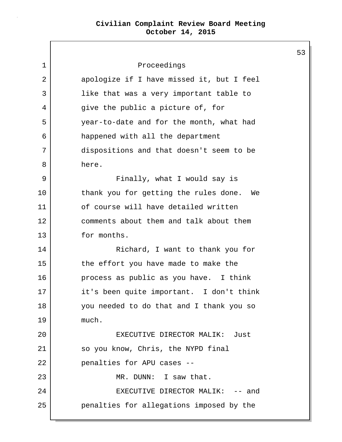$\mathsf{I}$ 

|    |                                           | 53 |
|----|-------------------------------------------|----|
| 1  | Proceedings                               |    |
| 2  | apologize if I have missed it, but I feel |    |
| 3  | like that was a very important table to   |    |
| 4  | give the public a picture of, for         |    |
| 5  | year-to-date and for the month, what had  |    |
| 6  | happened with all the department          |    |
| 7  | dispositions and that doesn't seem to be  |    |
| 8  | here.                                     |    |
| 9  | Finally, what I would say is              |    |
| 10 | thank you for getting the rules done. We  |    |
| 11 | of course will have detailed written      |    |
| 12 | comments about them and talk about them   |    |
| 13 | for months.                               |    |
| 14 | Richard, I want to thank you for          |    |
| 15 | the effort you have made to make the      |    |
| 16 | process as public as you have. I think    |    |
| 17 | it's been quite important. I don't think  |    |
| 18 | you needed to do that and I thank you so  |    |
| 19 | much.                                     |    |
| 20 | EXECUTIVE DIRECTOR MALIK: Just            |    |
| 21 | so you know, Chris, the NYPD final        |    |
| 22 | penalties for APU cases --                |    |
| 23 | MR. DUNN: I saw that.                     |    |
| 24 | EXECUTIVE DIRECTOR MALIK: -- and          |    |
| 25 | penalties for allegations imposed by the  |    |
|    |                                           |    |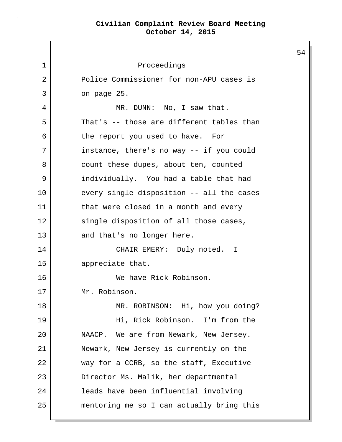54 1 Proceedings 2 Police Commissioner for non-APU cases is 3 on page 25. 4 MR. DUNN: No, I saw that. 5 That's -- those are different tables than 6 the report you used to have. For 7 instance, there's no way -- if you could 8 count these dupes, about ten, counted 9 individually. You had a table that had 10 every single disposition -- all the cases 11 that were closed in a month and every 12 single disposition of all those cases, 13 and that's no longer here. 14 CHAIR EMERY: Duly noted. I 15 appreciate that. 16 We have Rick Robinson. 17 Mr. Robinson. 18 MR. ROBINSON: Hi, how you doing? 19 Hi, Rick Robinson. I'm from the 20 NAACP. We are from Newark, New Jersey. 21 Newark, New Jersey is currently on the 22 way for a CCRB, so the staff, Executive 23 Director Ms. Malik, her departmental 24 leads have been influential involving 25 mentoring me so I can actually bring this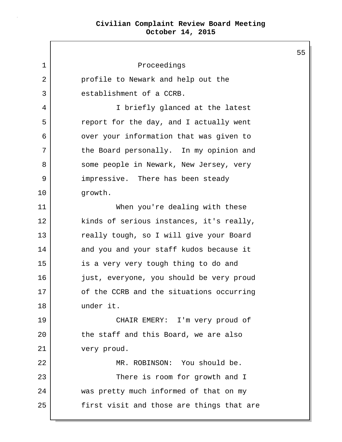| 1  | Proceedings                               |
|----|-------------------------------------------|
| 2  | profile to Newark and help out the        |
| 3  | establishment of a CCRB.                  |
| 4  | I briefly glanced at the latest           |
| 5  | report for the day, and I actually went   |
| 6  | over your information that was given to   |
| 7  | the Board personally. In my opinion and   |
| 8  | some people in Newark, New Jersey, very   |
| 9  | impressive. There has been steady         |
| 10 | growth.                                   |
| 11 | When you're dealing with these            |
| 12 | kinds of serious instances, it's really,  |
| 13 | really tough, so I will give your Board   |
| 14 | and you and your staff kudos because it   |
| 15 | is a very very tough thing to do and      |
| 16 | just, everyone, you should be very proud  |
| 17 | of the CCRB and the situations occurring  |
| 18 | under it.                                 |
| 19 | CHAIR EMERY: I'm very proud of            |
| 20 | the staff and this Board, we are also     |
| 21 | very proud.                               |
| 22 | MR. ROBINSON: You should be.              |
| 23 | There is room for growth and I            |
| 24 | was pretty much informed of that on my    |
| 25 | first visit and those are things that are |
|    |                                           |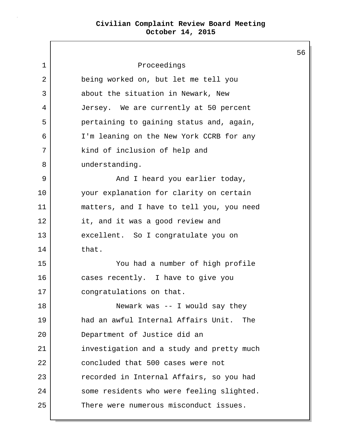56 1 Proceedings 2 being worked on, but let me tell you 3 about the situation in Newark, New 4 Jersey. We are currently at 50 percent 5 pertaining to gaining status and, again, 6 I'm leaning on the New York CCRB for any 7 kind of inclusion of help and 8 understanding. 9 | And I heard you earlier today, 10 your explanation for clarity on certain 11 matters, and I have to tell you, you need 12 it, and it was a good review and 13 excellent. So I congratulate you on 14 that. 15 You had a number of high profile 16 cases recently. I have to give you 17 congratulations on that. 18 Newark was -- I would say they 19 had an awful Internal Affairs Unit. The 20 Department of Justice did an 21 investigation and a study and pretty much 22 concluded that 500 cases were not 23 recorded in Internal Affairs, so you had 24 some residents who were feeling slighted. 25 There were numerous misconduct issues.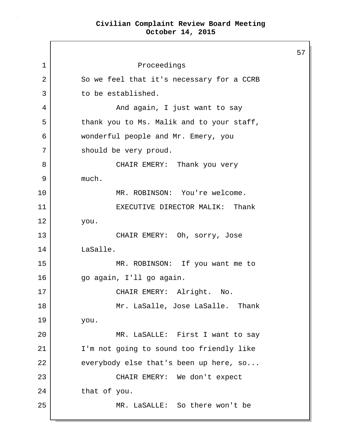57 1 Proceedings 2 So we feel that it's necessary for a CCRB 3 to be established. 4 And again, I just want to say 5 thank you to Ms. Malik and to your staff, 6 wonderful people and Mr. Emery, you 7 should be very proud. 8 CHAIR EMERY: Thank you very 9 much. 10 MR. ROBINSON: You're welcome. 11 EXECUTIVE DIRECTOR MALIK: Thank 12 you. 13 CHAIR EMERY: Oh, sorry, Jose 14 LaSalle. 15 | MR. ROBINSON: If you want me to 16 go again, I'll go again. 17 | CHAIR EMERY: Alright. No. 18 Mr. LaSalle, Jose LaSalle. Thank 19 you. 20 MR. LaSALLE: First I want to say 21 | I'm not going to sound too friendly like 22 everybody else that's been up here, so... 23 | CHAIR EMERY: We don't expect 24 that of you. 25 MR. LaSALLE: So there won't be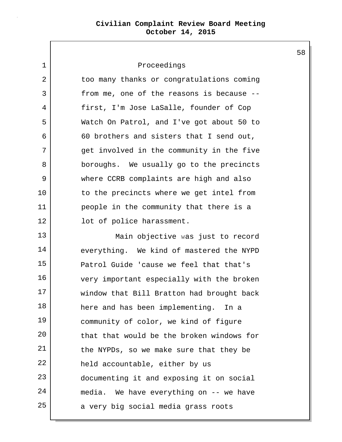| $\mathbf 1$ | Proceedings                               |
|-------------|-------------------------------------------|
| 2           | too many thanks or congratulations coming |
| 3           | from me, one of the reasons is because -- |
| 4           | first, I'm Jose LaSalle, founder of Cop   |
| 5           | Watch On Patrol, and I've got about 50 to |
| 6           | 60 brothers and sisters that I send out,  |
| 7           | get involved in the community in the five |
| 8           | boroughs. We usually go to the precincts  |
| 9           | where CCRB complaints are high and also   |
| 10          | to the precincts where we get intel from  |
| 11          | people in the community that there is a   |
| 12          | lot of police harassment.                 |
| 13          | Main objective was just to record         |
| 14          | everything. We kind of mastered the NYPD  |
| 15          | Patrol Guide 'cause we feel that that's   |
| 16          | very important especially with the broken |
| 17          | window that Bill Bratton had brought back |
| 18          | here and has been implementing. In a      |
| 19          | community of color, we kind of figure     |
| 20          | that that would be the broken windows for |
| 21          | the NYPDs, so we make sure that they be   |
| 22          | held accountable, either by us            |
| 23          | documenting it and exposing it on social  |
| 24          | media. We have everything on -- we have   |
| 25          | a very big social media grass roots       |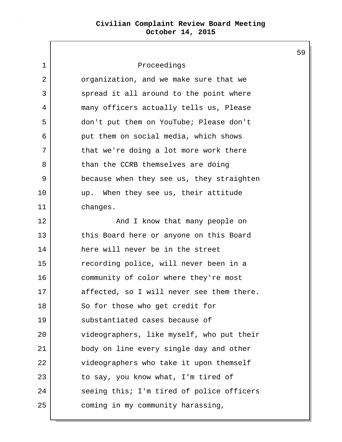1 Proceedings 2 organization, and we make sure that we 3 spread it all around to the point where 4 many officers actually tells us, Please 5 don't put them on YouTube; Please don't 6 put them on social media, which shows 7 that we're doing a lot more work there 8 than the CCRB themselves are doing 9 because when they see us, they straighten 10 up. When they see us, their attitude 11 changes. 12 | Consumed T know that many people on 13 this Board here or anyone on this Board 14 here will never be in the street 15 | The recording police, will never been in a 16 community of color where they're most 17 affected, so I will never see them there. 18 So for those who get credit for 19 substantiated cases because of 20 videographers, like myself, who put their 21 body on line every single day and other 22 videographers who take it upon themself 23 to say, you know what, I'm tired of 24 | seeing this; I'm tired of police officers 25 coming in my community harassing,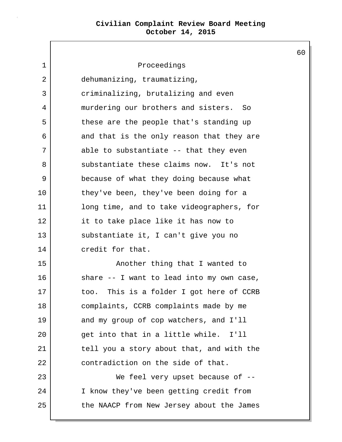1 Proceedings 2 dehumanizing, traumatizing, 3 criminalizing, brutalizing and even 4 murdering our brothers and sisters. So 5 these are the people that's standing up 6 and that is the only reason that they are 7 able to substantiate -- that they even 8 substantiate these claims now. It's not 9 because of what they doing because what 10 they've been, they've been doing for a 11 long time, and to take videographers, for 12 it to take place like it has now to 13 | substantiate it, I can't give you no 14 credit for that. 15 | The Suite of thing that I wanted to  $16$  share -- I want to lead into my own case, 17 too. This is a folder I got here of CCRB 18 complaints, CCRB complaints made by me 19 and my group of cop watchers, and I'll 20 get into that in a little while. I'll 21 tell you a story about that, and with the 22 contradiction on the side of that. 23 We feel very upset because of  $-$ 24 I know they've been getting credit from 25 the NAACP from New Jersey about the James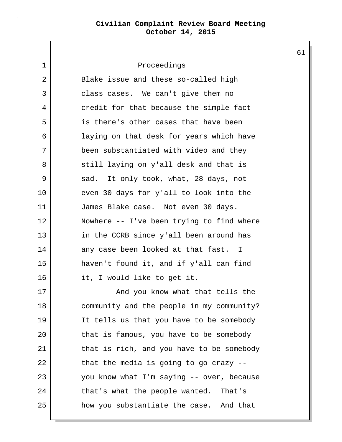| 1  | Proceedings                               |
|----|-------------------------------------------|
| 2  | Blake issue and these so-called high      |
| 3  | class cases. We can't give them no        |
| 4  | credit for that because the simple fact   |
| 5  | is there's other cases that have been     |
| 6  | laying on that desk for years which have  |
| 7  | been substantiated with video and they    |
| 8  | still laying on y'all desk and that is    |
| 9  | sad. It only took, what, 28 days, not     |
| 10 | even 30 days for y'all to look into the   |
| 11 | James Blake case. Not even 30 days.       |
| 12 | Nowhere -- I've been trying to find where |
| 13 | in the CCRB since y'all been around has   |
| 14 | any case been looked at that fast. I      |
| 15 | haven't found it, and if y'all can find   |
| 16 | it, I would like to get it.               |
| 17 | And you know what that tells the          |
| 18 | community and the people in my community? |
| 19 | It tells us that you have to be somebody  |
| 20 | that is famous, you have to be somebody   |
| 21 | that is rich, and you have to be somebody |
| 22 | that the media is going to go crazy --    |
| 23 | you know what I'm saying -- over, because |
| 24 | that's what the people wanted. That's     |
| 25 | how you substantiate the case. And that   |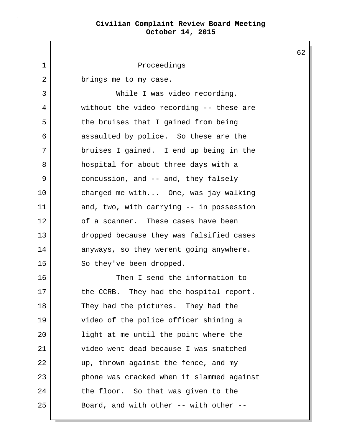1 Proceedings 2 brings me to my case. 3 While I was video recording, 4 without the video recording -- these are 5 the bruises that I gained from being 6 assaulted by police. So these are the 7 bruises I gained. I end up being in the 8 | hospital for about three days with a 9 concussion, and -- and, they falsely 10 charged me with... One, was jay walking 11 and, two, with carrying -- in possession 12 of a scanner. These cases have been 13 dropped because they was falsified cases 14 anyways, so they werent going anywhere. 15 So they've been dropped. 16 Then I send the information to 17 the CCRB. They had the hospital report. 18 They had the pictures. They had the 19 video of the police officer shining a 20 | light at me until the point where the 21 video went dead because I was snatched 22 wp, thrown against the fence, and my 23 phone was cracked when it slammed against 24 the floor. So that was given to the 25 | Board, and with other -- with other --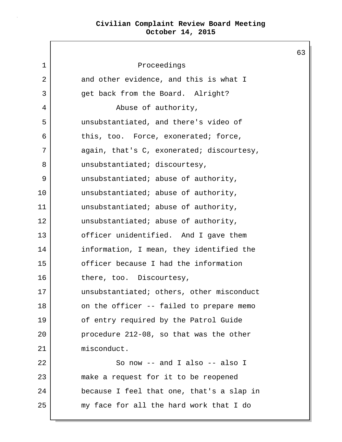$\mathsf{I}$ 

L

|             |                                           | 63 |
|-------------|-------------------------------------------|----|
| $\mathbf 1$ | Proceedings                               |    |
| 2           | and other evidence, and this is what I    |    |
| 3           | get back from the Board. Alright?         |    |
| 4           | Abuse of authority,                       |    |
| 5           | unsubstantiated, and there's video of     |    |
| 6           | this, too. Force, exonerated; force,      |    |
| 7           | again, that's C, exonerated; discourtesy, |    |
| 8           | unsubstantiated; discourtesy,             |    |
| 9           | unsubstantiated; abuse of authority,      |    |
| 10          | unsubstantiated; abuse of authority,      |    |
| 11          | unsubstantiated; abuse of authority,      |    |
| 12          | unsubstantiated; abuse of authority,      |    |
| 13          | officer unidentified. And I gave them     |    |
| 14          | information, I mean, they identified the  |    |
| 15          | officer because I had the information     |    |
| 16          | there, too. Discourtesy,                  |    |
| 17          | unsubstantiated; others, other misconduct |    |
| 18          | on the officer -- failed to prepare memo  |    |
| 19          | of entry required by the Patrol Guide     |    |
| 20          | procedure 212-08, so that was the other   |    |
| 21          | misconduct.                               |    |
| 22          | So now $--$ and I also $--$ also I        |    |
| 23          | make a request for it to be reopened      |    |
| 24          | because I feel that one, that's a slap in |    |
| 25          | my face for all the hard work that I do   |    |
|             |                                           |    |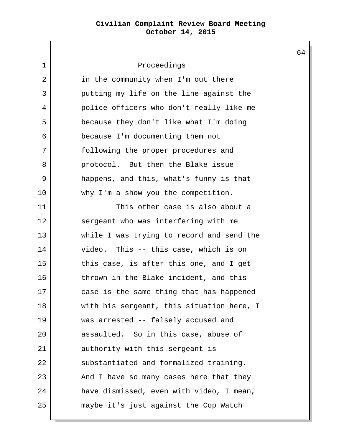1 Proceedings 2 in the community when I'm out there 3 putting my life on the line against the 4 police officers who don't really like me 5 because they don't like what I'm doing 6 because I'm documenting them not 7 following the proper procedures and 8 | protocol. But then the Blake issue 9 happens, and this, what's funny is that 10 why I'm a show you the competition. 11 This other case is also about a 12 sergeant who was interfering with me 13 while I was trying to record and send the 14 video. This -- this case, which is on 15 this case, is after this one, and I get 16 thrown in the Blake incident, and this 17 case is the same thing that has happened 18 with his sergeant, this situation here, I 19 was arrested -- falsely accused and 20 assaulted. So in this case, abuse of 21 authority with this sergeant is 22 substantiated and formalized training. 23 And I have so many cases here that they 24 have dismissed, even with video, I mean, 25 maybe it's just against the Cop Watch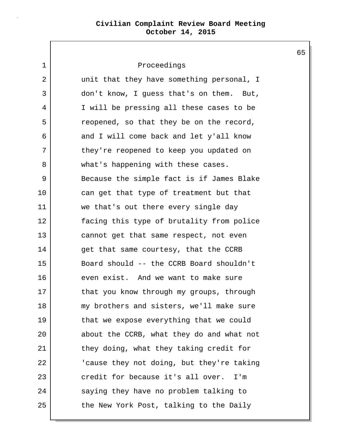$\mathbf{I}$ 

|    |                                           | 6! |
|----|-------------------------------------------|----|
| 1  | Proceedings                               |    |
| 2  | unit that they have something personal, I |    |
| 3  | don't know, I guess that's on them. But,  |    |
| 4  | I will be pressing all these cases to be  |    |
| 5  | reopened, so that they be on the record,  |    |
| 6  | and I will come back and let y'all know   |    |
| 7  | they're reopened to keep you updated on   |    |
| 8  | what's happening with these cases.        |    |
| 9  | Because the simple fact is if James Blake |    |
| 10 | can get that type of treatment but that   |    |
| 11 | we that's out there every single day      |    |
| 12 | facing this type of brutality from police |    |
| 13 | cannot get that same respect, not even    |    |
| 14 | get that same courtesy, that the CCRB     |    |
| 15 | Board should -- the CCRB Board shouldn't  |    |
| 16 | even exist. And we want to make sure      |    |
| 17 | that you know through my groups, through  |    |
| 18 | my brothers and sisters, we'll make sure  |    |
| 19 | that we expose everything that we could   |    |
| 20 | about the CCRB, what they do and what not |    |
| 21 | they doing, what they taking credit for   |    |
| 22 | 'cause they not doing, but they're taking |    |
| 23 | credit for because it's all over.<br>I'm  |    |
| 24 | saying they have no problem talking to    |    |
| 25 | the New York Post, talking to the Daily   |    |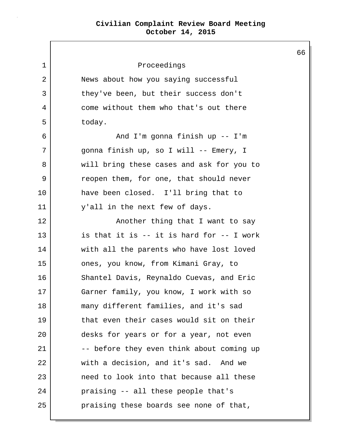| 1  | Proceedings                               |
|----|-------------------------------------------|
| 2  | News about how you saying successful      |
| 3  | they've been, but their success don't     |
| 4  | come without them who that's out there    |
| 5  | today.                                    |
| 6  | And I'm gonna finish up -- I'm            |
| 7  | gonna finish up, so I will -- Emery, I    |
| 8  | will bring these cases and ask for you to |
| 9  | reopen them, for one, that should never   |
| 10 | have been closed. I'll bring that to      |
| 11 | y'all in the next few of days.            |
| 12 | Another thing that I want to say          |
| 13 | is that it is -- it is hard for -- I work |
| 14 | with all the parents who have lost loved  |
| 15 | ones, you know, from Kimani Gray, to      |
| 16 | Shantel Davis, Reynaldo Cuevas, and Eric  |
| 17 | Garner family, you know, I work with so   |
| 18 | many different families, and it's sad     |
| 19 | that even their cases would sit on their  |
| 20 | desks for years or for a year, not even   |
| 21 | -- before they even think about coming up |
| 22 | with a decision, and it's sad. And we     |
| 23 | need to look into that because all these  |
| 24 | praising -- all these people that's       |
| 25 | praising these boards see none of that,   |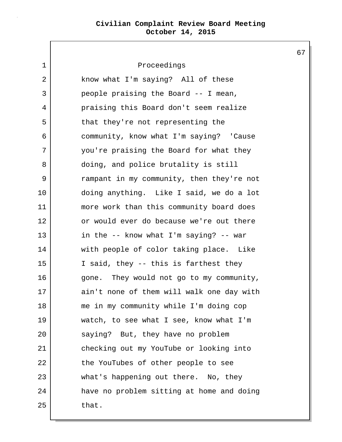1 Proceedings 2 | know what I'm saying? All of these 3 people praising the Board -- I mean, 4 praising this Board don't seem realize 5 that they're not representing the 6 community, know what I'm saying? 'Cause 7 you're praising the Board for what they 8 doing, and police brutality is still 9 Trampant in my community, then they're not 10 doing anything. Like I said, we do a lot 11 more work than this community board does 12 or would ever do because we're out there 13 in the -- know what I'm saying? -- war 14 with people of color taking place. Like 15 I said, they -- this is farthest they 16 | gone. They would not go to my community, 17 ain't none of them will walk one day with 18 me in my community while I'm doing cop 19 watch, to see what I see, know what I'm 20 saying? But, they have no problem 21 checking out my YouTube or looking into 22 the YouTubes of other people to see 23 what's happening out there. No, they 24 have no problem sitting at home and doing  $25$  that.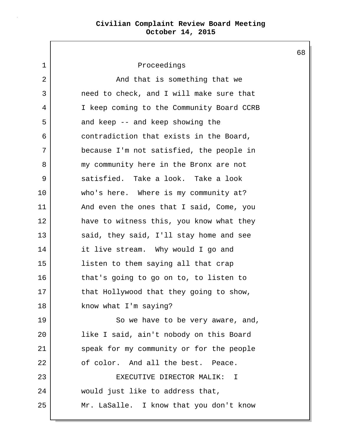1 Proceedings 2 | The Something that we 3 need to check, and I will make sure that 4 I keep coming to the Community Board CCRB 5 and keep -- and keep showing the 6 contradiction that exists in the Board, 7 because I'm not satisfied, the people in 8 | my community here in the Bronx are not 9 satisfied. Take a look. Take a look 10 who's here. Where is my community at? 11 | And even the ones that I said, Come, you 12 have to witness this, you know what they 13 said, they said, I'll stay home and see 14 it live stream. Why would I go and 15 listen to them saying all that crap 16 that's going to go on to, to listen to 17 that Hollywood that they going to show, 18 know what I'm saying? 19 | So we have to be very aware, and, 20 like I said, ain't nobody on this Board 21 | speak for my community or for the people 22 of color. And all the best. Peace. 23 EXECUTIVE DIRECTOR MALIK: I 24 would just like to address that, 25 Mr. LaSalle. I know that you don't know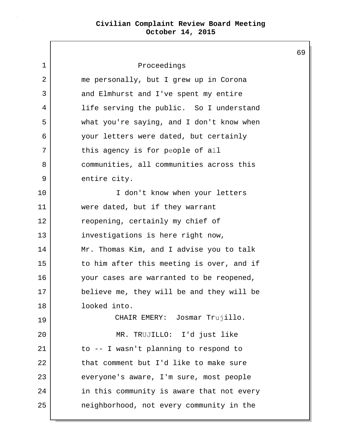| 1  | Proceedings                               |
|----|-------------------------------------------|
| 2  | me personally, but I grew up in Corona    |
| 3  | and Elmhurst and I've spent my entire     |
| 4  | life serving the public. So I understand  |
| 5  | what you're saying, and I don't know when |
| 6  | your letters were dated, but certainly    |
| 7  | this agency is for people of all          |
| 8  | communities, all communities across this  |
| 9  | entire city.                              |
| 10 | I don't know when your letters            |
| 11 | were dated, but if they warrant           |
| 12 | reopening, certainly my chief of          |
| 13 | investigations is here right now,         |
| 14 | Mr. Thomas Kim, and I advise you to talk  |
| 15 | to him after this meeting is over, and if |
| 16 | your cases are warranted to be reopened,  |
| 17 | believe me, they will be and they will be |
| 18 | looked into.                              |
| 19 | CHAIR EMERY: Josmar Trujillo.             |
| 20 | MR. TRUJILLO: I'd just like               |
| 21 | to -- I wasn't planning to respond to     |
| 22 | that comment but I'd like to make sure    |
| 23 | everyone's aware, I'm sure, most people   |
| 24 | in this community is aware that not every |
| 25 | neighborhood, not every community in the  |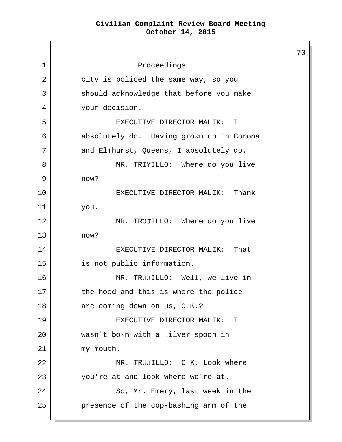70 1 Proceedings 2 city is policed the same way, so you 3 should acknowledge that before you make 4 your decision. 5 EXECUTIVE DIRECTOR MALIK: I 6 absolutely do. Having grown up in Corona 7 and Elmhurst, Queens, I absolutely do. 8 MR. TRIYILLO: Where do you live 9 now? 10 EXECUTIVE DIRECTOR MALIK: Thank 11 you. 12 MR. TRUJILLO: Where do you live 13 now? 14 15 EXECUTIVE DIRECTOR MALIK: That is not public information. 16 17 18 MR. TRUJILLO: Well, we live in the hood and this is where the police are coming down on us, O.K.? 19 20 21 EXECUTIVE DIRECTOR MALIK: I wasn't born with a silver spoon in my mouth. 22 23 MR. TRUJILLO: O.K. Look where you're at and look where we're at. 24 So, Mr. Emery, last week in the 25 presence of the cop-bashing arm of the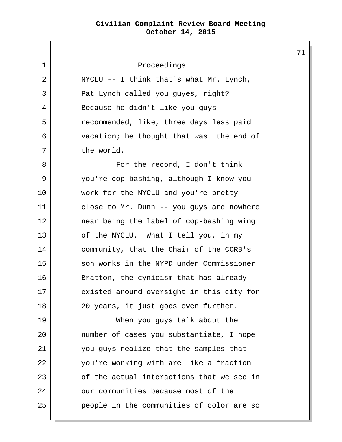| 1  | Proceedings                                |
|----|--------------------------------------------|
| 2  | NYCLU $-$ - I think that's what Mr. Lynch, |
| 3  | Pat Lynch called you guyes, right?         |
| 4  | Because he didn't like you guys            |
| 5  | recommended, like, three days less paid    |
| 6  | vacation; he thought that was the end of   |
| 7  | the world.                                 |
| 8  | For the record, I don't think              |
| 9  | you're cop-bashing, although I know you    |
| 10 | work for the NYCLU and you're pretty       |
| 11 | close to Mr. Dunn -- you guys are nowhere  |
| 12 | near being the label of cop-bashing wing   |
| 13 | of the NYCLU. What I tell you, in my       |
| 14 | community, that the Chair of the CCRB's    |
| 15 | son works in the NYPD under Commissioner   |
| 16 | Bratton, the cynicism that has already     |
| 17 | existed around oversight in this city for  |
| 18 | 20 years, it just goes even further.       |
| 19 | When you guys talk about the               |
| 20 | number of cases you substantiate, I hope   |
| 21 | you guys realize that the samples that     |
| 22 | you're working with are like a fraction    |
| 23 | of the actual interactions that we see in  |
| 24 | our communities because most of the        |
| 25 | people in the communities of color are so  |
|    |                                            |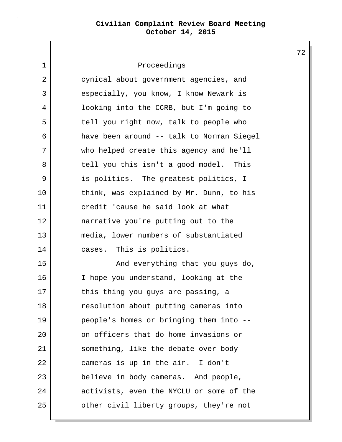| $\mathbf 1$ | Proceedings                               |
|-------------|-------------------------------------------|
| 2           | cynical about government agencies, and    |
| 3           | especially, you know, I know Newark is    |
| 4           | looking into the CCRB, but I'm going to   |
| 5           | tell you right now, talk to people who    |
| 6           | have been around -- talk to Norman Siegel |
| 7           | who helped create this agency and he'll   |
| 8           | tell you this isn't a good model. This    |
| 9           | is politics. The greatest politics, I     |
| 10          | think, was explained by Mr. Dunn, to his  |
| 11          | credit 'cause he said look at what        |
| 12          | narrative you're putting out to the       |
| 13          | media, lower numbers of substantiated     |
| 14          | cases. This is politics.                  |
| 15          | And everything that you guys do,          |
| 16          | I hope you understand, looking at the     |
| 17          | this thing you guys are passing, a        |
| 18          | resolution about putting cameras into     |
| 19          | people's homes or bringing them into --   |
| 20          | on officers that do home invasions or     |
| 21          | something, like the debate over body      |
| 22          | cameras is up in the air. I don't         |
| 23          | believe in body cameras. And people,      |
| 24          | activists, even the NYCLU or some of the  |
| 25          | other civil liberty groups, they're not   |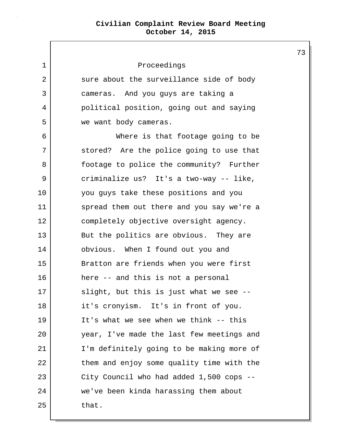$\mathbf{I}$ 

| $\mathbf 1$ | Proceedings                               |
|-------------|-------------------------------------------|
| 2           | sure about the surveillance side of body  |
| 3           | cameras. And you guys are taking a        |
| 4           | political position, going out and saying  |
| 5           | we want body cameras.                     |
| 6           | Where is that footage going to be         |
| 7           | stored? Are the police going to use that  |
| 8           | footage to police the community? Further  |
| 9           | criminalize us? It's a two-way -- like,   |
| 10          | you guys take these positions and you     |
| 11          | spread them out there and you say we're a |
| 12          | completely objective oversight agency.    |
| 13          | But the politics are obvious. They are    |
| 14          | obvious. When I found out you and         |
| 15          | Bratton are friends when you were first   |
| 16          | here -- and this is not a personal        |
| 17          | slight, but this is just what we see --   |
| 18          | it's cronyism. It's in front of you.      |
| 19          | It's what we see when we think -- this    |
| 20          | year, I've made the last few meetings and |
| 21          | I'm definitely going to be making more of |
| 22          | them and enjoy some quality time with the |
| 23          | City Council who had added 1,500 cops --  |
| 24          | we've been kinda harassing them about     |
| 25          | that.                                     |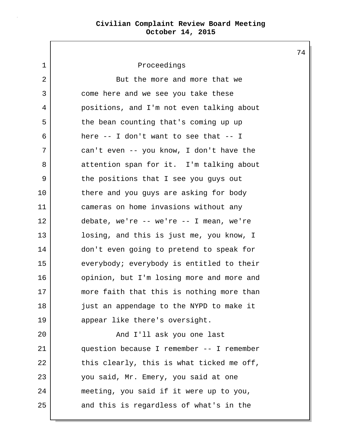1 Proceedings 2 | But the more and more that we 3 come here and we see you take these 4 positions, and I'm not even talking about 5 the bean counting that's coming up up  $6$  here -- I don't want to see that -- I 7 can't even -- you know, I don't have the 8 | attention span for it. I'm talking about 9 the positions that I see you guys out 10 there and you guys are asking for body 11 cameras on home invasions without any 12 debate, we're -- we're -- I mean, we're 13 losing, and this is just me, you know, I 14 don't even going to pretend to speak for 15 everybody; everybody is entitled to their 16 opinion, but I'm losing more and more and 17 more faith that this is nothing more than 18 just an appendage to the NYPD to make it 19 appear like there's oversight. 20 and I'll ask you one last 21 question because I remember -- I remember 22 this clearly, this is what ticked me off, 23 you said, Mr. Emery, you said at one 24 meeting, you said if it were up to you, 25 and this is regardless of what's in the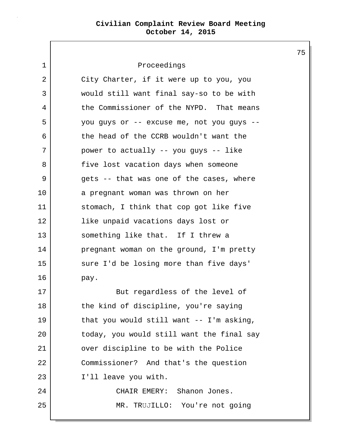1 Proceedings 2 City Charter, if it were up to you, you 3 would still want final say-so to be with 4 the Commissioner of the NYPD. That means 5 you guys or -- excuse me, not you guys -- 6 the head of the CCRB wouldn't want the 7 power to actually -- you guys -- like 8 five lost vacation days when someone 9 gets -- that was one of the cases, where 10 a pregnant woman was thrown on her 11 stomach, I think that cop got like five 12 like unpaid vacations days lost or 13 | something like that. If I threw a 14 pregnant woman on the ground, I'm pretty 15 sure I'd be losing more than five days' 16 pay. 17 But regardless of the level of 18 the kind of discipline, you're saying 19 that you would still want -- I'm asking, 20 today, you would still want the final say 21 | over discipline to be with the Police 22 Commissioner? And that's the question 23 I'll leave you with. 24 25 CHAIR EMERY: Shanon Jones. MR. TRUJILLO: You're not going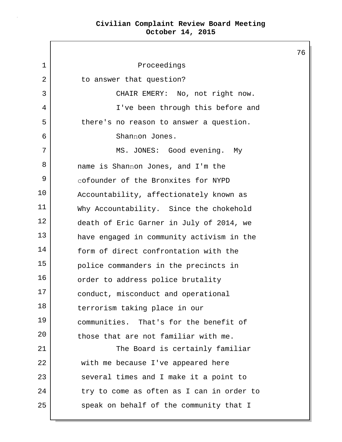76 1 Proceedings 2 to answer that question? 3 CHAIR EMERY: No, not right now. 4 I've been through this before and 5 there's no reason to answer a question. 6 7 Shannon Jones. MS. JONES: Good evening. My 8 9 10 11 12 13 14 15 16 17 18 19 20 name is Shannon Jones, and I'm the cofounder of the Bronxites for NYPD Accountability, affectionately known as Why Accountability. Since the chokehold death of Eric Garner in July of 2014, we have engaged in community activism in the form of direct confrontation with the police commanders in the precincts in order to address police brutality conduct, misconduct and operational terrorism taking place in our communities. That's for the benefit of those that are not familiar with me. 21 | The Board is certainly familiar 22 with me because I've appeared here 23 several times and I make it a point to 24 try to come as often as I can in order to 25 speak on behalf of the community that I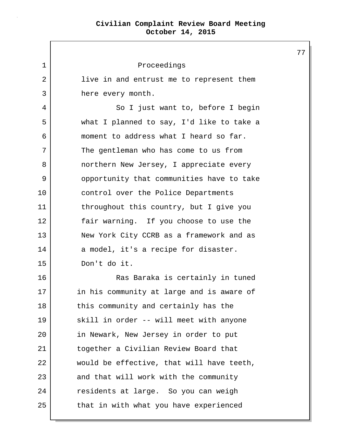| 1  | Proceedings                               |
|----|-------------------------------------------|
| 2  | live in and entrust me to represent them  |
| 3  | here every month.                         |
| 4  | So I just want to, before I begin         |
| 5  | what I planned to say, I'd like to take a |
| 6  | moment to address what I heard so far.    |
| 7  | The gentleman who has come to us from     |
| 8  | northern New Jersey, I appreciate every   |
| 9  | opportunity that communities have to take |
| 10 | control over the Police Departments       |
| 11 | throughout this country, but I give you   |
| 12 | fair warning. If you choose to use the    |
| 13 | New York City CCRB as a framework and as  |
| 14 | a model, it's a recipe for disaster.      |
| 15 | Don't do it.                              |
| 16 | Ras Baraka is certainly in tuned          |
| 17 | in his community at large and is aware of |
| 18 | this community and certainly has the      |
| 19 | skill in order -- will meet with anyone   |
| 20 | in Newark, New Jersey in order to put     |
| 21 | together a Civilian Review Board that     |
| 22 | would be effective, that will have teeth, |
| 23 | and that will work with the community     |
| 24 | residents at large. So you can weigh      |
| 25 | that in with what you have experienced    |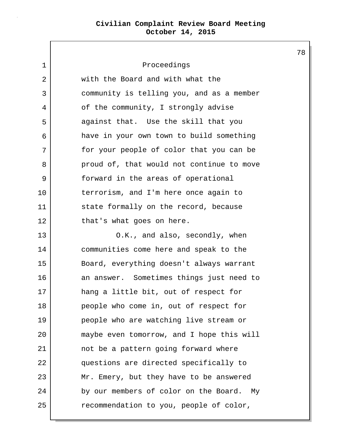| $\mathbf 1$ | Proceedings                               |
|-------------|-------------------------------------------|
| 2           | with the Board and with what the          |
| 3           | community is telling you, and as a member |
| 4           | of the community, I strongly advise       |
| 5           | against that. Use the skill that you      |
| 6           | have in your own town to build something  |
| 7           | for your people of color that you can be  |
| 8           | proud of, that would not continue to move |
| 9           | forward in the areas of operational       |
| 10          | terrorism, and I'm here once again to     |
| 11          | state formally on the record, because     |
| 12          | that's what goes on here.                 |
| 13          | O.K., and also, secondly, when            |
| 14          | communities come here and speak to the    |
| 15          | Board, everything doesn't always warrant  |
| 16          | an answer. Sometimes things just need to  |
| 17          | hang a little bit, out of respect for     |
| 18          | people who come in, out of respect for    |
| 19          | people who are watching live stream or    |
| 20          | maybe even tomorrow, and I hope this will |
| 21          | not be a pattern going forward where      |
| 22          | questions are directed specifically to    |
| 23          | Mr. Emery, but they have to be answered   |
| 24          | by our members of color on the Board. My  |
| 25          | recommendation to you, people of color,   |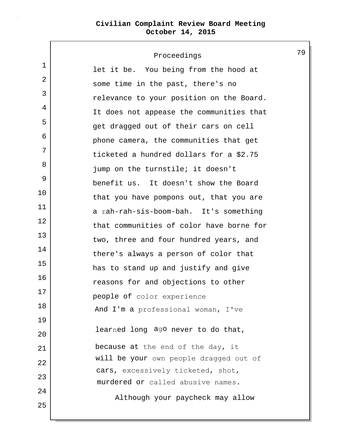|    | Proceedings                                                                 | 79 |
|----|-----------------------------------------------------------------------------|----|
| 1  | let it be. You being from the hood at                                       |    |
| 2  | some time in the past, there's no                                           |    |
| 3  | relevance to your position on the Board.                                    |    |
| 4  | It does not appease the communities that                                    |    |
| 5  | get dragged out of their cars on cell                                       |    |
| 6  | phone camera, the communities that get                                      |    |
| 7  | ticketed a hundred dollars for a \$2.75                                     |    |
| 8  | jump on the turnstile; it doesn't                                           |    |
| 9  | benefit us. It doesn't show the Board                                       |    |
| 10 | that you have pompons out, that you are                                     |    |
| 11 | a rah-rah-sis-boom-bah. It's something                                      |    |
| 12 | that communities of color have borne for                                    |    |
| 13 | two, three and four hundred years, and                                      |    |
| 14 | there's always a person of color that                                       |    |
| 15 | has to stand up and justify and give                                        |    |
| 16 | reasons for and objections to other                                         |    |
| 17 | people of color experience                                                  |    |
| 18 | And I'm a professional woman, I've                                          |    |
| 19 |                                                                             |    |
| 20 | learned long ago never to do that,                                          |    |
| 21 | because at the end of the day, it                                           |    |
| 22 | will be your own people dragged out of<br>cars, excessively ticketed, shot, |    |
| 23 | murdered or called abusive names.                                           |    |
| 24 | Although your paycheck may allow                                            |    |
| 25 |                                                                             |    |

L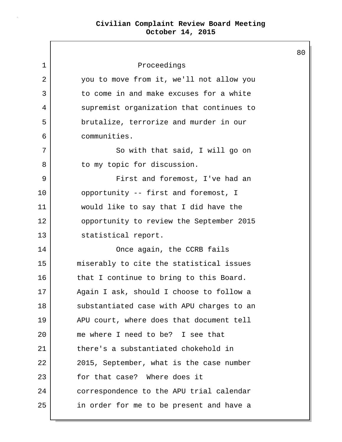$\mathsf{I}$ 

|                |                                           | 80 |
|----------------|-------------------------------------------|----|
| $\mathbf 1$    | Proceedings                               |    |
| $\overline{2}$ | you to move from it, we'll not allow you  |    |
| 3              | to come in and make excuses for a white   |    |
| 4              | supremist organization that continues to  |    |
| 5              | brutalize, terrorize and murder in our    |    |
| 6              | communities.                              |    |
| 7              | So with that said, I will go on           |    |
| 8              | to my topic for discussion.               |    |
| 9              | First and foremost, I've had an           |    |
| 10             | opportunity -- first and foremost, I      |    |
| 11             | would like to say that I did have the     |    |
| 12             | opportunity to review the September 2015  |    |
| 13             | statistical report.                       |    |
| 14             | Once again, the CCRB fails                |    |
| 15             | miserably to cite the statistical issues  |    |
| 16             | that I continue to bring to this Board.   |    |
| 17             | Again I ask, should I choose to follow a  |    |
| 18             | substantiated case with APU charges to an |    |
| 19             | APU court, where does that document tell  |    |
| 20             | me where I need to be? I see that         |    |
| 21             | there's a substantiated chokehold in      |    |
| 22             | 2015, September, what is the case number  |    |
| 23             | for that case? Where does it              |    |
| 24             | correspondence to the APU trial calendar  |    |
| 25             | in order for me to be present and have a  |    |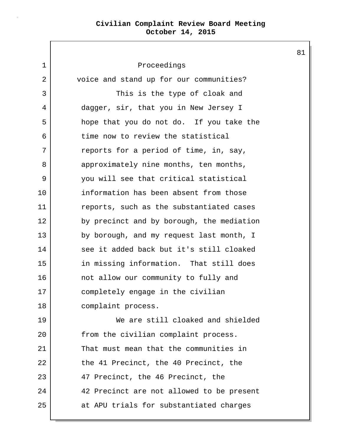1 Proceedings 2 voice and stand up for our communities? 3 This is the type of cloak and 4 dagger, sir, that you in New Jersey I 5 hope that you do not do. If you take the 6 time now to review the statistical 7 reports for a period of time, in, say, 8 approximately nine months, ten months, 9 you will see that critical statistical 10 information has been absent from those 11 reports, such as the substantiated cases 12 by precinct and by borough, the mediation 13 by borough, and my request last month, I 14 see it added back but it's still cloaked 15 | in missing information. That still does 16 not allow our community to fully and 17 completely engage in the civilian 18 complaint process. 19 We are still cloaked and shielded 20 from the civilian complaint process. 21 That must mean that the communities in 22 the 41 Precinct, the 40 Precinct, the 23 47 Precinct, the 46 Precinct, the 24 42 Precinct are not allowed to be present 25 at APU trials for substantiated charges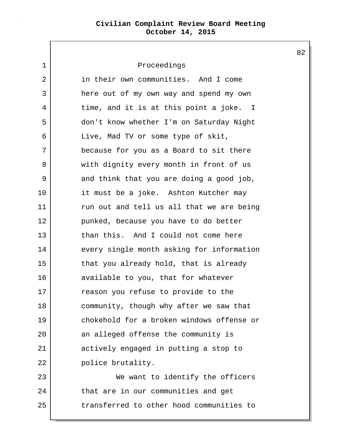1 Proceedings 2 in their own communities. And I come 3 here out of my own way and spend my own 4 time, and it is at this point a joke. I 5 don't know whether I'm on Saturday Night 6 Live, Mad TV or some type of skit, 7 because for you as a Board to sit there 8 with dignity every month in front of us 9 and think that you are doing a good job, 10 it must be a joke. Ashton Kutcher may 11 run out and tell us all that we are being 12 punked, because you have to do better 13 than this. And I could not come here 14 every single month asking for information 15 that you already hold, that is already 16 available to you, that for whatever 17 reason you refuse to provide to the 18 community, though why after we saw that 19 chokehold for a broken windows offense or 20 an alleged offense the community is 21 actively engaged in putting a stop to 22 police brutality. 23 We want to identify the officers 24 that are in our communities and get 25 transferred to other hood communities to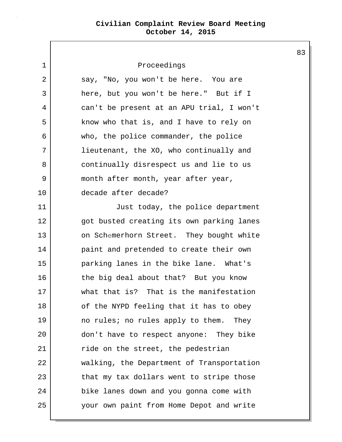1 Proceedings 2 say, "No, you won't be here. You are 3 here, but you won't be here." But if I 4 can't be present at an APU trial, I won't 5 know who that is, and I have to rely on 6 who, the police commander, the police 7 lieutenant, the XO, who continually and 8 continually disrespect us and lie to us 9 month after month, year after year, 10 decade after decade? 11 12 13 14 15 16 17 18 19 20 21 22 23 24 25 Just today, the police department got busted creating its own parking lanes on Schemerhorn Street. They bought white paint and pretended to create their own parking lanes in the bike lane. What's the big deal about that? But you know what that is? That is the manifestation of the NYPD feeling that it has to obey no rules; no rules apply to them. They don't have to respect anyone: They bike ride on the street, the pedestrian walking, the Department of Transportation that my tax dollars went to stripe those bike lanes down and you gonna come with your own paint from Home Depot and write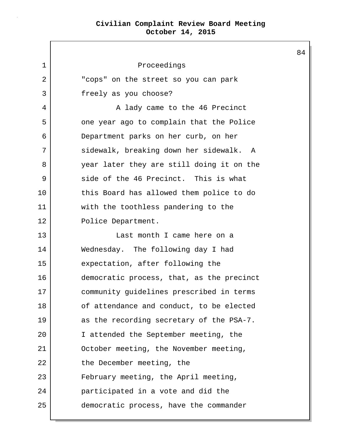$\mathbf{I}$ 

| 1  | Proceedings                               |
|----|-------------------------------------------|
| 2  | "cops" on the street so you can park      |
| 3  | freely as you choose?                     |
| 4  | A lady came to the 46 Precinct            |
| 5  | one year ago to complain that the Police  |
| 6  | Department parks on her curb, on her      |
| 7  | sidewalk, breaking down her sidewalk. A   |
| 8  | year later they are still doing it on the |
| 9  | side of the 46 Precinct. This is what     |
| 10 | this Board has allowed them police to do  |
| 11 | with the toothless pandering to the       |
| 12 | Police Department.                        |
| 13 | Last month I came here on a               |
| 14 | Wednesday. The following day I had        |
| 15 | expectation, after following the          |
| 16 | democratic process, that, as the precinct |
| 17 | community guidelines prescribed in terms  |
| 18 | of attendance and conduct, to be elected  |
| 19 | as the recording secretary of the PSA-7.  |
| 20 | I attended the September meeting, the     |
| 21 | October meeting, the November meeting,    |
| 22 | the December meeting, the                 |
| 23 | February meeting, the April meeting,      |
| 24 | participated in a vote and did the        |
| 25 | democratic process, have the commander    |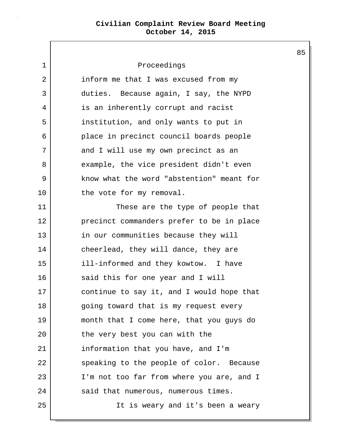1 Proceedings 2 inform me that I was excused from my 3 duties. Because again, I say, the NYPD 4 is an inherently corrupt and racist 5 institution, and only wants to put in 6 place in precinct council boards people 7 and I will use my own precinct as an 8 example, the vice president didn't even 9 know what the word "abstention" meant for 10 the vote for my removal. 11 These are the type of people that 12 precinct commanders prefer to be in place 13 in our communities because they will 14 cheerlead, they will dance, they are 15 ill-informed and they kowtow. I have 16 said this for one year and I will 17 continue to say it, and I would hope that 18 going toward that is my request every 19 month that I come here, that you guys do 20 the very best you can with the 21 | information that you have, and I'm 22 speaking to the people of color. Because 23 I'm not too far from where you are, and I 24 said that numerous, numerous times. 25 | The is weary and it's been a weary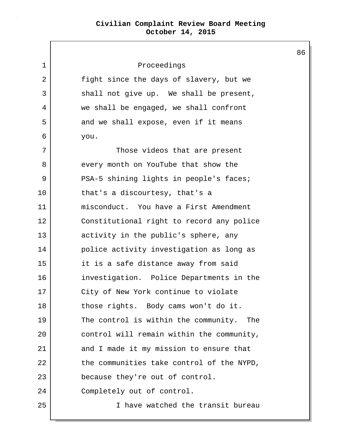|             |                                           | 86 |
|-------------|-------------------------------------------|----|
| $\mathbf 1$ | Proceedings                               |    |
| 2           | fight since the days of slavery, but we   |    |
| 3           | shall not give up. We shall be present,   |    |
| 4           | we shall be engaged, we shall confront    |    |
| 5           | and we shall expose, even if it means     |    |
| 6           | you.                                      |    |
| 7           | Those videos that are present             |    |
| 8           | every month on YouTube that show the      |    |
| 9           | PSA-5 shining lights in people's faces;   |    |
| 10          | that's a discourtesy, that's a            |    |
| 11          | misconduct. You have a First Amendment    |    |
| 12          | Constitutional right to record any police |    |
| 13          | activity in the public's sphere, any      |    |
| 14          | police activity investigation as long as  |    |
| 15          | it is a safe distance away from said      |    |
| 16          | investigation. Police Departments in the  |    |
| 17          | City of New York continue to violate      |    |
| 18          | those rights. Body cams won't do it.      |    |
| 19          | The control is within the community. The  |    |
| 20          | control will remain within the community, |    |
| 21          | and I made it my mission to ensure that   |    |
| 22          | the communities take control of the NYPD, |    |
| 23          | because they're out of control.           |    |
| 24          | Completely out of control.                |    |
| 25          | I have watched the transit bureau         |    |
|             |                                           |    |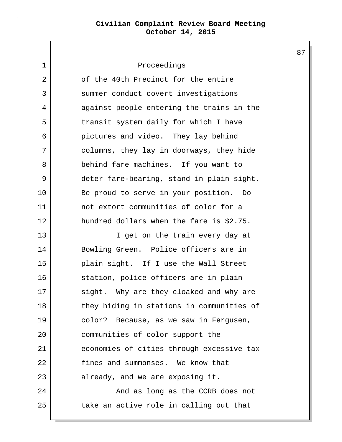1 Proceedings 2 of the 40th Precinct for the entire 3 Summer conduct covert investigations 4 against people entering the trains in the 5 | transit system daily for which I have 6 pictures and video. They lay behind 7 columns, they lay in doorways, they hide 8 behind fare machines. If you want to 9 deter fare-bearing, stand in plain sight. 10 Be proud to serve in your position. Do 11 not extort communities of color for a 12 hundred dollars when the fare is \$2.75. 13 | T get on the train every day at 14 Bowling Green. Police officers are in 15 plain sight. If I use the Wall Street 16 station, police officers are in plain 17 sight. Why are they cloaked and why are 18 they hiding in stations in communities of 19 color? Because, as we saw in Fergusen, 20 communities of color support the 21 economies of cities through excessive tax 22 fines and summonses. We know that 23 already, and we are exposing it. 24 And as long as the CCRB does not 25 take an active role in calling out that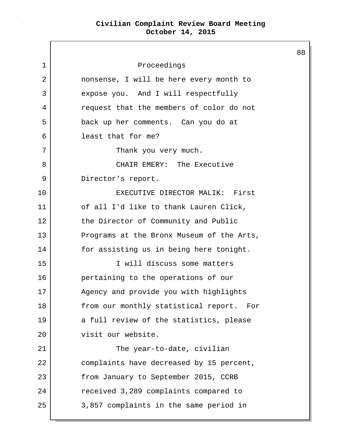88 1 Proceedings 2 nonsense, I will be here every month to 3 expose you. And I will respectfully 4 request that the members of color do not 5 back up her comments. Can you do at 6 least that for me? 7 Thank you very much. 8 CHAIR EMERY: The Executive 9 Director's report. 10 EXECUTIVE DIRECTOR MALIK: First 11 of all I'd like to thank Lauren Click, 12 the Director of Community and Public 13 Programs at the Bronx Museum of the Arts, 14 for assisting us in being here tonight. 15 I will discuss some matters 16 pertaining to the operations of our 17 | Agency and provide you with highlights 18 from our monthly statistical report. For 19 a full review of the statistics, please 20 visit our website. 21 | The year-to-date, civilian 22 complaints have decreased by 15 percent, 23 From January to September 2015, CCRB 24 received 3,289 complaints compared to 25 3,857 complaints in the same period in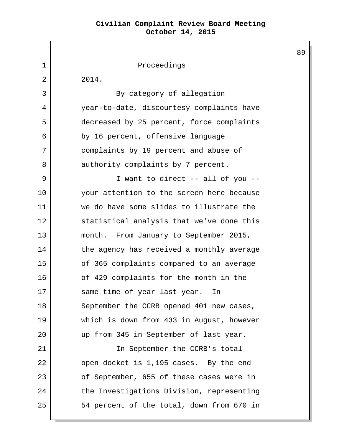Г

|             |                                           | 89 |
|-------------|-------------------------------------------|----|
| $\mathbf 1$ | Proceedings                               |    |
| 2           | 2014.                                     |    |
| 3           | By category of allegation                 |    |
| 4           | year-to-date, discourtesy complaints have |    |
| 5           | decreased by 25 percent, force complaints |    |
| 6           | by 16 percent, offensive language         |    |
| 7           | complaints by 19 percent and abuse of     |    |
| 8           | authority complaints by 7 percent.        |    |
| 9           | I want to direct -- all of you --         |    |
| 10          | your attention to the screen here because |    |
| 11          | we do have some slides to illustrate the  |    |
| 12          | statistical analysis that we've done this |    |
| 13          | month. From January to September 2015,    |    |
| 14          | the agency has received a monthly average |    |
| 15          | of 365 complaints compared to an average  |    |
| 16          | of 429 complaints for the month in the    |    |
| 17          | same time of year last year.<br>In        |    |
| 18          | September the CCRB opened 401 new cases,  |    |
| 19          | which is down from 433 in August, however |    |
| 20          | up from 345 in September of last year.    |    |
| 21          | In September the CCRB's total             |    |
| 22          | open docket is 1,195 cases. By the end    |    |
| 23          | of September, 655 of these cases were in  |    |
| 24          | the Investigations Division, representing |    |
| 25          | 54 percent of the total, down from 670 in |    |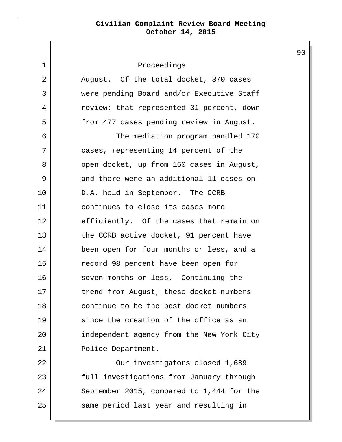| 1  | Proceedings                               |
|----|-------------------------------------------|
| 2  | August. Of the total docket, 370 cases    |
| 3  | were pending Board and/or Executive Staff |
| 4  | review; that represented 31 percent, down |
| 5  | from 477 cases pending review in August.  |
| 6  | The mediation program handled 170         |
| 7  | cases, representing 14 percent of the     |
| 8  | open docket, up from 150 cases in August, |
| 9  | and there were an additional 11 cases on  |
| 10 | D.A. hold in September. The CCRB          |
| 11 | continues to close its cases more         |
| 12 | efficiently. Of the cases that remain on  |
| 13 | the CCRB active docket, 91 percent have   |
| 14 | been open for four months or less, and a  |
| 15 | record 98 percent have been open for      |
| 16 | seven months or less. Continuing the      |
| 17 | trend from August, these docket numbers   |
| 18 | continue to be the best docket numbers    |
| 19 | since the creation of the office as an    |
| 20 | independent agency from the New York City |
| 21 | Police Department.                        |
| 22 | Our investigators closed 1,689            |
| 23 | full investigations from January through  |
| 24 | September 2015, compared to 1,444 for the |
| 25 | same period last year and resulting in    |
|    |                                           |

 $\mathsf{L}$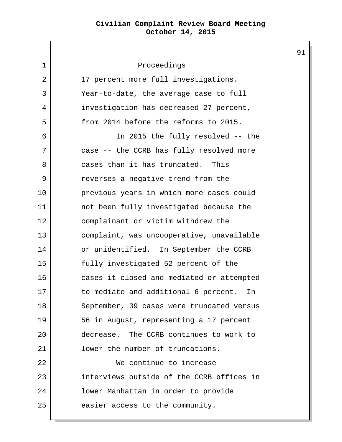| $\mathbf 1$    | Proceedings                                |
|----------------|--------------------------------------------|
| $\overline{2}$ | 17 percent more full investigations.       |
| 3              | Year-to-date, the average case to full     |
| 4              | investigation has decreased 27 percent,    |
| 5              | from 2014 before the reforms to 2015.      |
| 6              | In 2015 the fully resolved -- the          |
| 7              | case -- the CCRB has fully resolved more   |
| 8              | cases than it has truncated. This          |
| 9              | reverses a negative trend from the         |
| 10             | previous years in which more cases could   |
| 11             | not been fully investigated because the    |
| 12             | complainant or victim withdrew the         |
| 13             | complaint, was uncooperative, unavailable  |
| 14             | or unidentified. In September the CCRB     |
| 15             | fully investigated 52 percent of the       |
| 16             | cases it closed and mediated or attempted  |
| 17             | to mediate and additional 6 percent.<br>In |
| 18             | September, 39 cases were truncated versus  |
| 19             | 56 in August, representing a 17 percent    |
| 20             | decrease. The CCRB continues to work to    |
| 21             | lower the number of truncations.           |
| 22             | We continue to increase                    |
| 23             | interviews outside of the CCRB offices in  |
| 24             | lower Manhattan in order to provide        |
| 25             | easier access to the community.            |
|                |                                            |

L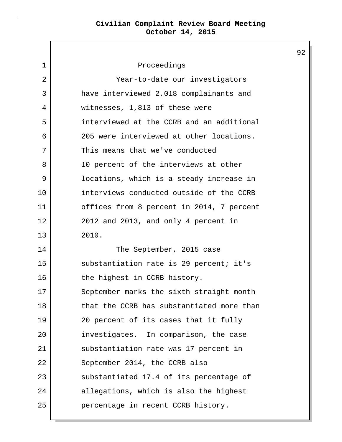1 Proceedings 2 | Year-to-date our investigators 3 have interviewed 2,018 complainants and 4 witnesses, 1,813 of these were 5 interviewed at the CCRB and an additional 6 205 were interviewed at other locations. 7 This means that we've conducted 8 10 percent of the interviews at other 9 locations, which is a steady increase in 10 **interviews** conducted outside of the CCRB 11 offices from 8 percent in 2014, 7 percent 12 2012 and 2013, and only 4 percent in 13 2010. 14 The September, 2015 case 15 | substantiation rate is 29 percent; it's 16 the highest in CCRB history. 17 September marks the sixth straight month 18 that the CCRB has substantiated more than 19 20 percent of its cases that it fully 20 investigates. In comparison, the case 21 | substantiation rate was 17 percent in 22 September 2014, the CCRB also 23 substantiated 17.4 of its percentage of 24 allegations, which is also the highest 25 percentage in recent CCRB history.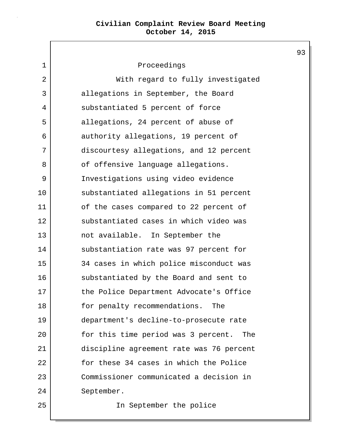1 Proceedings 2 | With regard to fully investigated 3 allegations in September, the Board 4 Substantiated 5 percent of force 5 allegations, 24 percent of abuse of 6 authority allegations, 19 percent of 7 discourtesy allegations, and 12 percent 8 | cf offensive language allegations. 9 Investigations using video evidence 10 substantiated allegations in 51 percent 11 of the cases compared to 22 percent of 12 substantiated cases in which video was 13 not available. In September the 14 substantiation rate was 97 percent for 15 34 cases in which police misconduct was 16 substantiated by the Board and sent to 17 the Police Department Advocate's Office 18 for penalty recommendations. The 19 department's decline-to-prosecute rate 20 for this time period was 3 percent. The 21 discipline agreement rate was 76 percent 22 for these 34 cases in which the Police 23 Commissioner communicated a decision in 24 September. 25 In September the police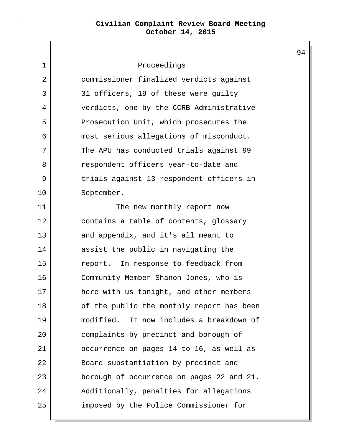1 Proceedings 2 commissioner finalized verdicts against 3 31 officers, 19 of these were guilty 4 verdicts, one by the CCRB Administrative 5 Prosecution Unit, which prosecutes the 6 most serious allegations of misconduct. 7 The APU has conducted trials against 99 8 erespondent officers year-to-date and 9 trials against 13 respondent officers in 10 September. 11 The new monthly report now 12 contains a table of contents, glossary 13 and appendix, and it's all meant to 14 assist the public in navigating the 15 report. In response to feedback from 16 Community Member Shanon Jones, who is 17 here with us tonight, and other members 18 of the public the monthly report has been 19 modified. It now includes a breakdown of 20 complaints by precinct and borough of 21 occurrence on pages 14 to 16, as well as 22 Board substantiation by precinct and 23 borough of occurrence on pages 22 and 21. 24 Additionally, penalties for allegations 25 imposed by the Police Commissioner for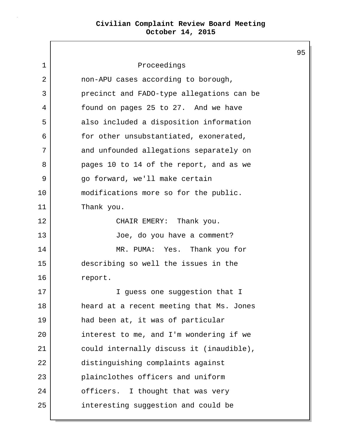95 1 Proceedings 2 | non-APU cases according to borough, 3 precinct and FADO-type allegations can be 4 found on pages 25 to 27. And we have 5 also included a disposition information 6 for other unsubstantiated, exonerated, 7 and unfounded allegations separately on 8 pages 10 to 14 of the report, and as we 9 | go forward, we'll make certain 10 modifications more so for the public. 11 Thank you. 12 CHAIR EMERY: Thank you. 13 Joe, do you have a comment? 14 MR. PUMA: Yes. Thank you for 15 describing so well the issues in the 16 report. 17 | T guess one suggestion that I 18 heard at a recent meeting that Ms. Jones 19 had been at, it was of particular 20 interest to me, and I'm wondering if we 21 could internally discuss it (inaudible), 22 distinguishing complaints against 23 plainclothes officers and uniform 24 officers. I thought that was very 25 interesting suggestion and could be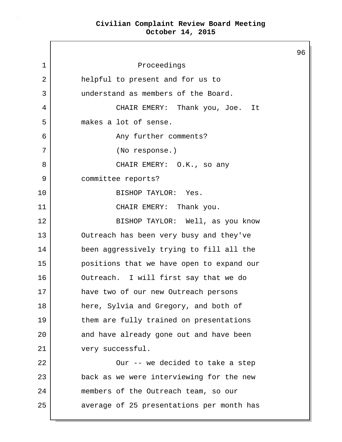96 1 Proceedings 2 helpful to present and for us to 3 understand as members of the Board. 4 CHAIR EMERY: Thank you, Joe. It 5 makes a lot of sense. 6 Any further comments? 7 (No response.) 8 CHAIR EMERY: O.K., so any 9 committee reports? 10 BISHOP TAYLOR: Yes. 11 CHAIR EMERY: Thank you. 12 BISHOP TAYLOR: Well, as you know 13 Outreach has been very busy and they've 14 been aggressively trying to fill all the 15 positions that we have open to expand our 16 Outreach. I will first say that we do 17 have two of our new Outreach persons 18 here, Sylvia and Gregory, and both of 19 them are fully trained on presentations 20 and have already gone out and have been 21 very successful. 22 **Our --** we decided to take a step 23 back as we were interviewing for the new 24 members of the Outreach team, so our 25 average of 25 presentations per month has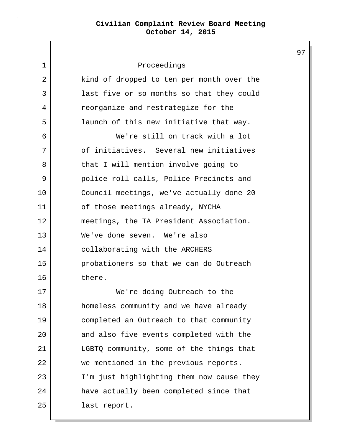| 1  | Proceedings                               |
|----|-------------------------------------------|
| 2  | kind of dropped to ten per month over the |
| 3  | last five or so months so that they could |
| 4  | reorganize and restrategize for the       |
| 5  | launch of this new initiative that way.   |
| 6  | We're still on track with a lot           |
| 7  | of initiatives. Several new initiatives   |
| 8  | that I will mention involve going to      |
| 9  | police roll calls, Police Precincts and   |
| 10 | Council meetings, we've actually done 20  |
| 11 | of those meetings already, NYCHA          |
| 12 | meetings, the TA President Association.   |
| 13 | We've done seven. We're also              |
| 14 | collaborating with the ARCHERS            |
| 15 | probationers so that we can do Outreach   |
| 16 | there.                                    |
| 17 | We're doing Outreach to the               |
| 18 | homeless community and we have already    |
| 19 | completed an Outreach to that community   |
| 20 | and also five events completed with the   |
| 21 | LGBTQ community, some of the things that  |
| 22 | we mentioned in the previous reports.     |
| 23 | I'm just highlighting them now cause they |
| 24 | have actually been completed since that   |
| 25 | last report.                              |
|    |                                           |

L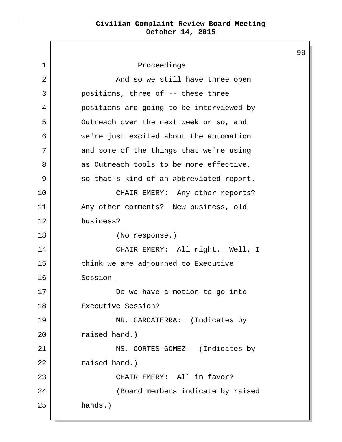1 Proceedings 2 And so we still have three open 3 positions, three of -- these three 4 positions are going to be interviewed by 5 Outreach over the next week or so, and 6 we're just excited about the automation 7 and some of the things that we're using 8 as Outreach tools to be more effective, 9 so that's kind of an abbreviated report. 10 CHAIR EMERY: Any other reports? 11 Any other comments? New business, old 12 business? 13 (No response.) 14 CHAIR EMERY: All right. Well, I 15 think we are adjourned to Executive 16 Session. 17 Do we have a motion to go into 18 Executive Session? 19 MR. CARCATERRA: (Indicates by 20 raised hand.) 21 | MS. CORTES-GOMEZ: (Indicates by 22 raised hand.) 23 CHAIR EMERY: All in favor? 24 (Board members indicate by raised 25 hands.)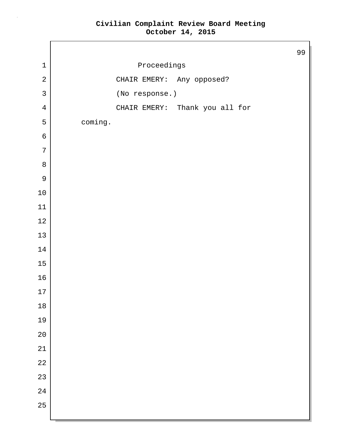|                  |                                | 99 |
|------------------|--------------------------------|----|
| $\mathbf 1$      | Proceedings                    |    |
| $\sqrt{2}$       | CHAIR EMERY: Any opposed?      |    |
| $\mathsf{3}$     | (No response.)                 |    |
| $\sqrt{4}$       | CHAIR EMERY: Thank you all for |    |
| 5                | coming.                        |    |
| $\epsilon$       |                                |    |
| $\boldsymbol{7}$ |                                |    |
| $\,8\,$          |                                |    |
| $\mathsf 9$      |                                |    |
| $10\,$           |                                |    |
| $11\,$           |                                |    |
| $12\,$           |                                |    |
| $13\,$           |                                |    |
| 14               |                                |    |
| $15\,$           |                                |    |
| $16\,$           |                                |    |
| $17\,$           |                                |    |
| $18\,$           |                                |    |
| 19               |                                |    |
| 20               |                                |    |
| 21               |                                |    |
| 22               |                                |    |
| 23               |                                |    |
| 24               |                                |    |
| 25               |                                |    |
|                  |                                |    |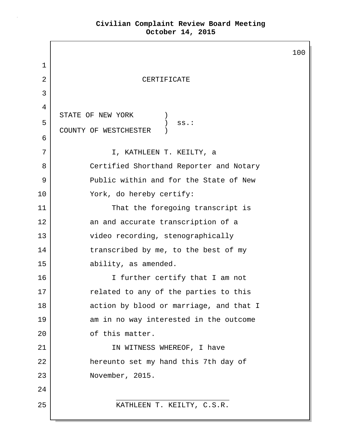$\Gamma$ 

|             |                                         | 100 |
|-------------|-----------------------------------------|-----|
| $\mathbf 1$ |                                         |     |
| 2           | CERTIFICATE                             |     |
| 3           |                                         |     |
| 4           | STATE OF NEW YORK                       |     |
| 5           | $ss.$ :<br>COUNTY OF WESTCHESTER        |     |
| 6           |                                         |     |
| 7           | I, KATHLEEN T. KEILTY, a                |     |
| 8           | Certified Shorthand Reporter and Notary |     |
| 9           | Public within and for the State of New  |     |
| 10          | York, do hereby certify:                |     |
| 11          | That the foregoing transcript is        |     |
| 12          | an and accurate transcription of a      |     |
| 13          | video recording, stenographically       |     |
| 14          | transcribed by me, to the best of my    |     |
| 15          | ability, as amended.                    |     |
| 16          | I further certify that I am not         |     |
| 17          | related to any of the parties to this   |     |
| 18          | action by blood or marriage, and that I |     |
| 19          | am in no way interested in the outcome  |     |
| 20          | of this matter.                         |     |
| 21          | IN WITNESS WHEREOF, I have              |     |
| 22          | hereunto set my hand this 7th day of    |     |
| 23          | November, 2015.                         |     |
| 24          |                                         |     |
| 25          | KATHLEEN T. KEILTY, C.S.R.              |     |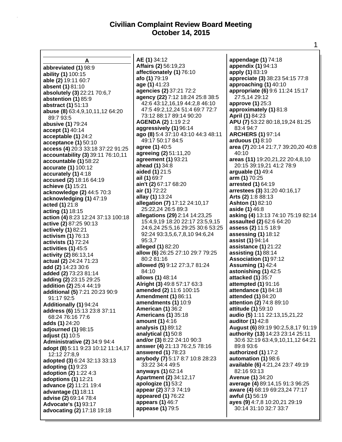$\mathbf{r}$ 

|                                                           | AE (1) 34:12                           | appendage (1) 74:18                                    |
|-----------------------------------------------------------|----------------------------------------|--------------------------------------------------------|
| A                                                         | Affairs (2) 56:19,23                   | appendix (1) 94:13                                     |
| abbreviated (1) 98:9                                      | affectionately (1) 76:10               | apply (1) 83:19                                        |
| ability (1) 100:15                                        | afo (1) 79:19                          | appreciate (3) 38:23 54:15 77:8                        |
| able (2) 19:11 60:7                                       | age (1) 41:23                          | approaching (1) 40:10                                  |
| absent (1) 81:10                                          | agencies (2) 37:21 72:2                | appropriate (6) 9:6 11:24 15:17                        |
| absolutely (3) 22:21 70:6,7                               | agency (22) 7:12 18:24 25:8 38:5       | 27:5,14 29:12                                          |
| abstention (1) 85:9                                       | 42:6 43:12,16,19 44:2,8 46:10          | approve (1) 25:3                                       |
| abstract (1) 51:13                                        | 47:5 49:2,12,24 51:4 69:7 72:7         | approximately (1) 81:8                                 |
| abuse (8) 63:4,9,10,11,12 64:20                           | 73:12 88:17 89:14 90:20                | April (1) 84:23                                        |
| 89:7 93:5                                                 | AGENDA (2) 1:19 2:2                    | APU (7) 53:22 80:18,19,24 81:25                        |
| abusive (1) 79:24                                         | aggressively (1) 96:14                 | 83:4 94:7                                              |
| accept (1) 40:14<br>acceptable (1) 24:2                   | ago (8) 5:4 37:10 43:10 44:3 48:11     | <b>ARCHERS (1) 97:14</b>                               |
|                                                           | 49:17 50:17 84:5                       | <b>arduous (1) 8:10</b>                                |
| acceptance (1) 50:10<br>access (4) 20:3 33:18 37:22 91:25 | agree (1) 40:5                         | area (7) 20:14 21:7,7 39:20,20 40:8                    |
| accountability (3) 39:11 76:10,11                         | agreeing (2) 51:11,20                  | 40:10                                                  |
| accountable (1) 58:22                                     | agreement (1) 93:21                    | areas (11) 19:20,21,22 20:4,8,10                       |
| accurate (1) 100:12                                       | <b>ahead (1) 34:8</b>                  | 20:15 39:19,21 41:2 78:9                               |
| accurately (1) 4:18                                       | aided (1) 21:5                         | arguable $(1)$ 49:4                                    |
| accused (2) 18:16 64:19                                   | ail (1) 69:7                           | arm (1) 70:25                                          |
| achieve (1) 15:21                                         | ain't (2) 67:17 68:20                  | arrested (1) 64:19                                     |
| acknowledge (2) 44:5 70:3                                 | air (1) 72:22                          | arrestees (3) 31:20 40:16,17                           |
| acknowledging (1) 47:19                                   | allay (1) 13:24                        | Arts (2) 1:8 88:13                                     |
| acted (1) 21:8                                            | allegation (7) 17:12 24:10,17          | Ashton (1) 82:10                                       |
| acting (1) 18:15                                          | 25:22,24 26:5 89:3                     | aside (1) 46:8                                         |
| action (4) 8:23 12:24 37:13 100:18                        | allegations (29) 2:14 14:23,25         | asking (4) 13:13 74:10 75:19 82:14                     |
| active (2) 87:25 90:13                                    | 15:4,9,19 18:20 22:17 23:5,9,15        | assaulted (2) 62:6 64:20                               |
| actively (1) 82:21                                        | 24:6,24 25:5,16 29:25 30:6 53:25       | assess (2) 11:5 18:9                                   |
| activism (1) 76:13                                        | 92:24 93:3,5,6,7,8,10 94:6,24          | assessing (1) 18:12                                    |
| activists (1) 72:24                                       | 95:3,7                                 | assist (1) 94:14                                       |
| activities (1) 45:5                                       | alleged (1) 82:20                      | assistance $(1)$ 21:22                                 |
| activity (2) 86:13,14                                     | allow (6) 26:25 27:10 29:7 79:25       | <b>assisting (1) 88:14</b>                             |
| actual (2) 24:24 71:23                                    | 80:2 81:16                             | Association (1) 97:12                                  |
| add (2) 14:23 30:6                                        | allowed (5) 9:12 27:3,7 81:24<br>84:10 | <b>Assuming (1) 42:4</b>                               |
| added (2) 73:23 81:14                                     | allows (1) 48:14                       | astonishing (1) 42:5<br>attacked (1) 35:7              |
| adding (2) 23:15 29:25                                    | Alright (3) 49:8 57:17 63:3            | attempted (1) 91:16                                    |
| addition (2) 25:4 44:19                                   | amended (2) 11:6 100:15                | attendance (1) 84:18                                   |
| additional (5) 7:21 20:23 90:9                            | <b>Amendment (1) 86:11</b>             | attended (1) 84:20                                     |
| 91:17 92:5                                                | amendments (1) 10:9                    | attention (2) 74:8 89:10                               |
| Additionally (1) 94:24                                    | <b>American (1) 36:2</b>               | attitude (1) 59:10                                     |
| address (6) 15:13 23:8 37:11                              | <b>Americans (1) 35:18</b>             | audio (5) 1:11 22:13,15,21,22                          |
| 68:24 76:16 77:6<br>adds (1) 24:20                        | amount (1) 4:16                        | auditor (1) 42:8                                       |
| adjourned (1) 98:15                                       | <b>analysis (1) 89:12</b>              | August (6) 89:19 90:2,5,8,17 91:19                     |
| adjust (1) 10:5                                           | analytical (1) 50:8                    | authority (13) 14:23 23:14 25:11                       |
| Administrative (2) 34:9 94:4                              | and/or (3) 8:22 24:10 90:3             | 30:6 32:19 63:4,9,10,11,12 64:21                       |
| adopt (8) 5:11 9:23 10:12 11:14,17                        | answer (4) 21:13 76:2,5 78:16          | 89:8 93:6                                              |
| 12:12 27:8,9                                              | answered (1) 78:23                     | authorized (1) 17:2                                    |
| adopted (3) 6:24 32:13 33:13                              | anybody (7) 5:17 8:7 10:8 28:23        | automation (1) 98:6                                    |
| adopting (1) 9:23                                         | 33:22 34:4 49:5                        | available (6) 4:21, 24 23:7 49:19                      |
| adoption (2) 1:22 4:3                                     | anyways (1) 62:14                      | 82:16 93:13                                            |
| adoptions (1) 12:21                                       | Apartment (2) 34:12,17                 | <b>Avenue (1) 34:20</b>                                |
| advance (2) 11:21 19:4                                    | apologize (1) 53:2                     | average (4) 89:14,15 91:3 96:25                        |
| advantage (1) 18:11                                       | appear (2) 37:3 74:19                  | aware (4) 68:19 69:23,24 77:17                         |
| advise (2) 69:14 78:4                                     | appeared (1) 76:22                     | awful (1) 56:19                                        |
| <b>Advocate's (1) 93:17</b>                               | appears (1) 46:7                       | ayes (9) 4:7,8 10:20,21 29:19<br>30:14 31:10 32:7 33:7 |
| advocating (2) 17:18 19:18                                | appease (1) 79:5                       |                                                        |
|                                                           |                                        |                                                        |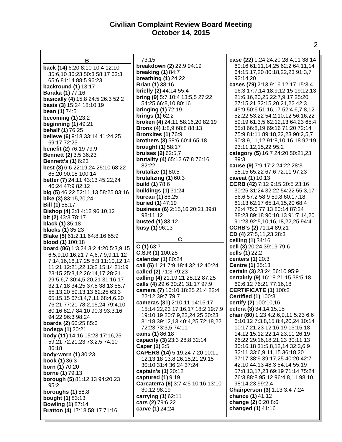| в                                                         | 73:15                                                  | case (22) 1:24 24:20 28:4,11 38:14                             |
|-----------------------------------------------------------|--------------------------------------------------------|----------------------------------------------------------------|
| back (14) 6:20 8:10 10:4 12:10                            | breakdown (2) 22:9 94:19                               | 60:16 61:11,14,25 62:2 64:11,14                                |
| 35:6,10 36:23 50:3 58:17 63:3                             | breaking (1) 84:7                                      | 64:15,17,20 80:18,22,23 91:3,7                                 |
| 65:6 81:14 88:5 96:23                                     | breathing $(1)$ 24:22                                  | 92:14,20                                                       |
| backround (1) 13:17                                       | <b>Brian (1) 38:16</b>                                 | cases (79) 2:13 9:16 12:17 15:3,4                              |
| Baraka (1) 77:16                                          | briefly (2) 44:14 55:4                                 | 16:3 17:7,14 18:9,12,15 19:12,13                               |
| basically (4) 15:8 24:5 26:3 52:2                         | <b>bring (9)</b> 5:7 10:4 13:5,5 27:22                 | 21:6,16,20,25 22:7,9,17 25:20                                  |
| basis (3) 15:24 18:10,19                                  | 54:25 66:8,10 80:16                                    | 27:15,21 32:15,20,21,22 42:3                                   |
| bean (1) 74:5                                             | <b>bringing (1) 72:19</b>                              | 45:9 50:6 51:16,17 52:4,6,7,8,12                               |
| becoming $(1)$ 23:2                                       | brings $(1)$ 62:2                                      | 52:22 53:22 54:2,10,12 56:16,22                                |
| <b>beginning (1) 49:21</b>                                | broken (4) 24:11 58:16,20 82:19                        | 59:19 61:3,5 62:12,13 64:23 65:4                               |
| <b>behalf (1) 76:25</b>                                   | Bronx (4) 1:8,9 68:8 88:13                             | 65:8 66:8,19 69:16 71:20 72:14                                 |
| believe (6) 9:18 33:14 41:24,25                           | <b>Bronxites (1) 76:9</b>                              | 75:9 81:11 89:18,22,23 90:2,5,7                                |
| 69:17 72:23                                               | <b>brothers (3)</b> 58:6 60:4 65:18                    | 90:8,9,11,12 91:8,10,16,18 92:19                               |
| benefit (2) 76:19 79:9                                    | <b>brought (1)</b> 58:17                               | 93:11,12,15,22 95:2                                            |
| <b>Bennett (2) 3:5 36:23</b>                              | bruises (2) 62:5,7                                     | category (5) 16:7 24:20 50:21,23                               |
| <b>Bennett's (1) 6:23</b>                                 | brutality (4) 65:12 67:8 76:16                         | 89:3                                                           |
| best (8) 6:6 22:19,24 25:10 68:22                         | 82:22                                                  | cause (9) 7:9 17:2 24:22 28:3                                  |
| 85:20 90:18 100:14                                        | brutalize (1) 80:5                                     | 58:15 65:22 67:6 72:11 97:23                                   |
| better (7) 24:11 43:13 45:22,24                           | brutalizing $(1)$ 60:3                                 | caveat (1) 10:13                                               |
| 46:24 47:9 82:12                                          | <b>build (1) 78:6</b>                                  | CCRB (42) 7:12 9:15 20:5 23:16                                 |
| big (5) 46:22 52:11,13 58:25 83:16                        | buildings (1) 31:24                                    | 30:25 31:24 32:22 54:22 55:3,17                                |
| bike (3) 83:15,20,24                                      | <b>bureau (1) 86:25</b>                                | 56:6 57:2 58:9 59:8 60:17,18                                   |
| <b>Bill (1)</b> 58:17                                     | <b>buried (1) 47:19</b>                                | 61:13 62:17 65:14,15,20 68:4                                   |
| Bishop (4) 3:8 4:12 96:10,12                              | business (6) 2:15,16 20:21 39:8                        | 72:4 75:6 77:13 80:14 87:24                                    |
| <b>bit (2)</b> 43:3 78:17                                 | 98:11,12                                               | 88:23 89:18 90:10,13 91:7,14,20                                |
| <b>black (1)</b> 35:18                                    | busted (1) 83:12                                       | 91:23 92:5,10,16,18,22,25 94:4                                 |
| <b>blacks (1)</b> 35:23                                   | busy (1) 96:13                                         | CCRB's (2) 71:14 89:21                                         |
|                                                           |                                                        |                                                                |
| <b>Blake (5)</b> 61:2,11 64:8,16 65:9                     |                                                        | CD (4) 27:5,11,23 28:3                                         |
| <b>blood (1)</b> 100:18                                   | $\mathbf c$                                            | ceiling (1) 34:16                                              |
| board (86) 1:3,24 3:2 4:20 5:3,9,15                       | $C(1)$ 63:7                                            | cell (3) 20:24 39:19 79:6                                      |
| 6:5,9,10,16,21 7:4,6,7,9,9,11,12                          | $C.S.R$ (1) 100:25                                     | cells (1) 22:2                                                 |
| 7:14,16,16,17,25 8:3 11:10,12,14                          | calendar (1) 80:24                                     | centers (1) 20:3                                               |
| 11:21 12:21,22 13:2 15:14 21:19                           | call (5) 1:21 7:9 18:4 32:12 40:24                     | Centre (1) 35:13                                               |
| 23:15 25:3,12 26:14,17 28:21                              | called (2) 71:3 79:23                                  | certain (3) 23:24 56:10 95:9                                   |
| 29:5,6,7 30:4,5,20,21 31:16,17                            | calling (4) 21:19,21 28:12 87:25                       | certainly (9) 16:18 21:15 38:5,18                              |
| 32:17,18 34:25 37:5 38:13 55:7                            | calls (4) 29:6 30:21 31:17 97:9                        | 69:6,12 76:21 77:16,18                                         |
| 55:13,20 59:13,13 62:25 63:3                              | camera (7) 16:10 18:25 21:4 22:4                       | <b>CERTIFICATE (1) 100:2</b>                                   |
| 65:15,15 67:3,4,7,11 68:4,6,20                            | 22:12 39:7 79:7                                        | <b>Certified (1) 100:8</b>                                     |
| 76:21 77:21 78:2,15,24 79:4,10                            | cameras (31) 2:10,11 14:16,17                          | certify (2) 100:10,16                                          |
| 80:16 82:7 84:10 90:3 93:3,16                             | 15:14,22,23 17:16,17 18:2 19:7,9                       | cetera (3) 34:14, 15, 15                                       |
| 94:22 96:3 98:24                                          | 19:10,19 20:7,9,22,24,25 30:23                         | chair (80) 1:23 4:2,6,9,11 5:23 6:6                            |
| boards (2) 66:25 85:6                                     | 31:18 39:12,13 40:4,25 72:18,22                        | 6:10,12 7:3,8,15 8:4,20,24 10:14                               |
| <b>bodega (1) 20:21</b>                                   | 72:23 73:3,5 74:11                                     | 10:17,21,23 12:16,19 13:15,18                                  |
| body (11) 14:16 15:23 17:16,25                            | cams (1) 86:18                                         | 14:12 15:12 22:14 23:11 26:19                                  |
| 59:21 72:21,23 73:2,5 74:10                               | capacity (3) 23:3 28:8 32:14                           | 26:22 29:16,18,21,23 30:11,13                                  |
| 86:18                                                     | Caper (1) 3:5                                          | 30:16,18 31:5,8,12,14 32:3,6,9                                 |
| body-worn (1) 30:23                                       | CAPERS (14) 5:19,24 7:20 10:11                         | 32:11 33:6,9,11,15 36:18,20                                    |
| <b>book (1)</b> 36:3                                      | 12:13,18 13:8 26:15,21 29:15<br>30:10 31:4 36:24 37:24 | 37:17 38:9 39:17,25 40:20 42:7<br>42:10 44:13 48:3 54:14 55:19 |
| <b>born (1)</b> 70:20                                     | captain's (1) 20:12                                    | 57:8,13,17,23 69:19 71:14 75:24                                |
| <b>borne (1) 79:13</b>                                    | captured (1) 9:19                                      | 76:3 88:8 95:12 96:4,8,11 98:10                                |
| borough (5) 81:12,13 94:20,23                             | Carcaterra (6) 3:7 4:5 10:16 13:10                     | 98:14,23 99:2,4                                                |
| 95:2                                                      | 30:12 98:19                                            | Chairperson (3) 1:13 3:4 7:24                                  |
| boroughs $(1)$ 58:8                                       | carrying (1) 62:11                                     | chance (1) 41:12                                               |
| <b>bought (1) 83:13</b>                                   | cars (2) 79:6,22                                       | change (2) 6:20 8:6                                            |
| <b>Bowling (1) 87:14</b><br>Bratton (4) 17:18 58:17 71:16 | carve (1) 24:24                                        | changed (1) 41:16                                              |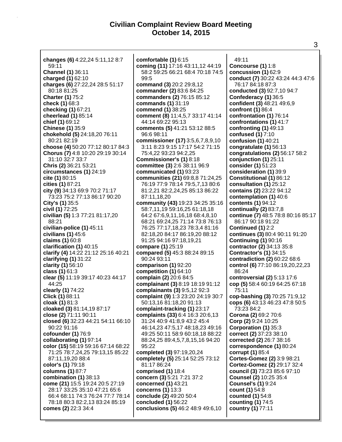**changes (6)** 4:22,24 5:11,12 8:7 59:11 **Channel (1)** 36:11 **charged (1)** 62:10 **charges (6)** 27:22,24 28:5 51:17 80:18 81:25 **Charter (1)** 75:2 **check (1)** 68:3 **checking (1)** 67:21 **cheerlead (1)** 85:14 **chief (1)** 69:12 **Chinese (1)** 35:9 **chokehold (5)** 24:18,20 76:11 80:21 82:19 **choose (4)** 50:20 77:12 80:17 84:3 **Chorus (7)** 4:8 10:20 29:19 30:14 31:10 32:7 33:7 **Chris (2)** 36:21 53:21 **circumstances (1)** 24:19 **cite (1)** 80:15 **cities (1)** 87:21 **city (9)** 34:13 69:9 70:2 71:17 73:23 75:2 77:13 86:17 90:20 **City's (1)** 35:5 **civil (1)** 72:25 **civilian (5)** 1:3 77:21 81:17,20 88:21 **civilian-police (1)** 45:11 **civilians (1)** 45:6 **claims (1)** 60:8 **clarification (1)** 40:15 **clarify (4)** 14:22 21:12 25:16 40:21 **clarifying (1)** 31:22 **clarity (1)** 56:10 **class (1)** 61:3 **clear (5)** 11:19 39:17 40:23 44:17 44:25 **clearly (1)** 74:22 **Click (1)** 88:11 **cloak (1)** 81:3 **cloaked (3)** 81:14,19 87:17 **close (2)** 71:11 90:11 **closed (6)** 32:23 44:21 54:11 66:10 90:22 91:16 **cofounder (1)** 76:9 **collaborating (1)** 97:14 **color (15)** 58:19 59:16 67:14 68:22 71:25 78:7,24,25 79:13,15 85:22 87:11,19,20 88:4 **color's (1)** 79:18 **columns (1)** 87:7 **combination (1)** 38:13 **come (21)** 15:5 19:24 20:5 27:19 28:17 33:25 35:10 47:21 65:6 66:4 68:11 74:3 76:24 77:7 78:14 78:18 80:3 82:2,13 83:24 85:19 **comes (2)** 22:3 34:4

**comfortable (1)** 6:15 **coming (11)** 17:16 43:11,12 44:19 58:2 59:25 66:21 68:4 70:18 74:5 99:5 **command (3)** 20:2 29:8,12 **commander (2)** 83:6 84:25 **commanders (2)** 76:15 85:12 **commands (1)** 31:19 **commend (1)** 38:25 **comment (8)** 11:4,5,7 33:17 41:14 44:14 69:22 95:13 **comments (5)** 41:21 53:12 88:5 96:6 98:11 **commissioner (17)** 3:5,6,7,8,9,10 3:11 8:23 9:15 17:17 54:2 71:15 75:4,22 93:23 94:2,25 **Commissioner's (1)** 8:18 **committee (3)** 2:6 38:11 96:9 **communicated (1)** 93:23 **communities (21)** 69:8,8 71:24,25 76:19 77:9 78:14 79:5,7,13 80:6 81:2,21 82:2,24,25 85:13 86:22 87:11,18,20 **community (43)** 19:23 34:25 35:16 58:7,11,19 59:16,25 61:18,18 64:2 67:6,9,11,16,18 68:4,8,10 68:21 69:24,25 71:14 73:8 76:13 76:25 77:17,18,23 78:3,4 81:16 82:18,20 84:17 86:19,20 88:12 91:25 94:16 97:18,19,21 **compare (1)** 25:19 **compared (5)** 45:3 88:24 89:15 90:24 93:11 **comparison (1)** 92:20 **competition (1)** 64:10 **complain (2)** 20:6 84:5 **complainant (3)** 8:19 18:19 91:12 **complainants (3)** 9:5,12 92:3 **complaint (9)** 1:3 23:20 24:19 30:7 50:13,16 81:18,20 91:13 **complaint-tracking (1)** 23:17 **complaints (33)** 6:4 16:3 20:6,13 31:24 40:9 41:8,9 43:2 45:4 46:14,23 47:5,17 48:18,23 49:16 49:25 50:11 58:9 60:18,18 88:22 88:24,25 89:4,5,7,8,15,16 94:20 95:22 **completed (3)** 97:19,20,24 **completely (5)** 25:14 52:25 73:12 81:17 86:24 **comprised (1)** 18:4 **concern (3)** 5:21 7:21 37:2 **concerned (1)** 43:21 **concerns (1)** 13:3 **conclude (2)** 49:20 50:4 **concluded (1)** 56:22 **conclusions (5)** 46:2 48:9 49:6,10

49:11 **Concourse (1)** 1:8 **concussion (1)** 62:9 **conduct (7)** 30:22 43:24 44:3 47:6 76:17 84:18 87:3 **conducted (3)** 92:7,10 94:7 **Confederacy (1)** 36:5 **confident (3)** 48:21 49:6,9 **confront (1)** 86:4 **confrontation (1)** 76:14 **confrontations (1)** 41:7 **confronting (1)** 49:13 **confused (1)** 7:10 **confusion (1)** 40:21 **congratulate (1)** 56:13 **congratulations (2)** 56:17 58:2 **conjunction (1)** 25:11 **consider (1)** 51:23 **consideration (1)** 39:9 **Constitutional (1)** 86:12 **consultation (1)** 25:12 **contains (2)** 23:22 94:12 **contemplation (1)** 40:6 **contents (1)** 94:12 **continually (2)** 83:7,8 **continue (7)** 48:5 78:8 80:16 85:17 86:17 90:18 91:22 **Continued (1)** 2:2 **continues (3)** 80:4 90:11 91:20 **Continuing (1)** 90:16 **contractor (2)** 34:13 35:8 **Contractor's (1)** 34:15 **contradiction (2)** 60:22 68:6 **control (6)** 77:10 86:19,20,22,23 86:24 **controversial (2)** 5:13 17:6 **cop (5)** 58:4 60:19 64:25 67:18 75:11 **cop-bashing (3)** 70:25 71:9,12 **cops (6)** 43:13 46:23 47:8 50:5 73:23 84:2 **Corona (2)** 69:2 70:6 **Corp (2)** 9:24 10:25 **Corporation (1)** 35:3 **correct (2)** 37:23 38:10 **corrected (2)** 26:7 38:16 **correspondence (1)** 80:24 **corrupt (1)** 85:4 **Cortes-Gomez (2)** 3:9 98:21 **Cortez-Gomez (2)** 29:17 32:4 **council (3)** 73:23 85:6 97:10 **Counsel (2)** 10:25 35:4 **Counsel's (1)** 9:24 **count (1)** 54:8 **counted (1)** 54:8 **counting (1)** 74:5 **country (1)** 77:11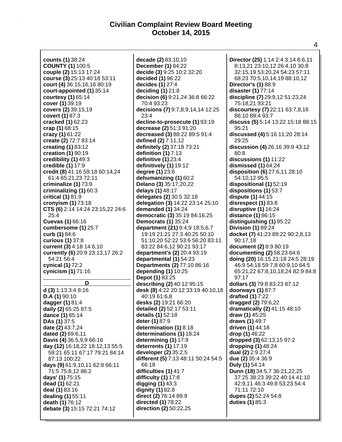**counts (1)** 38:24 **COUNTY (1)** 100:5 **couple (2)** 15:13 17:24 **course (3)** 25:13 40:18 53:11 **court (4)** 36:15,16,16 80:19 **court-appointed (1)** 35:14 **courtesy (1)** 65:14 **cover (1)** 39:19 **covers (2)** 39:15,19 **covert (1)** 87:3 **cracked (1)** 62:23 **crap (1)** 68:15 **crazy (1)** 61:22 **create (2)** 72:7 83:14 **creating (1)** 83:12 **creation (1)** 90:19 **credibility (1)** 49:3 **credible (1)** 17:9 **credit (8)** 41:16 59:18 60:14,24 61:4 65:21,23 72:11 **criminalize (1)** 73:9 **criminalizing (1)** 60:3 **critical (1)** 81:9 **cronyism (1)** 73:18 **CTS (6)** 2:14 14:24 23:15,22 24:6 25:4 **Cuevas (1)** 66:16 **cumbersome (1)** 25:7 **curb (1)** 84:6 **curious (1)** 37:8 **current (3)** 4:18 14:6,10 **currently (6)** 20:9 23:13,17 26:2 54:21 56:4 **cynical (1)** 72:2 **cynicism (1)** 71:16

**D**

**d (3)** 1:13 3:4 8:16 **D.A (1)** 90:10 **dagger (1)** 81:4 **daily (2)** 65:25 87:5 **dance (1)** 85:14 **DAs (1)** 37:5 **date (2)** 43:7,24 **dated (2)** 69:6,11 **Davis (4)** 36:5,9,9 66:16 **day (12)** 16:18,22 18:12,13 55:5 59:21 65:11 67:17 79:21 84:14 87:13 100:22 **days (9)** 61:9,10,11 62:8 66:11 71:5 75:8,12 86:2 **days' (1)** 75:15 **dead (1)** 62:21 **deal (1)** 83:16 **dealing (1)** 55:11 **death (1)** 76:12 **debate (3)** 15:15 72:21 74:12

**decade (2)** 83:10,10 **December (1)** 84:22 **decide (3)** 9:25 10:2 32:20 **decided (1)** 96:22 **decides (1)** 27:4 **deciding (1)** 21:8 **decision (6)** 9:21,24 36:8 66:22 70:4 93:23 **decisions (7)** 9:7,8,9,14,14 12:25 23:4 **decline-to-prosecute (1)** 93:19 **decrease (2)** 51:3 91:20 **decreased (3)** 88:22 89:5 91:4 **defined (2)** 7:11,12 **definitely (2)** 37:18 73:21 **definition (1)** 7:13 **definitive (1)** 23:4 **definitively (1)** 19:12 **degree (1)** 23:6 **dehumanizing (1)** 60:2 **Delano (3)** 35:17,20,22 **delays (1)** 48:17 **delegates (2)** 30:5 32:18 **delegation (3)** 14:22 23:14 25:10 **demanded (1)** 34:24 **democratic (3)** 35:19 84:16,25 **Democrats (1)** 35:24 **department (21)** 9:4,9 18:5,6,7 19:19 21:21 27:3 40:25 50:10 51:10,20 52:22 53:6 56:20 83:11 83:22 84:6,12 90:21 93:17 **department's (2)** 20:4 93:19 **departmental (1)** 54:23 **Departments (2)** 77:10 86:16 **depending (1)** 10:25 **Depot (1)** 83:25 **describing (2)** 40:12 95:15 **desk (8)** 4:22 20:12 33:19 40:10,18 40:19 61:6,8 **desks (2)** 19:21 66:20 **detailed (2)** 52:17 53:11 **details (1)** 52:18 **deter (1)** 87:9 **determination (1)** 8:18 **determinations (1)** 18:24 **determining (1)** 17:9 **deterrents (1)** 17:19 **developer (2)** 35:2,5 **different (5)** 7:13 48:11 50:24 54:5 66:18 **difficulties (1)** 41:7 **difficulty (1)** 17:8 **digging (1)** 43:3 **dignity (1)** 82:8 **direct (2)** 76:14 89:9 **directed (1)** 78:22 **direction (2)** 50:22,25

**Director (25)** 1:14 2:4 3:14 6:6,11 8:13,21 23:10,12 26:4,10 30:8 32:15,19 53:20,24 54:23 57:11 68:23 70:5,10,14,19 88:10,12 **Director's (1)** 88:9 **disaster (1)** 77:14 **discipline (7)** 29:9,12 51:23,24 75:18,21 93:21 **discourtesy (7)** 22:11 63:7,8,16 86:10 89:4 93:7 **discuss (5)** 5:14 13:22 15:18 88:15 95:21 **discussed (4)** 5:16 11:20 28:14 29:25 **discussion (4)** 26:16 39:9 43:12 80:8 **discussions (1)** 11:22 **dismissed (1)** 64:24 **disposition (6)** 27:6,11 28:10 54:10,12 95:5 **dispositional (1)** 52:19 **dispositions (1)** 53:7 **dispute (1)** 44:15 **disrespect (1)** 83:8 **disruptive (1)** 16:24 **distance (1)** 86:15 **distinguishing (1)** 95:22 **Division (1)** 89:24 **docket (7)** 41:23 89:22 90:2,8,13 90:17,18 **document (2)** 8:9 80:19 **documenting (2)** 58:23 64:6 **doing (20)** 16:15 21:18 24:5 28:19 46:9 54:18 59:7,8 60:9,10 64:5 65:21,22 67:8,10,18,24 82:9 84:8 97:17 **dollars (3)** 79:8 83:23 87:12 **doorways (1)** 87:7 **drafted (1)** 7:22 **dragged (2)** 79:6,22 **dramatically (2)** 41:15 48:10 **draw (1)** 45:25 **draws (1)** 49:7 **driven (1)** 44:18 **drop (1)** 46:22 **dropped (3)** 62:13,15 97:2 **dropping (1)** 48:24 **dual (2)** 2:9 27:4 **due (2)** 35:4 36:9 **Duly (1)** 54:14 **Dunn (18)** 34:5,7 36:21,22,25 37:25 38:23 39:22 40:14 41:10 42:9,11 46:3 49:8 53:23 54:4 71:11 72:10 **dupes (2)** 52:24 54:8 **duties (1)** 85:3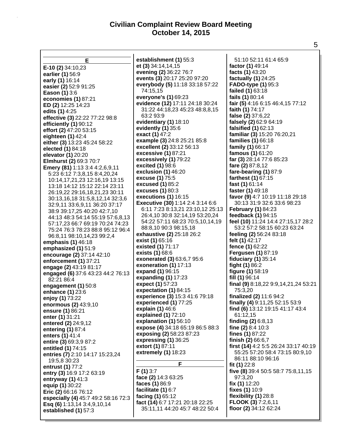| Е                                                   | establishment (1) 55:3                    | 51:10 52:11 61:4 65:9                                      |
|-----------------------------------------------------|-------------------------------------------|------------------------------------------------------------|
| E-10 (2) 34:10,23                                   | et (3) 34:14, 14, 15                      | factor (1) 49:14                                           |
| earlier (1) 56:9                                    | evening (2) 36:22 76:7                    | facts (1) 43:20                                            |
| early (1) 16:14                                     | events (3) 20:17 25:20 97:20              | factually $(1)$ 24:25                                      |
| easier (2) 52:9 91:25                               | everybody (5) 11:18 33:18 57:22           | <b>FADO-type (1) 95:3</b>                                  |
| <b>Eason (1) 3:6</b>                                | 74:15,15                                  | failed (1) 63:18                                           |
| economies (1) 87:21                                 | everyone's (1) 69:23                      | fails (1) 80:14                                            |
| ED (2) 12:25 14:23                                  | evidence (12) 17:11 24:18 30:24           | fair (5) 4:16 6:15 46:4,15 77:12                           |
| edits (1) 4:25                                      | 31:22 44:18,23 45:23 48:8,8,15            | faith (1) 74:17                                            |
| effective (3) 22:22 77:22 98:8                      | 63:2 93:9                                 | false $(2)$ 37:6,22                                        |
| efficiently (1) 90:12                               | evidentiary (1) 18:10                     | falsely (2) 62:9 64:19                                     |
| effort (2) 47:20 53:15                              | evidently $(1)$ 35:6                      | falsified (1) 62:13                                        |
| eighteen $(1)$ 42:4                                 | exact (1) 47:2                            | familiar (3) 15:20 76:20,21                                |
| either (3) 13:23 45:24 58:22                        | example (3) 24:8 25:21 85:8               | families (1) 66:18                                         |
| elected (1) 84:18                                   | excellent (2) 33:12 56:13                 | family (1) 66:17                                           |
| elevator (1) 20:20                                  | excessive (1) 87:21                       | famous (1) 61:20                                           |
| <b>Elmhurst (2) 69:3 70:7</b>                       | excessively (1) 79:22                     | far (3) 28:14 77:6 85:23                                   |
| Emery (81) 1:13 3:4 4:2,6,9,11                      | excited (1) 98:6                          | fare (2) 87:8,12                                           |
| 5:23 6:12 7:3,8,15 8:4,20,24                        | exclusion (1) 46:20                       | fare-bearing (1) 87:9                                      |
| 10:14,17,21,23 12:16,19 13:15                       | excuse (1) 75:5                           | farthest (1) 67:15                                         |
| 13:18 14:12 15:12 22:14 23:11                       | excused (1) 85:2                          | fast (1) 61:14                                             |
| 26:19,22 29:16,18,21,23 30:11                       | excuses (1) 80:3                          | faster (1) 49:18                                           |
| 30:13,16,18 31:5,8,12,14 32:3,6                     | executions (1) 16:15                      | favor (9) 4:7 10:19 11:18 29:18                            |
| 32:9,11 33:6,9,11 36:20 37:17                       | <b>Executive (30)</b> 1:14 2:4 3:14 6:6   | 30:13 31:9 32:6 33:6 98:23                                 |
| 38:9 39:17,25 40:20 42:7,10                         | 6:11 7:23 8:13,21 23:10,12 25:13          | <b>February (1) 84:23</b>                                  |
| 44:13 48:3 54:14 55:19 57:6,8,13                    | 26:4,10 30:8 32:14,19 53:20,24            | feedback (1) 94:15                                         |
| 57:17,23 66:7 69:19 70:24 74:23                     | 54:22 57:11 68:23 70:5,10,14,19           | feel (10) 11:24 14:4 27:15,17 28:2                         |
| 75:24 76:3 78:23 88:8 95:12 96:4                    | 88:8,10 90:3 98:15,18                     | 53:2 57:2 58:15 60:23 63:24                                |
| 96:8,11 98:10,14,23 99:2,4                          | exhaustive (2) 25:18 26:2                 | feeling (2) 56:24 83:18                                    |
| emphasis $(1)$ 46:18                                | exist (1) 65:16                           | felt (1) 42:17                                             |
| emphasized (1) 51:9                                 | existed (1) 71:17                         | fence (1) 62:22                                            |
| encourage (2) 37:14 42:10                           | exists (1) 68:6                           | <b>Fergusen (1) 87:19</b>                                  |
| enforcement (1) 37:21                               | exonerated (3) 63:6,7 95:6                | fiduciary (1) 35:14                                        |
| engage (2) 43:19 81:17                              | exoneration (1) 17:13                     | fight (1) 86:2                                             |
| engaged (6) 37:6 43:23 44:2 76:13                   | expand (1) 96:15                          | figure (1) 58:19                                           |
| 82:21 86:4                                          | expanding $(1)$ 17:23                     | fill (1) 96:14                                             |
| engagement (1) 50:8                                 | expect (1) 57:23                          | final (9) 8:18,22 9:9,14,21,24 53:21                       |
| enhance (1) 23:6                                    | expectation (1) 84:15                     | 75:3,20                                                    |
| enjoy (1) 73:22                                     | experience (3) 15:3 41:6 79:18            | finalized (2) 11:6 94:2<br>finally (4) 9:11, 25 52:15 53:9 |
| enormous (2) 43:9,10                                | experienced (1) 77:25<br>explain (1) 46:6 | find (6) 13:12 19:15 41:17 43:4                            |
| ensure (1) 86:21                                    | explained (1) 72:10                       | 61:12,15                                                   |
| enter (1) 31:21                                     | explanation (1) 56:10                     | finding (2) 6:8,13                                         |
| entered (2) 24:9,12                                 | expose (4) 34:18 65:19 86:5 88:3          | fine (2) $8:4$ 10:3                                        |
| entering (1) 87:4                                   | exposing (2) 58:23 87:23                  | fines $(1)$ 87:22                                          |
| enters (1) 41:4                                     | expressing (1) 36:25                      | finish $(2)$ 66:6,7                                        |
| entire (3) 69:3,9 87:2                              | extort (1) 87:11                          | first (14) 4:2 5:5 26:24 33:17 40:19                       |
| entitled (1) 74:15                                  | extremely (1) 18:23                       | 55:25 57:20 58:4 73:15 80:9,10                             |
| entries (7) 2:10 14:17 15:23,24                     |                                           | 86:11 88:10 96:16                                          |
| 19:5,8 30:23                                        | F                                         | fit $(1)$ 22:8                                             |
| entrust (1) 77:2                                    | $F(1)$ 3:7                                | five (8) 39:4 50:5 58:7 75:8,11,15                         |
| entry (3) 16:9 17:2 63:19                           | face (2) 14:3 63:25                       | 97:3,20                                                    |
| entryway $(1)$ 41:3                                 | faces (1) 86:9                            | fix $(1)$ 12:20                                            |
| equip (1) 30:22                                     | facilitate (1) 6:7                        | fixes (1) 10:9                                             |
| Eric (2) 66:16 76:12                                | facing (1) 65:12                          | flexibility (1) 28:8                                       |
| especially (4) 45:7 49:2 58:16 72:3                 | fact (14) 6:7 17:21 20:18 22:25           | FLOOK (3) 7:2,6,11                                         |
| Esq (6) 1:13,14 3:4,9,10,14<br>established (1) 57:3 | 35:11,11 44:20 45:7 48:22 50:4            | floor (2) 34:12 62:24                                      |
|                                                     |                                           |                                                            |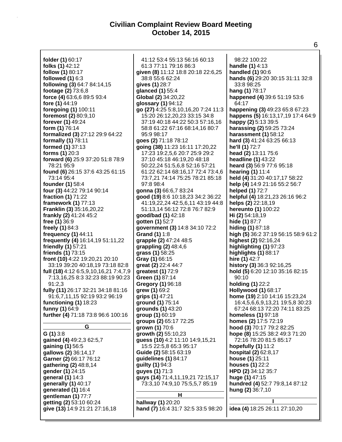**folder (1)** 60:17 **folks (1)** 42:12 **follow (1)** 80:17 **followed (1)** 6:3 **following (3)** 64:7 84:14,15 **footage (2)** 73:6,8 **force (4)** 63:6,6 89:5 93:4 **fore (1)** 44:19 **foregoing (1)** 100:11 **foremost (2)** 80:9,10 **forever (1)** 49:24 **form (1)** 76:14 **formalized (3)** 27:12 29:9 64:22 **formally (1)** 78:11 **formed (1)** 37:13 **forms (1)** 20:3 **forward (6)** 25:9 37:20 51:8 78:9 78:21 95:9 **found (6)** 26:15 37:6 43:25 61:15 73:14 95:4 **founder (1)** 58:4 **four (3)** 44:22 79:14 90:14 **fraction (1)** 71:22 **framework (1)** 77:13 **Franklin (3)** 35:16,20,22 **frankly (2)** 41:24 45:2 **free (1)** 36:9 **freely (1)** 84:3 **frequency (1)** 44:11 **frequently (4)** 16:14,19 51:11,22 **friendly (1)** 57:21 **friends (1)** 73:15 **front (10)** 4:22 19:20,21 20:10 33:19 39:20 40:18,19 73:18 82:8 **full (18)** 4:12 6:5,9,10,16,21 7:4,7,9 7:13,16,25 8:3 32:23 88:19 90:23 91:2,3 **fully (11)** 26:17 32:21 34:18 81:16 91:6,7,11,15 92:19 93:2 96:19 **functioning (1)** 18:23 **funny (1)** 64:9 **further (4)** 71:18 73:8 96:6 100:16 **G G (1)** 3:8 **gained (4)** 49:2,3 62:5,7 **gaining (1)** 56:5 **gallows (2)** 36:14,17 **Garner (2)** 66:17 76:12 **gathering (2)** 48:8,14 **gender (1)** 24:15 **general (1)** 14:3 **generally (1)** 40:17 **generated (1)** 16:4 **gentleman (1)** 77:7 **getting (2)** 53:10 60:24 **give (13)** 14:9 21:21 27:16,18

41:12 53:4 55:13 56:16 60:13 61:3 77:11 79:16 86:3 **given (8)** 11:12 18:8 20:18 22:6,25 38:8 55:6 62:24 **gives (1)** 28:7 **glanced (1)** 55:4 **Global (2)** 34:20,22 **glossary (1)** 94:12 **go (27)** 4:25 5:8,10,16,20 7:24 11:3 15:20 26:12,20,23 33:15 34:8 37:19 40:18 44:22 50:3 57:16,16 58:8 61:22 67:16 68:14,16 80:7 95:9 98:17 **goes (2)** 71:18 78:12 **going (38)** 11:23 16:11 17:20,22 17:23 19:2,5,6 20:7 25:9 29:2 37:10 45:18 46:19,20 48:18 50:22,24 51:5,6,8 52:16 57:21 61:22 62:14 68:16,17 72:4 73:4,6 73:7,21 74:14 75:25 78:21 85:18 97:8 98:4 **gonna (3)** 66:6,7 83:24 **good (19)** 8:6 10:18,23 34:2 36:22 41:19,22,24 42:5,6,11 43:19 44:8 51:13,14 56:12 72:8 76:7 82:9 **good/bad (1)** 42:18 **gotten (1)** 52:7 **government (3)** 14:8 34:10 72:2 **Grand (1)** 1:8 **grapple (2)** 47:24 48:5 **grappling (2)** 48:4,6 **grass (1)** 58:25 **Gray (1)** 66:15 **great (2)** 22:4 44:7 **greatest (1)** 72:9 **Green (1)** 87:14 **Gregory (1)** 96:18 **grew (1)** 69:2 **grips (1)** 47:21 **ground (1)** 75:14 **grounds (1)** 43:20 **group (1)** 60:19 **groups (2)** 65:17 72:25 **grown (1)** 70:6 **growth (2)** 55:10,23 **guess (10)** 4:2 11:10 14:9,15,21 15:5 22:5,8 65:3 95:17 **Guide (2)** 58:15 63:19 **guidelines (1)** 84:17 **guilty (1)** 94:3 **guyes (1)** 71:3 **guys (14)** 71:4,11,19,21 72:15,17 73:3,10 74:9,10 75:5,5,7 85:19 **H hallway (1)** 20:20 **hand (7)** 16:4 31:7 32:5 33:5 98:20

98:22 100:22 **handle (1)** 4:13 **handled (1)** 90:6 **hands (6)** 29:20 30:15 31:11 32:8 33:8 98:25 **hang (1)** 78:17 **happened (4)** 39:6 51:19 53:6 64:17 **happening (3)** 49:23 65:8 67:23 **happens (5)** 16:13,17,19 17:4 64:9 **happy (2)** 5:13 39:5 **harassing (2)** 59:25 73:24 **harassment (1)** 58:12 **hard (3)** 41:24 63:25 66:13 **he'll (1)** 72:7 **head (2)** 13:11 75:6 **headline (1)** 43:22 **heard (3)** 56:9 77:6 95:18 **hearing (1)** 11:4 **held (4)** 31:20 40:17,17 58:22 **help (4)** 14:9 21:16 55:2 56:7 **helped (1)** 72:7 **helpful (4)** 18:21,23 26:16 96:2 **helps (2)** 22:18,19 **hereunto (1)** 100:22 **Hi (2)** 54:18,19 **hide (1)** 87:7 **hiding (1)** 87:18 **high (5)** 36:2 37:19 56:15 58:9 61:2 **highest (2)** 92:16,24 **highlighting (1)** 97:23 **highlights (1)** 88:17 **hire (1)** 42:7 **history (3)** 36:3 92:16,25 **hold (5)** 6:20 12:10 35:16 82:15 90:10 **holding (1)** 22:2 **Hollywood (1)** 68:17 **home (19)** 2:10 14:16 15:23,24 16:4,5,6,6,9,13,21 19:5,8 30:23 67:24 68:13 72:20 74:11 83:25 **homeless (1)** 97:18 **homes (2)** 17:5 72:19 **hood (3)** 70:17 79:2 82:25 **hope (8)** 15:25 38:2 49:3 71:20 72:16 78:20 81:5 85:17 **hopefully (1)** 11:2 **hospital (2)** 62:8,17 **house (1)** 25:11 **houses (1)** 22:2 **HPD (2)** 34:12 35:7 **huge (1)** 47:15 **hundred (4)** 52:7 79:8,14 87:12 **hung (2)** 36:7,10 **I idea (4)** 18:25 26:11 27:10,20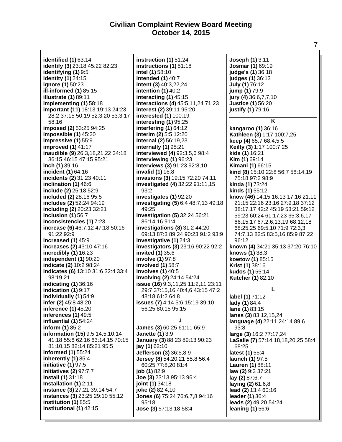| identified (1) 63:14                  | instruction (1) 51:24                  | Joseph (1) 3:11                    |
|---------------------------------------|----------------------------------------|------------------------------------|
| identify (3) 23:18 45:22 82:23        | instructions (1) 51:18                 | <b>Josmar (1) 69:19</b>            |
| identifying (1) 9:5                   | intel (1) 58:10                        | judge's (1) 36:18                  |
| identity (1) 24:15                    | intended (1) 40:7                      | judges (1) 36:13                   |
| ignore (1) 50:23                      | intent (3) 40:3,22,24                  | July (1) 76:12                     |
| ill-informed (1) 85:15                | intention $(1)$ 40:2                   | jump (1) 79:9                      |
| illustrate (1) 89:11                  | interacting (1) 45:15                  | jury (4) 36:6,7,7,10               |
| implementing (1) 58:18                | interactions (4) 45:5,11,24 71:23      | <b>Justice (1)</b> 56:20           |
| important (11) 18:13 19:13 24:23      | interest (2) 39:11 95:20               | justify (1) 79:16                  |
| 28:2 37:15 50:19 52:3,20 53:3,17      | interested (1) 100:19                  |                                    |
| 58:16                                 | interesting (1) 95:25                  | Κ                                  |
| imposed (2) 53:25 94:25               | interfering (1) 64:12                  | kangaroo (1) 36:16                 |
| impossible (1) 45:20                  | interim (2) 5:5 12:20                  | Kathleen (3) 1:17 100:7,25         |
| impressive (1) 55:9                   | Internal (2) 56:19,23                  | keep (4) 65:7 68:4,5,5             |
| improved (1) 41:17                    | internally (1) 95:21                   | Keilty (3) 1:17 100:7,25           |
| inaudible (9) 26:3, 18, 21, 22 34: 18 | interviewed (4) 92:3,5,6 98:4          | kids (1) 16:21                     |
| 36:15 46:15 47:15 95:21               | interviewing (1) 96:23                 | Kim (1) 69:14                      |
| inch (1) 39:16                        | interviews (3) 91:23 92:8,10           | Kimani (1) 66:15                   |
| incident (1) 64:16                    | invalid (1) 16:8                       | kind (8) 15:10 22:8 56:7 58:14,19  |
| incidents (2) 31:23 40:11             | invasions (3) 19:15 72:20 74:11        | 75:18 97:2 98:9                    |
| inclination (1) 46:6                  | investigated (4) 32:22 91:11,15        | kinda (1) 73:24                    |
| include (2) 25:18 52:9                | 93:2                                   | kinds (1) 55:12                    |
| included (2) 28:16 95:5               | investigates (1) 92:20                 | know (46) 14:15 16:13 17:16 21:11  |
| includes (2) 52:24 94:19              | investigating (5) 6:4 48:7,13 49:18    | 21:15 22:16 23:16 27:9,18 37:12    |
| including (2) 20:23 32:21             | 49:25                                  | 38:17,17 42:2 45:19 53:21 59:12    |
| inclusion (1) 56:7                    | investigation (5) 32:24 56:21          | 59:23 60:24 61:17,23 65:3,6,17     |
| inconsistencies (1) 7:23              | 86:14,16 91:4                          | 66:15,17 67:2,6,13,19 68:12,18     |
| increase (6) 46:7,12 47:18 50:16      | investigations $(8)$ 31:2 44:20        | 68:25,25 69:5,10 71:9 72:3,3       |
| 91:22 92:9                            | 69:13 87:3 89:24 90:23 91:2 93:9       | 74:7,13 82:5 83:5,16 85:9 87:22    |
| increased (1) 45:9                    | investigative (1) 24:3                 | 96:12                              |
| increases (2) 43:10 47:16             | investigators (3) 23:16 90:22 92:2     | known (4) 34:21 35:13 37:20 76:10  |
| incredibly (1) 16:23                  | <b>invited (1) 35:6</b>                | knows (1) 38:3                     |
| independent (1) 90:20                 | involve (1) 97:8                       | kowtow (1) 85:15                   |
| indicate (2) 10:2 98:24               | involved (1) 58:7                      | <b>Krist (1) 38:16</b>             |
| indicates (6) 13:10 31:6 32:4 33:4    | involves (1) 40:5                      | kudos (1) 55:14                    |
| 98:19,21                              | involving (2) 24:14 54:24              | <b>Kutcher (1) 82:10</b>           |
| indicating (1) 36:16                  | issue (16) 9:3,11,25 11:2,11 23:11     |                                    |
| indication (1) 9:17                   | 29:7 37:15,16 40:4,6 43:15 47:2        | L                                  |
| individually (1) 54:9                 | 48:18 61:2 64:8                        | label (1) 71:12                    |
| infer (2) 45:8 48:20                  | <b>issues (7)</b> 4:14 5:6 15:19 39:10 | lady (1) 84:4                      |
| inference (1) 45:20                   | 56:25 80:15 95:15                      | lane (1) 83:15                     |
| inferences (1) 49:5                   |                                        | lanes (3) 83:12, 15, 24            |
| influential (1) 54:24                 | J                                      | language (4) 22:11 24:14 89:6      |
| inform (1) 85:2                       | James (3) 60:25 61:11 65:9             | 93:8                               |
| information (15) 9:5 14:5,10,14       | <b>Janette (1) 3:9</b>                 | large (3) 16:2 77:17,24            |
| 41:18 55:6 62:16 63:14,15 70:15       | January (3) 88:23 89:13 90:23          | LaSalle (7) 57:14,18,18,20,25 58:4 |
| 81:10,15 82:14 85:21 95:5             | jay (1) 62:10                          | 68:25                              |
| informed (1) 55:24                    | <b>Jefferson (3)</b> 36:5,8,9          | latest (1) 55:4                    |
| inherently (1) 85:4                   | Jersey (8) 54:20,21 55:8 56:4          | launch (1) 97:5                    |
| initiative (1) 97:5                   | 60:25 77:8,20 81:4                     | <b>Lauren (1) 88:11</b>            |
| initiatives (2) 97:7,7                | job (1) 82:9                           | law (2) 9:3 37:21                  |
| <b>install (1)</b> 31:18              | Joe (3) 23:13 95:13 96:4               | lay (2) 87:6,7                     |
| Installation (1) 2:11                 | joint (1) 34:18                        | laying (2) 61:6,8                  |
| instance (3) 27:21 39:14 54:7         | joke (2) 82:4,10                       | lead (2) 13:4 60:16                |
| instances (3) 23:25 29:10 55:12       | Jones (6) 75:24 76:6,7,8 94:16         | leader (1) 36:4                    |
| institution (1) 85:5                  | 95:18                                  | leads (2) 49:20 54:24              |
| institutional (1) 42:15               | Jose (3) 57:13,18 58:4                 | leaning $(1)$ 56:6                 |
|                                       |                                        |                                    |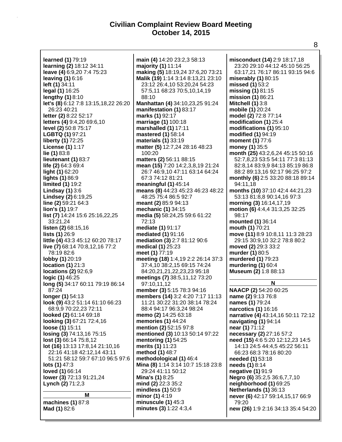**learned (1)** 79:19 **learning (2)** 18:12 34:11 **leave (4)** 6:9,20 7:4 75:23 **leaving (1)** 6:16 **left (1)** 34:11 **legal (1)** 16:25 **lengthy (1)** 8:10 **let's (8)** 6:12 7:8 13:15,18,22 26:20 26:23 40:21 **letter (2)** 8:22 52:17 **letters (4)** 9:4,20 69:6,10 **level (2)** 50:8 75:17 **LGBTQ (1)** 97:21 **liberty (1)** 72:25 **License (1)** 1:17 **lie (1)** 83:8 **lieutenant (1)** 83:7 **life (2)** 64:3 69:4 **light (1)** 62:20 **lights (1)** 86:9 **limited (1)** 19:2 **Lindsay (1)** 3:6 **Lindsey (2)** 6:19,25 **line (2)** 59:21 64:3 **lion's (1)** 19:7 **list (7)** 14:24 15:6 25:16,22,25 33:21,24 **listen (2)** 68:15,16 **lists (1)** 26:9 **little (4)** 43:3 45:12 60:20 78:17 **live (7)** 68:14 70:8,12,16 77:2 78:19 82:6 **lobby (1)** 20:19 **location (1)** 21:3 **locations (2)** 92:6,9 **logic (1)** 46:25 **long (5)** 34:17 60:11 79:19 86:14 87:24 **longer (1)** 54:13 **look (9)** 43:2 51:14 61:10 66:23 68:9,9 70:22,23 72:11 **looked (2)** 61:14 69:18 **looking (3)** 67:21 72:4,16 **loose (1)** 15:11 **losing (3)** 74:13,16 75:15 **lost (3)** 66:14 75:8,12 **lot (16)** 13:13 17:8,14 21:10,16 22:16 41:18 42:12,14 43:11 51:21 58:12 59:7 67:10 96:5 97:6 **lots (1)** 47:3 **loved (1)** 66:14 **lower (3)** 72:13 91:21,24 **Lynch (2)** 71:2,3 **M machines (1)** 87:8

**Mad (1)** 82:6

**main (4)** 14:20 23:2,3 58:13 **majority (1)** 11:14 **making (5)** 18:19,24 37:6,20 73:21 **Malik (19)** 1:14 3:14 8:13,21 23:10 23:12 26:4,10 53:20,24 54:23 57:5,11 68:23 70:5,10,14,19 88:10 **Manhattan (4)** 34:10,23,25 91:24 **manifestation (1)** 83:17 **marks (1)** 92:17 **marriage (1)** 100:18 **marshalled (1)** 17:11 **mastered (1)** 58:14 **materials (1)** 33:19 **matter (5)** 12:7,24 28:16 48:23 100:20 **matters (2)** 56:11 88:15 **mean (15)** 7:20 14:2,3,8,19 21:24 26:7 46:9,10 47:11 63:14 64:24 67:3 74:12 81:21 **meaningful (1)** 45:14 **means (8)** 44:23 45:23 46:23 48:22 48:25 75:4 86:5 92:7 **meant (2)** 85:9 94:13 **mechanic (1)** 34:15 **media (5)** 58:24,25 59:6 61:22 72:13 **mediate (1)** 91:17 **mediated (1)** 91:16 **mediation (3)** 2:7 81:12 90:6 **medical (1)** 25:23 **meet (1)** 77:19 **meeting (18)** 1:4,19 2:2 26:14 37:3 37:4,10 38:2,15 69:15 74:24 84:20,21,21,22,23,23 95:18 **meetings (7)** 38:5,11,12 73:20 97:10,11,12 **member (3)** 5:15 78:3 94:16 **members (14)** 3:2 4:20 7:17 11:13 11:21 30:22 31:20 38:14 78:24 88:4 94:17 96:3,24 98:24 **memo (2)** 14:25 63:18 **memories (1)** 44:24 **mention (2)** 52:15 97:8 **mentioned (3)** 10:13 50:14 97:22 **mentoring (1)** 54:25 **merits (1)** 11:23 **method (1)** 48:7 **methodological (1)** 46:4 **Mina (8)** 1:14 3:14 10:7 15:18 23:8 29:24 41:11 50:12 **Mina's (1)** 8:25 **mind (2)** 22:3 35:2 **mindless (1)** 50:9 **minor (1)** 4:19 **minuscule (1)** 45:3 **minutes (3)** 1:22 4:3,4

**misconduct (14)** 2:9 18:17,18 23:20 29:10 44:12 45:10 56:25 63:17,21 76:17 86:11 93:15 94:6 **miserably (1)** 80:15 **missed (1)** 53:2 **missing (1)** 81:15 **mission (1)** 86:21 **Mitchell (1)** 3:8 **mobile (1)** 20:24 **model (2)** 72:8 77:14 **modification (1)** 25:4 **modifications (1)** 95:10 **modified (1)** 94:19 **moment (1)** 77:6 **money (1)** 35:5 **month (25)** 43:2,6,24 45:15 50:16 52:7,8,23 53:5 54:11 77:3 81:13 82:8,14 83:9,9 84:13 85:19 86:8 88:2 89:13,16 92:17 96:25 97:2 **monthly (6)** 2:5 33:20 88:18 89:14 94:11,18 **months (10)** 37:10 42:4 44:21,23 53:13 81:8,8 90:14,16 97:3 **morning (3)** 16:14,17,19 **motion (6)** 4:4,4 31:3,25 32:25 98:17 **mounted (1)** 36:14 **mouth (1)** 70:21 **move (11)** 8:9 10:8,11 11:3 28:23 29:15 30:9,10 32:2 78:8 80:2 **moved (2)** 29:3 33:2 **murder (1)** 80:5 **murdered (1)** 79:23 **murdering (1)** 60:4 **Museum (2)** 1:8 88:13

#### **N**

**NAACP (2)** 54:20 60:25 **name (2)** 9:13 76:8 **names (1)** 79:24 **narcotics (1)** 16:16 **narrative (4)** 43:14,16 50:11 72:12 **navigating (1)** 94:14 **near (1)** 71:12 **necessary (2)** 27:16 57:2 **need (15)** 4:6 5:20 12:12,23 14:5 14:13 24:5 44:4,5 45:22 56:11 66:23 68:3 78:16 80:20 **needed (1)** 53:18 **needs (1)** 8:14 **negative (1)** 91:9 **Negro (6)** 35:2,5 36:6,7,7,10 **neighborhood (1)** 69:25 **Netherlands (1)** 36:13 **never (6)** 42:17 59:14,15,17 66:9 79:20 **new (26)** 1:9 2:16 34:13 35:4 54:20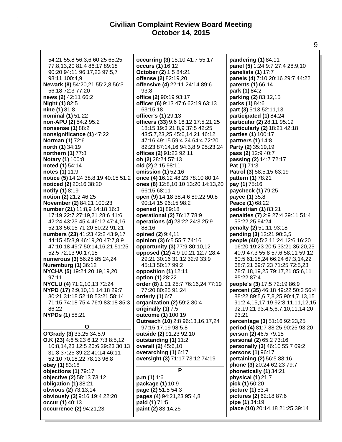$\Gamma$ 

| 54:21 55:8 56:3,6 60:25 65:25       | occurring (3) 15:10 41:7 55:17     | pandering (1) 84:11                |
|-------------------------------------|------------------------------------|------------------------------------|
| 77:8,13,20 81:4 86:17 89:18         | occurs (1) 16:12                   | panel (5) 1:24 9:7 27:4 28:9,10    |
| 90:20 94:11 96:17,23 97:5,7         | October (2) 1:5 84:21              | panelists (1) 17:7                 |
| 98:11 100:4,9                       | offense (2) 82:19,20               | panels (4) 7:10 20:16 29:7 44:22   |
|                                     |                                    |                                    |
| Newark (8) 54:20,21 55:2,8 56:3     | offensive (4) 22:11 24:14 89:6     | parents (1) 66:14                  |
| 56:18 72:3 77:20                    | 93:8                               | park (1) 84:2                      |
| news (2) 42:11 66:2                 | office (2) 90:19 93:17             | parking (2) 83:12,15               |
| Night (1) 82:5                      | officer (6) 9:13 47:6 62:19 63:13  | parks (1) 84:6                     |
| nine (1) 81:8                       | 63:15,18                           | part (3) 5:13 52:11,13             |
| nominal (1) 51:22                   | officer's (1) 29:13                | participated (1) 84:24             |
|                                     |                                    |                                    |
| non-APU (2) 54:2 95:2               | officers (33) 9:6 16:12 17:5,21,25 | particular (2) 28:11 95:19         |
| nonsense (1) 88:2                   | 18:15 19:3 21:8,9 37:5 42:25       | particularly (2) 18:21 42:18       |
| nonsignificance (1) 47:22           | 43:5,7,23,25 45:6,14,21 46:12      | parties (1) 100:17                 |
| <b>Norman (1) 72:6</b>              | 47:16 49:15 59:4,24 64:4 72:20     | partners (1) 14:8                  |
| north (1) 34:19                     | 82:23 87:14,16 94:3,8,9 95:23,24   | Party (2) 35:19,19                 |
| northern (1) 77:8                   | offices (2) 91:23 92:11            | pass (2) 12:9 40:7                 |
| Notary (1) 100:8                    | oh (2) 28:24 57:13                 | passing (2) 14:7 72:17             |
|                                     |                                    |                                    |
| noted (1) 54:14                     | old (2) 2:15 98:11                 | Pat (1) 71:3                       |
| notes (1) 11:9                      | omission (1) 52:16                 | Patrol (3) 58:5,15 63:19           |
| notice (5) 14:24 38:8,19 40:15 51:2 | once (4) 16:12 48:23 78:10 80:14   | pattern (1) 78:21                  |
| noticed (2) 20:16 38:20             | ones (8) 12:8,10,10 13:20 14:13,20 | pay (1) 75:16                      |
| notify (1) 8:19                     | 66:15 68:11                        | paycheck (1) 79:25                 |
| notion (2) 21:2 46:25               | open (9) 14:18 38:4,6 89:22 90:8   | payee (1) 35:8                     |
| November (2) 84:21 100:23           | 90:14,15 96:15 98:2                | Peace (1) 68:22                    |
| number (21) 11:8,9 14:18 16:3       | opened (1) 89:18                   | pedestrian (1) 83:21               |
|                                     |                                    |                                    |
| 17:19 22:7 27:19,21 28:6 41:6       | operational (2) 76:17 78:9         | penalties (7) 2:9 27:4 29:11 51:4  |
| 42:24 43:23 45:4 46:12 47:4,16      | operations (4) 23:22 24:3 25:9     | 53:22,25 94:24                     |
| 52:13 56:15 71:20 80:22 91:21       | 88:16                              | penalty (2) 51:11 93:18            |
| numbers (23) 41:23 42:2 43:9,17     | opined (2) 9:4,11                  | pending (3) 12:21 90:3,5           |
| 44:15 45:3,9 46:19,20 47:7,8,9      | opinion (3) 6:5 55:7 74:16         | people (40) 5:2 11:24 12:6 16:20   |
| 47:10,18 49:7 50:14,16,21 51:25     | opportunity (3) 77:9 80:10,12      | 16:20 19:23 20:5 33:21 35:20,25    |
| 52:5 72:13 90:17,18                 | opposed (12) 4:9 10:21 12:7 28:4   | 40:9 47:3 55:8 57:6 58:11 59:12    |
|                                     |                                    |                                    |
| numerous (3) 56:25 85:24,24         | 29:21 30:16 31:12 32:9 33:9        | 60:5 61:18,24 66:24 67:3,14,22     |
| <b>Nuremburg (1) 36:12</b>          | 45:13 50:17 99:2                   | 68:7,21 69:7,23 71:25 72:5,23      |
| NYCHA (5) 19:24 20:19,19,20         | opposition (1) 12:11               | 78:7,18,19,25 79:17,21 85:6,11     |
| 97:11                               | option (1) 28:22                   | 85:22 87:4                         |
| NYCLU (4) 71:2,10,13 72:24          | order (8) 1:21 25:7 76:16,24 77:19 | people's (3) 17:5 72:19 86:9       |
| NYPD (17) 2:9,10,11 14:18 29:7      | 77:20 80:25 91:24                  | percent (35) 46:18 49:22 50:3 56:4 |
| 30:21 31:18 52:18 53:21 58:14       | orderly $(1)$ 6:7                  | 88:22 89:5,6,7,8,25 90:4,7,13,15   |
| 71:15 74:18 75:4 76:9 83:18 85:3    | organization (2) 59:2 80:4         | 91:2,4,15,17,19 92:8,11,11,12,15   |
|                                     |                                    |                                    |
| 86:22                               | originally (1) 7:5                 | 92:19,21 93:4,5,6,7,10,11,14,20    |
| NYPDs (1) 58:21                     | outcome (1) 100:19                 | 93:21                              |
|                                     | Outreach (10) 2:8 96:13,16,17,24   | percentage (3) 51:16 92:23,25      |
| O                                   | 97:15,17,19 98:5,8                 | period (4) 81:7 88:25 90:25 93:20  |
| O'Grady (3) 33:25 34:5,9            | outside (2) 91:23 92:10            | person (2) 46:5 79:15              |
| O.K (23) 4:6 5:23 6:12 7:3 8:5,12   | outstanding (1) 11:2               | personal (2) 65:2 73:16            |
| 10:8,14,23 12:5 26:6 29:23 30:13    | overall (2) 45:6,10                | personally (3) 46:10 55:7 69:2     |
| 31:8 37:25 39:22 40:14 46:11        | overarching (1) 6:17               | persons (1) 96:17                  |
|                                     |                                    |                                    |
| 52:10 70:18,22 78:13 96:8           | oversight (3) 71:17 73:12 74:19    | pertaining (2) 56:5 88:16          |
| obey (1) 83:18                      |                                    | phone (3) 20:24 62:23 79:7         |
| objections (1) 79:17                | Р                                  | phonetically (1) 34:21             |
| objective (2) 58:13 73:12           | p.m(1)1:6                          | physical (1) 21:7                  |
| obligation (1) 38:21                | package (1) 10:9                   | pick (1) 50:20                     |
| obvious (2) 73:13,14                | page (2) 51:5 54:3                 | picture (1) 53:4                   |
| obviously (3) 9:16 19:4 22:20       | pages (4) 94:21, 23 95:4, 8        | pictures (2) 62:18 87:6            |
| occur (1) 40:13                     | paid (1) 71:5                      | pipe (1) 34:19                     |
| occurrence (2) 94:21,23             | paint (2) 83:14,25                 | place (10) 20:14,18 21:25 39:14    |
|                                     |                                    |                                    |
|                                     |                                    |                                    |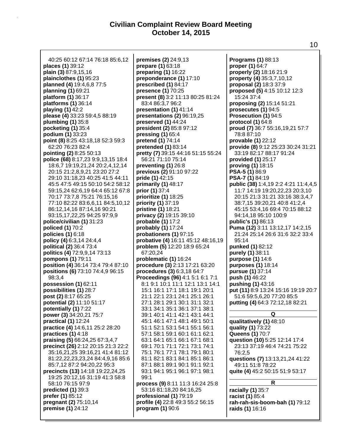| 40:25 60:12 67:14 76:18 85:6,12    | premises (2) 24:9,13               | <b>Programs (1) 88:13</b>            |
|------------------------------------|------------------------------------|--------------------------------------|
| places (1) 39:12                   | prepare (1) 63:18                  | proper (1) 64:7                      |
| plain (3) 87:9,15,16               | preparing (1) 16:22                | properly (2) 18:16 21:9              |
| plainclothes (1) 95:23             | preponderance (1) 17:10            | property (4) 35:3,7,10,12            |
| planned (4) 19:4,6,8 77:5          | prescribed (1) 84:17               | proposal (2) 18:3 37:9               |
| planning (1) 69:21                 | presence (1) 70:25                 | proposed (5) 4:15 10:12 12:3         |
| platform (1) 36:17                 | present (8) 3:2 11:13 80:25 81:24  | 15:24 37:4                           |
| platforms (1) 36:14                | 83:4 86:3,7 96:2                   | proposing (2) 15:14 51:21            |
| playing (1) 42:2                   | presentation (1) 41:14             | prosecutes (1) 94:5                  |
| please (4) 33:23 59:4,5 88:19      | presentations (2) 96:19,25         | Prosecution (1) 94:5                 |
| plumbing (1) 35:8                  | preserved (1) 44:24                | protocol $(1)$ 64:8                  |
| pocketing (1) 35:4                 | president (2) 85:8 97:12           | proud (7) 36:7 55:16, 19, 21 57:7    |
| podium (1) 33:23                   | pressing $(1)$ 65:4                | 78:8 87:10                           |
| point (8) 8:25 43:18,18 52:3 59:3  | pretend (1) 74:14                  | provable (1) 22:12                   |
| 62:20 76:23 82:4                   | pretended (1) 83:14                | provide (8) 9:12 25:23 30:24 31:21   |
| pointing (2) 8:25 50:13            | pretty (7) 39:15 44:16 51:15 55:24 | 33:19 82:17 88:17 91:24              |
| police (68) 8:17,23 9:9,13,15 18:4 | 56:21 71:10 75:14                  | provided $(1)$ 25:17                 |
| 18:6,7 19:19,21,24 20:2,4,12,14    | preventing (1) 26:8                | proving (1) 18:15                    |
| 20:15 21:2,8,9,21 23:20 27:2       | previous (2) 91:10 97:22           | PSA-5 (1) 86:9                       |
| 29:10 31:18,23 40:25 41:5 44:11    | pride (1) 42:15                    | PSA-7 (1) 84:19                      |
| 45:5 47:5 49:15 50:10 54:2 58:12   | primarily (1) 48:17                | public (38) 1:4,19 2:2 4:21 11:4,4,5 |
| 59:15,24 62:6,19 64:4 65:12 67:8   | prior (1) 37:4                     | 11:7 14:19 19:20,22,23 20:3,10       |
| 70:17 73:7,8 75:21 76:15,16        | prioritize (1) 18:25               | 20:15 21:3 31:21 33:16 38:3,4,7      |
| 77:10 82:22 83:6,6,11 84:5,10,12   | priority (1) 37:19                 | 38:7,15 39:20,21 40:8 41:2,4         |
| 86:12,14,16 87:14,16 90:21         | pristine (1) 18:21                 | 45:15 53:4,16 69:4 70:15 88:12       |
| 93:15,17,22,25 94:25 97:9,9        | privacy (2) 19:15 39:10            | 94:14,18 95:10 100:9                 |
| police/civilian (1) 31:23          | probable (1) 17:2                  | public's (1) 86:13                   |
| policed (1) 70:2                   | probably (1) 17:24                 | Puma (12) 3:11 13:12,17 14:2,15      |
| policies (1) 6:18                  | probationers (1) 97:15             | 21:24 25:14 26:6 31:6 32:2 33:4      |
| policy (4) 6:3,14 24:4,4           | probative (4) 16:11 45:12 48:16,19 | 95:14                                |
| political (2) 36:4 73:4            | problem (5) 12:20 18:9 65:24       | punked (1) 82:12                     |
| politics (4) 72:9,9,14 73:13       | 67:20,24                           | purely (1) 38:11                     |
| pompons (1) 79:11                  | problematic (1) 16:24              | purpose (1) 14:6                     |
| position (4) 36:14 73:4 79:4 87:10 | procedure (3) 2:13 17:21 63:20     | purposes (1) 18:14                   |
| positions (6) 73:10 74:4,9 96:15   | procedures (3) 6:3,18 64:7         | pursue (1) 37:14                     |
| 98:3,4                             | Proceedings (96) 4:1 5:1 6:1 7:1   | push (1) 46:22                       |
| possession (1) 62:11               | 8:1 9:1 10:1 11:1 12:1 13:1 14:1   | pushing (1) 43:16                    |
| possibilities (1) 28:7             | 15:1 16:1 17:1 18:1 19:1 20:1      | put (11) 8:9 13:24 15:16 19:19 20:7  |
| post (2) 8:17 65:25                | 21:1 22:1 23:1 24:1 25:1 26:1      | 51:6 59:5,6,20 77:20 85:5            |
| potential (2) 11:10 51:17          | 27:1 28:1 29:1 30:1 31:1 32:1      | putting (4) 64:3 72:12,18 82:21      |
| potentially (1) 7:22               | 33:1 34:1 35:1 36:1 37:1 38:1      |                                      |
| power (3) 34:20,21 75:7            | 39:1 40:1 41:1 42:1 43:1 44:1      | Q                                    |
| practical (1) 12:24                | 45:1 46:1 47:1 48:1 49:1 50:1      | qualitatively (1) 48:10              |
| practice (4) 14:6,11 25:2 28:20    | 51:1 52:1 53:1 54:1 55:1 56:1      | quality (1) 73:22                    |
| practices $(1)$ 4:18               | 57:1 58:1 59:1 60:1 61:1 62:1      | Queens (1) 70:7                      |
| praising (5) 66:24,25 67:3,4,7     | 63:1 64:1 65:1 66:1 67:1 68:1      | question (10) 5:25 12:14 17:4        |
| precinct (26) 2:12 20:15 21:3 22:2 | 69:1 70:1 71:1 72:1 73:1 74:1      | 23:13 37:19 46:4 74:21 75:22         |
| 35:16,21,25 39:16,21 41:4 81:12    | 75:1 76:1 77:1 78:1 79:1 80:1      | 76:2,5                               |
| 81:22,22,23,23,24 84:4,9,16 85:6   | 81:1 82:1 83:1 84:1 85:1 86:1      | questions (7) 13:13,21,24 41:22      |
| 85:7,12 87:2 94:20,22 95:3         | 87:1 88:1 89:1 90:1 91:1 92:1      | 49:11 51:8 78:22                     |
| precincts (13) 14:18 19:22,24,25   | 93:1 94:1 95:1 96:1 97:1 98:1      | quite (4) 45:2 50:15 51:9 53:17      |
| 19:25 20:12,16 31:19 41:3 58:8     | 99:1                               |                                      |
| 58:10 76:15 97:9                   | process (9) 8:11 11:3 16:24 25:8   | R                                    |
| predicted (1) 39:3                 | 53:16 81:18,20 84:16,25            | racially (1) 35:7                    |
| prefer (1) 85:12                   | professional (1) 79:19             | racist (1) 85:4                      |
| pregnant (2) 75:10,14              | profile (4) 22:8 49:3 55:2 56:15   | rah-rah-sis-boom-bah (1) 79:12       |
| premise (1) 24:12                  | program $(1)$ 90:6                 | raids (1) 16:16                      |
|                                    |                                    |                                      |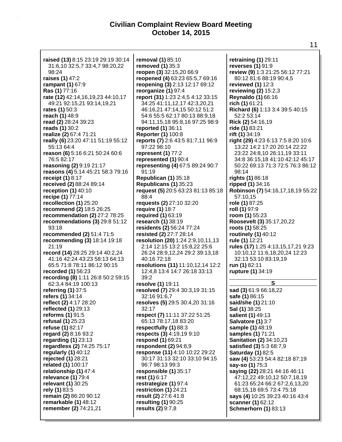| raised (13) 8:15 23:19 29:19 30:14     | removal (1) 85:10                  | retraining (1) 29:11               |
|----------------------------------------|------------------------------------|------------------------------------|
| 31:6,10 32:5,7 33:4,7 98:20,22         | <b>removed (1)</b> 35:3            | reverses (1) 91:9                  |
| 98:24                                  | reopen (3) 32:15,20 66:9           | review (9) 1:3 21:25 56:12 77:21   |
| raises (1) 47:2                        | reopened (4) 63:23 65:5,7 69:16    | 80:12 81:6 88:19 90:4,5            |
| rampant (1) 67:9                       | reopening (3) 2:13 12:17 69:12     | reviewed (1) 12:3                  |
| Ras (1) 77:16                          | reorganize $(1)$ 97:4              | reviewing (2) 15:2,3               |
| rate (12) 42:14, 16, 19, 23 44: 10, 17 | report (31) 1:23 2:4,5 4:12 33:15  | <b>Reynaldo (1) 66:16</b>          |
| 49:21 92:15,21 93:14,19,21             | 34:25 41:11,12,17 42:3,20,21       | rich (1) 61:21                     |
| rates (1) 50:3                         | 46:16,21 47:14,15 50:12 51:2       | Richard (6) 1:13 3:4 39:5 40:15    |
| reach (1) 48:9                         | 54:6 55:5 62:17 80:13 88:9,18      | 52:2 53:14                         |
| read (2) 28:24 39:23                   | 94:11,15,18 95:8,16 97:25 98:9     | Rick (2) 54:16,19                  |
| reads (1) 30:2                         | reported (1) 36:11                 | ride (1) 83:21                     |
| realize (2) 67:4 71:21                 | <b>Reporter (1) 100:8</b>          | rift (1) 34:19                     |
| really (6) 23:20 47:11 51:19 55:12     | reports (7) 2:6 43:5 81:7,11 96:9  | right (29) 4:23 6:13 7:5 8:20 10:6 |
| 55:13 64:4                             | 97:22 98:10                        | 13:22 14:2 17:20 20:14 22:22       |
| reason (6) 5:16 6:21 50:24 60:6        | represent (1) 77:2                 | 23:22 24:8,10 26:11,19 33:11       |
| 76:5 82:17                             | represented (1) 90:4               | 34:8 36:15,18 41:10 42:12 45:17    |
| reasoning (2) 9:19 21:17               | representing (4) 67:5 89:24 90:7   | 50:22 69:13 71:3 72:5 76:3 86:12   |
| reasons (4) 5:14 45:21 58:3 79:16      | 91:19                              | 98:14                              |
| receipt (1) 8:17                       | Republican (1) 35:18               | rights (1) 86:18                   |
| received (2) 88:24 89:14               | Republicans (1) 35:23              | ripped (1) 34:16                   |
| reception $(1)$ 40:10                  | request (5) 20:5 63:23 81:13 85:18 | Robinson (7) 54:16,17,18,19 55:22  |
| recipe (1) 77:14                       | 88:4                               | 57:10,15                           |
| recollection (1) 25:20                 | requests (2) 27:10 32:20           | role (1) 87:25                     |
| recommend (2) 18:5 26:25               | require (1) 18:7                   | roll (1) 97:9                      |
| recommendation (2) 27:2 78:25          | required (1) 63:19                 | room (1) 55:23                     |
| recommendations (3) 29:8 51:12         | research (1) 38:19                 | Roosevelt (3) 35:17,20,22          |
| 93:18                                  | residents (2) 56:24 77:24          | roots (1) 58:25                    |
| recommended (2) 51:4 71:5              | resisted (2) 27:7 28:14            | routinely (1) 40:12                |
| recommending (3) 18:14 19:18           | resolution (20) 1:24 2:9,10,11,13  | rule (1) 12:21                     |
| 21:19                                  | 2:14 12:15 13:2 15:8,22 25:6       | rules (17) 1:25 4:13,15,17,21 9:23 |
| record (14) 28:25 29:14 40:2,24        | 26:24 28:9,12,24 29:2 39:13,18     | 10:10,12 11:6,18,20,24 12:23       |
| 41:16 42:24 43:23 58:13 64:13          | 40:16 72:18                        | 32:13 53:10 83:19,19               |
| 65:5 71:8 78:11 86:12 90:15            | resolutions (11) 11:10,12,14 12:2  | run (1) 82:11                      |
| recorded (1) 56:23                     | 12:4,8 13:4 14:7 26:18 33:13       | rupture (1) 34:19                  |
| recording (8) 1:11 26:8 50:2 59:15     | 39:2                               |                                    |
| 62:3,4 84:19 100:13                    | resolve (1) 19:11                  | S                                  |
| referring (1) 37:5                     | resolved (7) 29:4 30:3,19 31:15    | sad (3) 61:9 66:18,22              |
| refers (1) 34:14                       | 32:16 91:6,7                       | safe (1) 86:15                     |
| reflect (2) 4:17 28:20                 | resolves (5) 29:5 30:4,20 31:16    | said/she (1) 21:10                 |
| reflected (1) 29:13                    | 32:17                              | Sal (1) 38:25                      |
| reforms (1) 91:5                       | respect (7) 11:11 37:22 51:25      | salient (1) 49:13                  |
| refusal (1) 25:23                      | 65:13 78:17,18 83:20               | Salvatore (1) 3:7                  |
| refuse (1) 82:17                       | respectfully (1) 88:3              | sample (1) 48:19                   |
| regard (2) 8:16 93:2                   | respects (3) 4:19,19 9:10          | samples (1) 71:21                  |
| regarding $(1)$ 23:13                  | respond (1) 69:21                  | <b>Sanitation (2)</b> 34:10,23     |
| regardless (2) 74:25 75:17             | respondent (2) 94:8,9              | satisfied (3) 5:3 68:7,9           |
| regularly (1) 40:12                    | response (11) 4:10 10:22 29:22     | <b>Saturday (1) 82:5</b>           |
| rejected (1) 28:21                     | 30:17 31:13 32:10 33:10 94:15      | saw (4) 53:23 54:4 82:18 87:19     |
| related (1) 100:17                     | 96:7 98:13 99:3                    | say-so (1) 75:3                    |
| relationship (1) 47:4                  | responsible (1) 35:17              | saying (22) 28:21 44:16 46:11      |
| relevance $(1)$ 79:4                   | rest (1) 6:17                      | 47:12,22 49:10,12 50:7,18,19       |
| relevant (1) 30:25                     | restrategize (1) 97:4              | 61:23 65:24 66:2 67:2,6,13,20      |
| rely (1) 83:5                          | restriction (1) 24:21              | 68:15,18 69:5 73:4 75:18           |
| remain (2) 86:20 90:12                 | result (2) 27:6 41:8               | says (4) 10:25 39:23 40:16 43:4    |
| remarkable (1) 48:12                   | resulting (1) 90:25                | scanner (1) 62:12                  |
| remember (2) 74:21,21                  | results (2) 9:7,8                  | <b>Schmerhorn (1) 83:13</b>        |
|                                        |                                    |                                    |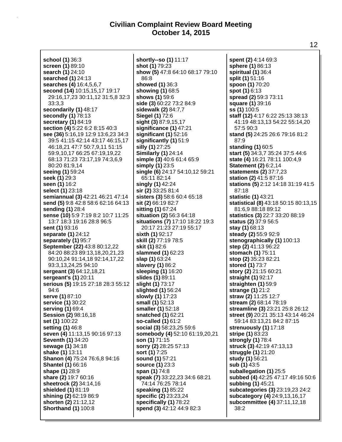| school (1) 36:3                                      | s       |
|------------------------------------------------------|---------|
| screen (1) 89:10                                     | sl      |
| search (1) 24:10                                     | sl      |
| searched (1) 24:13                                   |         |
| searches (4) 16:4,5,6,7                              | s       |
| second (14) 10:15,15,17 19:17                        | sl      |
| 29:16,17,23 30:11,12 31:5,8 32:3                     | sl      |
| 33:3.3<br>secondarily (1) 48:17                      | si      |
| secondly (1) 78:13                                   | si<br>S |
| secretary (1) 84:19                                  | si      |
| section (4) 5:22 6:2 8:15 40:3                       | si      |
| see (36) 5:16,19 12:9 13:6,23 34:3                   | si      |
| 39:5 41:15 42:14 43:17 46:15,17                      | si      |
| 46:18,21 47:7 50:7,9,11 51:15                        | si      |
| 59:9,10,17 66:25 67:19,19,22                         | S       |
| 68:13 71:23 73:17,19 74:3,6,9                        | si      |
| 80:20 81:9,14                                        | si      |
| seeing (1) 59:24                                     | si      |
| seek (1) 29:3                                        |         |
| seen (1) 16:2                                        | s       |
| select (1) 23:18                                     | si      |
| semiannual (3) 42:21 46:21 47:14                     | si      |
| send (5) 9:8 42:8 58:6 62:16 64:13                   | si      |
| sending (1) 28:4                                     | si      |
| sense (10) 5:9 7:19 8:2 10:7 11:25                   | si      |
| 13:7 18:3 19:16 28:8 96:5                            | si      |
| sent (1) 93:16                                       |         |
| separate (1) 24:12                                   | si      |
| separately (1) 95:7                                  | s       |
| September (22) 43:8 80:12,22                         | s       |
| 84:20 88:23 89:13,18,20,21,23                        | s       |
| 90:10,24 91:14,18 92:14,17,22<br>93:3,13,24,25 94:10 | s       |
| sergeant (3) 64:12, 18, 21                           | s<br>s  |
| sergeant's (1) 20:11                                 | s       |
| serious (5) 19:15 27:18 28:3 55:12                   | s       |
| 94:6                                                 | s       |
| serve (1) 87:10                                      | s       |
| service (1) 30:22                                    | S       |
| serving (1) 69:4                                     | s       |
| Session (2) 98:16,18                                 | S       |
| set (1) 100:22                                       | S۱      |
| setting (1) 46:8                                     | S۱      |
| seven (4) 11:13,15 90:16 97:13                       | S۱      |
| Seventh (1) 34:20                                    | S۱      |
| sewage (1) 34:18                                     | S۱      |
| shake (1) 13:11                                      | S۱      |
| Shanon (4) 75:24 76:6,8 94:16                        | S۱      |
| <b>Shantel (1) 66:16</b>                             | S۱      |
| shape (1) 28:9                                       | s       |
| share (2) 19:7 60:16                                 | s       |
| sheetrock (2) 34:14,16                               |         |
| shielded (1) 81:19                                   | s       |
| shining (2) 62:19 86:9                               | s       |
| shorten (2) 21:12,12                                 | s       |
| <b>Shorthand (1) 100:8</b>                           | s       |
|                                                      |         |

**shortly--so (1)** 11:17 **shot (1)** 79:23 **show (5)** 47:8 64:10 68:17 79:10 86:8 **showed (1)** 36:3 **showing (1)** 68:5 **shows (1)** 59:6 **side (3)** 60:22 73:2 84:9 **sidewalk (2)** 84:7,7 **Siegel (1)** 72:6 **sight (3)** 87:9,15,17 **significance (1)** 47:21 **significant (1)** 52:16 **significantly (1)** 51:9 **silly (1)** 27:25 **Similarly (1)** 24:14 **simple (3)** 40:6 61:4 65:9 **simply (1)** 23:5 **single (6)** 24:17 54:10,12 59:21 65:11 82:14 **singly (1)** 42:24 **sir (2)** 33:25 81:4 **sisters (3)** 58:6 60:4 65:18 **sit (2)** 66:19 82:7 **sitting (1)** 67:24 **situation (2)** 56:3 64:18 **situations (7)** 17:10 18:22 19:3 20:17 21:23 27:19 55:17 **sixth (1)** 92:17 **skill (2)** 77:19 78:5 **skit (1)** 82:6 **slammed (1)** 62:23 **slap (1)** 63:24 **slavery (1)** 86:2 **sleeping (1)** 16:20 **slides (1)** 89:11 **slight (1)** 73:17 **slighted (1)** 56:24 **slowly (1)** 17:23 **small (1)** 52:13 **smaller (1)** 52:18 **snatched (1)** 62:21 **so-called (1)** 61:2 **social (3)** 58:23,25 59:6 **somebody (4)** 52:10 61:19,20,21 **son (1)** 71:15 **sorry (2)** 28:25 57:13 **sort (1)** 7:25 **sound (1)** 57:21 **source (1)** 23:3 **span (1)** 74:8 **speak (7)** 33:22,23 34:6 68:21 74:14 76:25 78:14 **speaking (1)** 85:22 **specific (2)** 23:23,24 **specifically (1)** 78:22 **spend (3)** 42:12 44:9 82:3

**spent (2)** 4:14 69:3 **sphere (1)** 86:13 **spiritual (1)** 36:4 **split (1)** 51:16 **spoon (1)** 70:20 **spot (1)** 6:13 **spread (2)** 59:3 73:11 **square (1)** 39:16 **ss (1)** 100:5 **staff (12)** 4:17 6:22 25:13 38:13 41:19 48:13,13 54:22 55:14,20 57:5 90:3 **stand (5)** 24:25 26:6 79:16 81:2 87:9 **standing (1)** 60:5 **start (5)** 34:3,7 35:24 37:5 44:6 **state (4)** 16:21 78:11 100:4,9 **Statement (2)** 6:2,14 **statements (2)** 37:7,23 **station (2)** 41:5 87:16 **stations (5)** 2:12 14:18 31:19 41:5 87:18 **statistic (1)** 43:21 **statistical (8)** 43:18 50:15 80:13,15 81:6,9 88:18 89:12 **statistics (3)** 22:7 33:20 88:19 **status (2)** 37:9 56:5 **stay (1)** 68:13 **steady (2)** 55:9 92:9 **stenographically (1)** 100:13 **step (2)** 41:13 96:22 **stomach (1)** 75:11 **stop (2)** 35:23 82:21 **stored (1)** 73:7 **story (2)** 21:15 60:21 **straight (1)** 92:17 **straighten (1)** 59:9 **strange (1)** 21:2 **straw (2)** 11:25 12:7 **stream (2)** 68:14 78:19 **streamline (3)** 23:21 25:8 26:12 **street (9)** 20:21 35:13 43:14 46:24 59:14 83:13,21 84:2 87:15 **strenuously (1)** 17:18 **stripe (1)** 83:23 **strongly (1)** 78:4 **struck (3)** 42:19 47:13,13 **struggle (1)** 21:20 **study (1)** 56:21 **sub (1)** 43:5 **suballegation (1)** 25:5 **subbed (4)** 42:25 47:17 49:16 50:6 **subbing (1)** 45:21 **subcategories (3)** 23:19,23 24:2 **subcategory (4)** 24:9,13,16,17 **subcommittee (4)** 37:11,12,18 38:2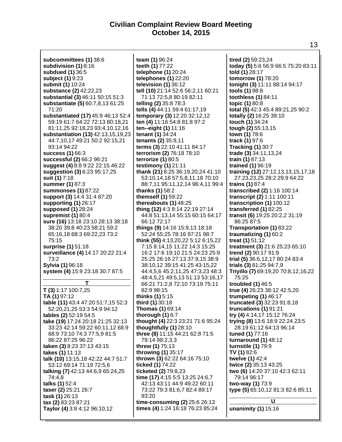| subcommittees (1) 38:6<br>subdivision (1) 8:16<br>subdued (1) 36:5<br>subject (1) 9:23<br>submit (1) 10:24<br>substance (2) 42:22,23<br>substantial (3) 46:11 50:15 51:3<br>substantiate (5) 60:7,8,13 61:25<br>71:20<br>substantiated (17) 45:9 46:13 52:4<br>59:19 61:7 64:22 72:13 80:18,21<br>81:11,25 92:18,23 93:4,10,12,16<br>substantiation (13) 42:13,15,19,23<br>44:7,10,17 49:21 50:2 92:15,21<br>93:14 94:22<br>success (1) 66:3<br>successful (2) 66:2 96:21<br>suggest (4) 8:8 9:22 22:15 46:22<br>suggestion (3) 6:23 95:17,25<br>suit (1) 7:18<br>summer (1) 87:3<br>summonses (1) 87:22<br>support (3) 14:4 31:4 87:20<br>supporting (1) 26:17 | team (1<br>teeth (1<br>telepho<br>telepho<br>televisi<br>tell (10)<br>71:13<br>telling (<br>tells (4)<br>tempor<br>ten (4) 1<br>ten--eig<br>tenant (<br>tenants<br>terms (<br>terroris<br>terroriz<br>testimo<br>thank (2<br>53:10<br>88:7,1<br>thanks<br>themse<br>thereab |
|-----------------------------------------------------------------------------------------------------------------------------------------------------------------------------------------------------------------------------------------------------------------------------------------------------------------------------------------------------------------------------------------------------------------------------------------------------------------------------------------------------------------------------------------------------------------------------------------------------------------------------------------------------------------|-----------------------------------------------------------------------------------------------------------------------------------------------------------------------------------------------------------------------------------------------------------------------------|
| supremist (1) 80:4<br>sure (16) 13:18 23:10 28:13 38:18                                                                                                                                                                                                                                                                                                                                                                                                                                                                                                                                                                                                         | 44:85<br>66:12                                                                                                                                                                                                                                                              |
| 38:20 39:8 40:23 58:21 59:2                                                                                                                                                                                                                                                                                                                                                                                                                                                                                                                                                                                                                                     | things (                                                                                                                                                                                                                                                                    |
| 65:16,18 68:3 69:22,23 73:2                                                                                                                                                                                                                                                                                                                                                                                                                                                                                                                                                                                                                                     | 52:24                                                                                                                                                                                                                                                                       |
| 75:15                                                                                                                                                                                                                                                                                                                                                                                                                                                                                                                                                                                                                                                           | think (5                                                                                                                                                                                                                                                                    |
| surprise (1) 51:18                                                                                                                                                                                                                                                                                                                                                                                                                                                                                                                                                                                                                                              | 7:156                                                                                                                                                                                                                                                                       |
| surveillance (4) 14:17 20:22 21:4                                                                                                                                                                                                                                                                                                                                                                                                                                                                                                                                                                                                                               | 16:21                                                                                                                                                                                                                                                                       |
| 73:2                                                                                                                                                                                                                                                                                                                                                                                                                                                                                                                                                                                                                                                            | 25:25                                                                                                                                                                                                                                                                       |
| Sylvia (1) 96:18                                                                                                                                                                                                                                                                                                                                                                                                                                                                                                                                                                                                                                                | 38:10                                                                                                                                                                                                                                                                       |
| system (4) 15:9 23:18 30:7 87:5                                                                                                                                                                                                                                                                                                                                                                                                                                                                                                                                                                                                                                 | 44:4,5                                                                                                                                                                                                                                                                      |
|                                                                                                                                                                                                                                                                                                                                                                                                                                                                                                                                                                                                                                                                 | 48:4,5                                                                                                                                                                                                                                                                      |
| т                                                                                                                                                                                                                                                                                                                                                                                                                                                                                                                                                                                                                                                               | 66:21                                                                                                                                                                                                                                                                       |
| $T(3)$ 1:17 100:7,25                                                                                                                                                                                                                                                                                                                                                                                                                                                                                                                                                                                                                                            | 82:99                                                                                                                                                                                                                                                                       |
| TA (1) 97:12                                                                                                                                                                                                                                                                                                                                                                                                                                                                                                                                                                                                                                                    | thinks (                                                                                                                                                                                                                                                                    |
| table (11) 43:4 47:20 51:7,15 52:3                                                                                                                                                                                                                                                                                                                                                                                                                                                                                                                                                                                                                              | third (1)                                                                                                                                                                                                                                                                   |
| 52:20,21,25 53:3 54:9 94:12                                                                                                                                                                                                                                                                                                                                                                                                                                                                                                                                                                                                                                     | Thoma:                                                                                                                                                                                                                                                                      |
| tables (2) 52:19 54:5                                                                                                                                                                                                                                                                                                                                                                                                                                                                                                                                                                                                                                           | thoroug                                                                                                                                                                                                                                                                     |
| take (19) 17:24 20:18 21:25 32:13                                                                                                                                                                                                                                                                                                                                                                                                                                                                                                                                                                                                                               | though                                                                                                                                                                                                                                                                      |
| 33:23 42:14 59:22 60:11,12 68:9                                                                                                                                                                                                                                                                                                                                                                                                                                                                                                                                                                                                                                 | though                                                                                                                                                                                                                                                                      |
| 68:9 73:10 74:3 77:5,9 81:5                                                                                                                                                                                                                                                                                                                                                                                                                                                                                                                                                                                                                                     | three (8                                                                                                                                                                                                                                                                    |
| 86:22 87:25 96:22                                                                                                                                                                                                                                                                                                                                                                                                                                                                                                                                                                                                                                               | 79:14                                                                                                                                                                                                                                                                       |
| taken (3) 8:23 37:13 43:15                                                                                                                                                                                                                                                                                                                                                                                                                                                                                                                                                                                                                                      | threw (                                                                                                                                                                                                                                                                     |
| takes (1) 11:13                                                                                                                                                                                                                                                                                                                                                                                                                                                                                                                                                                                                                                                 | throwin                                                                                                                                                                                                                                                                     |
| talk (10) 13:15,18 42:22 44:7 51:7<br>53:12 69:14 71:19 72:5,6                                                                                                                                                                                                                                                                                                                                                                                                                                                                                                                                                                                                  | thrown                                                                                                                                                                                                                                                                      |
| talking (7) 42:13 44:6,9 65:24,25                                                                                                                                                                                                                                                                                                                                                                                                                                                                                                                                                                                                                               | ticked (<br>ticketed                                                                                                                                                                                                                                                        |
| 74:4,8                                                                                                                                                                                                                                                                                                                                                                                                                                                                                                                                                                                                                                                          | time (17                                                                                                                                                                                                                                                                    |
| talks (1) 52:4                                                                                                                                                                                                                                                                                                                                                                                                                                                                                                                                                                                                                                                  | 42:13                                                                                                                                                                                                                                                                       |
| taser (2) 25:21 26:7                                                                                                                                                                                                                                                                                                                                                                                                                                                                                                                                                                                                                                            | 73:22                                                                                                                                                                                                                                                                       |
| task (1) 26:13                                                                                                                                                                                                                                                                                                                                                                                                                                                                                                                                                                                                                                                  | 93:20                                                                                                                                                                                                                                                                       |
| tax (2) 83:23 87:21                                                                                                                                                                                                                                                                                                                                                                                                                                                                                                                                                                                                                                             | time-co                                                                                                                                                                                                                                                                     |
| Taylor (4) 3:8 4:12 96:10,12                                                                                                                                                                                                                                                                                                                                                                                                                                                                                                                                                                                                                                    | times (4                                                                                                                                                                                                                                                                    |
|                                                                                                                                                                                                                                                                                                                                                                                                                                                                                                                                                                                                                                                                 |                                                                                                                                                                                                                                                                             |

**team (1)** 96:24 **teeth (1)** 77:22 **telephone (1)** 20:24 **nes (1)** 22:20 **television (1)** 36:12 **tell (10)** 21:14 52:6 56:2,11 60:21 71:13 72:5,8 80:19 82:11 **telling (2)** 35:8 78:3 **tells (4)** 44:11 59:4 61:17,19 **temporary (3)** 12:20 32:12,12 **ten (4)** 11:16 54:8 81:8 97:2 **ten--eight (1)** 11:16 **tenant (1)** 34:24 **tenants (2)** 35:9,11 **terms (3)** 22:10 41:11 84:17 **terrorism (2)** 76:18 78:10 **e (1)** 80:5 **testimony (1)** 21:11 **thank (21)** 8:25 36:19,20,24 41:10 53:10,14,18 57:5,8,11,18 70:10 88:7,11 95:11,12,14 96:4,11 99:4 **(1)** 58:2 **themself (1)** 59:22 **theread (1)** 48:25 **thing (12)** 4:3 8:14 22:19 27:14 44:8 51:13,14 55:15 60:15 64:17 66:12 72:17 **things (9)** 14:16 15:9,13 18:18 52:24 55:25 78:16 97:21 98:7 **think (55)** 4:13,20,22 5:12 6:15,22 7:15 8:14,15 11:22 14:3 15:25 16:2 17:6 19:10 21:5 24:23 25:9 25:25 26:16 27:13 37:9,15 38:9 38:10,12 39:15 41:25 43:15,22 44:4,5,6 45:2,11,25 47:3,23 48:3 48:4,5,21 49:5,13 51:13 53:16,17 66:21 71:2,8 72:10 73:19 75:11 88:15 **thinks (1)** 5:15 **third (1)** 30:18 **Thomas (1)** 69:14 **thorough (1)** 6:7 **thought (4)** 22:3 23:21 71:6 95:24 **thoughtfully (1)** 28:10 **three (8)** 11:15 44:21 62:8 71:5 98:2,3,3 **threw (1)** 75:13 **throwing (1)** 35:17 **thrown (3)** 62:22 64:16 75:10 **ticked (1)** 74:22 **ticketed (2)** 79:8,23 **time (17)** 4:15 5:5 13:25 24:6,7 42:13 43:11 44:9 49:22 60:11 73:22 79:3 81:6,7 82:4 89:17 **time-consuming (2)** 25:6 26:13 **times (4)** 1:24 16:18 76:23 85:24

**tired (2)** 59:23,24 **today (5)** 5:6 56:9 66:5 75:20 83:11 **told (1)** 28:17 **tomorrow (1)** 78:20 **tonight (3)** 11:11 88:14 94:17 **tools (1)** 98:8 **toothless (1)** 84:11 **topic (1)** 80:8 **total (5)** 42:3 45:4 89:21,25 90:2 **totally (2)** 16:25 39:10 **touch (1)** 34:24 **tough (2)** 55:13,15 **town (1)** 78:6 **track (1)** 97:6 **Tracking (1)** 30:7 **trade (3)** 34:11,13,24 **train (1)** 87:13 **trained (1)** 96:19 **training (12)** 27:12,13,13,15,17,18 27:23,23,25 28:2 29:9 64:22 **trains (1)** 87:4 **transcribed (2)** 1:16 100:14 **transcript (2)** 1:11 100:11 **transcription (1)** 100:12 **transferred (1)** 82:25 **transit (6)** 19:25 20:2,2 31:19 86:25 87:5 **Transportation (1)** 83:22 **traumatizing (1)** 60:2 **treat (1)** 51:12 **treatment (3)** 21:6 25:23 65:10 **trend (2)** 90:17 91:9 **trial (5)** 36:6,12,17 80:24 83:4 **trials (3)** 81:25 94:7,9 **Triyillo (7)** 69:19,20 70:8,12,16,22 75:25 **troubled (1)** 46:5 **true (4)** 26:23 38:12 42:5,20 **trumpeting (1)** 46:17 **truncated (3)** 32:23 91:8,18 **truncations (1)** 91:21 **try (4)** 4:14,17 15:12 76:24 **trying (8)** 13:6 18:9 22:24 23:5 28:19 61:12 64:13 96:14 **tuned (1)** 77:16 **turnaround (1)** 48:12 **turnstile (1)** 79:9 **TV (1)** 82:6 **twelve (1)** 42:4 **twice (2)** 35:13 43:25 **two (6)** 14:20 37:10 42:3 62:11 79:14 96:17 **two-way (1)** 73:9 **type (5)** 65:10,12 81:3 82:6 85:11 **U**

**unanimity (1)** 15:16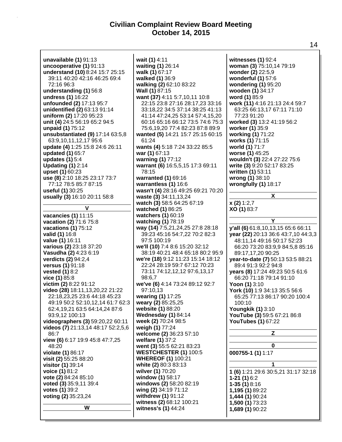| unavailable (1) 91:13<br>uncooperative (1) 91:13<br>understand (10) 8:24 15:7 25:15<br>39:11 40:20 42:16 46:25 69:4<br>72:16 96:3<br>understanding (1) 56:8<br>undress (1) 16:22<br>unfounded (2) 17:13 95:7<br>unidentified (2) 63:13 91:14<br>uniform (2) 17:20 95:23<br>unit (4) 24:5 56:19 65:2 94:5<br>unpaid (1) 75:12<br>unsubstantiated (9) 17:14 63:5,8<br>63:9,10,11,12,17 95:6<br>update (4) 1:25 15:8 24:6 26:11<br>updated (1) 65:7<br>updates $(1)$ 5:4<br>Updating $(1)$ 2:14<br>upset (1) 60:23<br>use (8) 2:10 18:25 23:17 73:7<br>77:12 78:5 85:7 87:15<br>useful (1) 30:25<br>usually (3) 16:10 20:11 58:8<br>٧<br>vacancies (1) 11:15<br>vacation (2) 71:6 75:8<br>vacations (1) 75:12<br>valid (1) 16:8<br>value (1) 16:11<br>various (2) 23:18 37:20<br>Vasudha (2) 4:23 6:19<br>verdicts (2) 94:2,4<br>versus (1) 91:18<br>vested (1) 8:2<br>vice (1) 85:8<br>victim (2) 8:22 91:12<br>video (28) 18:11, 13, 20, 22 21: 22<br>22:18,23,25 23:6 44:18 45:23<br>49:19 50:2 52:10,12,14 61:7 62:3<br>62:4,19,21 63:5 64:14,24 87:6<br>93:9,12 100:13<br>videographers (3) 59:20,22 60:11<br>videos (7) 21:13,14 48:17 52:2,5,6<br>86:7<br>view (6) 6:17 19:9 45:8 47:7,25<br>48:20 | wait (1) 4:11<br>waiting (1) 26:14<br>walk (1) 67:17<br>walked (1) 36:9<br>walking (2) 62:10 83:22<br>Wall (1) 87:15<br>want (37) 4:11 5:7,10,11 10:8<br>22:15 23:8 27:16 28:17,23 33:16<br>33:18,22 34:5 37:14 38:25 41:13<br>41:14 47:24,25 53:14 57:4,15,20<br>60:16 65:16 66:12 73:5 74:6 75:3<br>75:6,19,20 77:4 82:23 87:8 89:9<br>wanted (5) 14:21 15:7 25:15 60:15<br>61:24<br>wants (4) 5:18 7:24 33:22 85:5<br>war (1) 67:13<br>warning (1) 77:12<br>warrant (6) 16:5,5,15 17:3 69:11<br>78:15<br>warranted (1) 69:16<br>warrantless (1) 16:6<br>wasn't (4) 28:16 49:25 69:21 70:20<br>waste (3) 34:11, 13, 24<br>watch (3) 58:5 64:25 67:19<br>watched (1) 86:25<br>watchers (1) 60:19<br>watching (1) 78:19<br>way (14) 7:5,21,24,25 27:8 28:18<br>39:23 45:16 54:7,22 70:2 82:3<br>97:5 100:19<br>we'll (10) 7:4 8:6 15:20 32:12<br>38:19 40:21 48:4 65:18 80:2 95:9<br>we're (18) 9:12 11:23 15:14 18:12<br>22:24 28:19 59:7 67:12 70:23<br>73:11 74:12,12,12 97:6,13,17<br>98:6,7<br>we've (6) 4:14 73:24 89:12 92:7<br>97:10,13<br>wearing (1) 17:25<br>weary (2) 85:25,25<br>website (1) 88:20<br><b>Wednesday (1) 84:14</b><br>week (2) 70:24 98:5<br>weigh (1) 77:24<br>welcome (2) 36:23 57:10<br>welfare (1) 37:2<br>went (3) 55:5 62:21 83:23 | witnesses $(1)$ 92:4<br>woman (3) 75:10,14 79:19<br>wonder (2) 22:5,9<br>wonderful $(1)$ 57:6<br>wondering (1) 95:20<br>wooden (1) 34:17<br>word (1) 85:9<br>work (11) 4:16 21:13 24:4 59:7<br>63:25 66:13,17 67:11 71:10<br>77:23 91:20<br>worked (3) 13:2 41:19 56:2<br>worker (1) 35:9<br>working (1) 71:22<br>works (1) 71:15<br>world (1) 71:7<br>worse (1) 45:25<br>wouldn't (3) 22:4 27:22 75:6<br>write (3) 9:20 52:17 83:25<br>written (1) 53:11<br>wrong (1) 38:10<br>wrongfully (1) 18:17<br>X<br>x(2)1:2,7<br>XO (1) 83:7<br>Y<br>y'all (6) 61:8, 10, 13, 15 65:6 66:11<br>year (22) 20:13 36:6 43:7,10 44:3,3<br>48:11,14 49:16 50:17 52:23<br>66:20 73:20 83:9,9 84:5,8 85:16<br>89:17,17,20 90:25<br>year-to-date (7) 50:13 53:5 88:21<br>89:4 91:3 92:2 94:8<br>years (8) 17:24 49:23 50:5 61:6<br>66:20 71:18 79:14 91:10<br>Yoon (1) 3:10<br>York (10) 1:9 34:13 35:5 56:6<br>65:25 77:13 86:17 90:20 100:4<br>100:10<br>Youngkik (1) 3:10<br>YouTube (3) 59:5 67:21 86:8<br>YouTubes (1) 67:22<br>Z<br>0 |
|--------------------------------------------------------------------------------------------------------------------------------------------------------------------------------------------------------------------------------------------------------------------------------------------------------------------------------------------------------------------------------------------------------------------------------------------------------------------------------------------------------------------------------------------------------------------------------------------------------------------------------------------------------------------------------------------------------------------------------------------------------------------------------------------------------------------------------------------------------------------------------------------------------------------------------------------------------------------------------------------------------------------------------------------------------------------------------------------------------------------------------------------------------------------------------------------------------|---------------------------------------------------------------------------------------------------------------------------------------------------------------------------------------------------------------------------------------------------------------------------------------------------------------------------------------------------------------------------------------------------------------------------------------------------------------------------------------------------------------------------------------------------------------------------------------------------------------------------------------------------------------------------------------------------------------------------------------------------------------------------------------------------------------------------------------------------------------------------------------------------------------------------------------------------------------------------------------------------------------------------------------------------------------------------------------------------------------------------------------------------------------------------------------------------------------------------------------------------------------------|-----------------------------------------------------------------------------------------------------------------------------------------------------------------------------------------------------------------------------------------------------------------------------------------------------------------------------------------------------------------------------------------------------------------------------------------------------------------------------------------------------------------------------------------------------------------------------------------------------------------------------------------------------------------------------------------------------------------------------------------------------------------------------------------------------------------------------------------------------------------------------------------------------------------------------------------------------------------------------------------------------------------------------|
|                                                                                                                                                                                                                                                                                                                                                                                                                                                                                                                                                                                                                                                                                                                                                                                                                                                                                                                                                                                                                                                                                                                                                                                                        |                                                                                                                                                                                                                                                                                                                                                                                                                                                                                                                                                                                                                                                                                                                                                                                                                                                                                                                                                                                                                                                                                                                                                                                                                                                                     |                                                                                                                                                                                                                                                                                                                                                                                                                                                                                                                                                                                                                                                                                                                                                                                                                                                                                                                                                                                                                             |
|                                                                                                                                                                                                                                                                                                                                                                                                                                                                                                                                                                                                                                                                                                                                                                                                                                                                                                                                                                                                                                                                                                                                                                                                        |                                                                                                                                                                                                                                                                                                                                                                                                                                                                                                                                                                                                                                                                                                                                                                                                                                                                                                                                                                                                                                                                                                                                                                                                                                                                     |                                                                                                                                                                                                                                                                                                                                                                                                                                                                                                                                                                                                                                                                                                                                                                                                                                                                                                                                                                                                                             |
|                                                                                                                                                                                                                                                                                                                                                                                                                                                                                                                                                                                                                                                                                                                                                                                                                                                                                                                                                                                                                                                                                                                                                                                                        |                                                                                                                                                                                                                                                                                                                                                                                                                                                                                                                                                                                                                                                                                                                                                                                                                                                                                                                                                                                                                                                                                                                                                                                                                                                                     |                                                                                                                                                                                                                                                                                                                                                                                                                                                                                                                                                                                                                                                                                                                                                                                                                                                                                                                                                                                                                             |
| violate (1) 86:17                                                                                                                                                                                                                                                                                                                                                                                                                                                                                                                                                                                                                                                                                                                                                                                                                                                                                                                                                                                                                                                                                                                                                                                      | <b>WESTCHESTER (1) 100:5</b>                                                                                                                                                                                                                                                                                                                                                                                                                                                                                                                                                                                                                                                                                                                                                                                                                                                                                                                                                                                                                                                                                                                                                                                                                                        | 000755-1 (1) 1:17                                                                                                                                                                                                                                                                                                                                                                                                                                                                                                                                                                                                                                                                                                                                                                                                                                                                                                                                                                                                           |
| visit (2) 55:25 88:20                                                                                                                                                                                                                                                                                                                                                                                                                                                                                                                                                                                                                                                                                                                                                                                                                                                                                                                                                                                                                                                                                                                                                                                  | <b>WHEREOF (1) 100:21</b>                                                                                                                                                                                                                                                                                                                                                                                                                                                                                                                                                                                                                                                                                                                                                                                                                                                                                                                                                                                                                                                                                                                                                                                                                                           |                                                                                                                                                                                                                                                                                                                                                                                                                                                                                                                                                                                                                                                                                                                                                                                                                                                                                                                                                                                                                             |
| visitor (1) 39:14<br>voice (1) 81:2                                                                                                                                                                                                                                                                                                                                                                                                                                                                                                                                                                                                                                                                                                                                                                                                                                                                                                                                                                                                                                                                                                                                                                    | white (2) 80:3 83:13<br>wilver (1) 70:20                                                                                                                                                                                                                                                                                                                                                                                                                                                                                                                                                                                                                                                                                                                                                                                                                                                                                                                                                                                                                                                                                                                                                                                                                            | 1 (6) 1:21 29:6 30:5,21 31:17 32:18                                                                                                                                                                                                                                                                                                                                                                                                                                                                                                                                                                                                                                                                                                                                                                                                                                                                                                                                                                                         |
| vote (2) 84:24 85:10                                                                                                                                                                                                                                                                                                                                                                                                                                                                                                                                                                                                                                                                                                                                                                                                                                                                                                                                                                                                                                                                                                                                                                                   | window (1) 58:17                                                                                                                                                                                                                                                                                                                                                                                                                                                                                                                                                                                                                                                                                                                                                                                                                                                                                                                                                                                                                                                                                                                                                                                                                                                    | $1-21(1)6:2$                                                                                                                                                                                                                                                                                                                                                                                                                                                                                                                                                                                                                                                                                                                                                                                                                                                                                                                                                                                                                |
| voted (3) 35:9,11 39:4                                                                                                                                                                                                                                                                                                                                                                                                                                                                                                                                                                                                                                                                                                                                                                                                                                                                                                                                                                                                                                                                                                                                                                                 | windows (2) 58:20 82:19                                                                                                                                                                                                                                                                                                                                                                                                                                                                                                                                                                                                                                                                                                                                                                                                                                                                                                                                                                                                                                                                                                                                                                                                                                             | $1 - 35(1)8:16$                                                                                                                                                                                                                                                                                                                                                                                                                                                                                                                                                                                                                                                                                                                                                                                                                                                                                                                                                                                                             |
| votes (1) 39:2                                                                                                                                                                                                                                                                                                                                                                                                                                                                                                                                                                                                                                                                                                                                                                                                                                                                                                                                                                                                                                                                                                                                                                                         | wing (2) 34:19 71:12                                                                                                                                                                                                                                                                                                                                                                                                                                                                                                                                                                                                                                                                                                                                                                                                                                                                                                                                                                                                                                                                                                                                                                                                                                                | 1,195 (1) 89:22                                                                                                                                                                                                                                                                                                                                                                                                                                                                                                                                                                                                                                                                                                                                                                                                                                                                                                                                                                                                             |
| voting (2) 35:23,24                                                                                                                                                                                                                                                                                                                                                                                                                                                                                                                                                                                                                                                                                                                                                                                                                                                                                                                                                                                                                                                                                                                                                                                    | withdrew (1) 91:12                                                                                                                                                                                                                                                                                                                                                                                                                                                                                                                                                                                                                                                                                                                                                                                                                                                                                                                                                                                                                                                                                                                                                                                                                                                  | 1,444 (1) 90:24                                                                                                                                                                                                                                                                                                                                                                                                                                                                                                                                                                                                                                                                                                                                                                                                                                                                                                                                                                                                             |
|                                                                                                                                                                                                                                                                                                                                                                                                                                                                                                                                                                                                                                                                                                                                                                                                                                                                                                                                                                                                                                                                                                                                                                                                        | witness (2) 68:12 100:21                                                                                                                                                                                                                                                                                                                                                                                                                                                                                                                                                                                                                                                                                                                                                                                                                                                                                                                                                                                                                                                                                                                                                                                                                                            | 1,500 (1) 73:23                                                                                                                                                                                                                                                                                                                                                                                                                                                                                                                                                                                                                                                                                                                                                                                                                                                                                                                                                                                                             |
| W                                                                                                                                                                                                                                                                                                                                                                                                                                                                                                                                                                                                                                                                                                                                                                                                                                                                                                                                                                                                                                                                                                                                                                                                      | witness's (1) 44:24                                                                                                                                                                                                                                                                                                                                                                                                                                                                                                                                                                                                                                                                                                                                                                                                                                                                                                                                                                                                                                                                                                                                                                                                                                                 | 1,689 (1) 90:22                                                                                                                                                                                                                                                                                                                                                                                                                                                                                                                                                                                                                                                                                                                                                                                                                                                                                                                                                                                                             |
|                                                                                                                                                                                                                                                                                                                                                                                                                                                                                                                                                                                                                                                                                                                                                                                                                                                                                                                                                                                                                                                                                                                                                                                                        |                                                                                                                                                                                                                                                                                                                                                                                                                                                                                                                                                                                                                                                                                                                                                                                                                                                                                                                                                                                                                                                                                                                                                                                                                                                                     |                                                                                                                                                                                                                                                                                                                                                                                                                                                                                                                                                                                                                                                                                                                                                                                                                                                                                                                                                                                                                             |